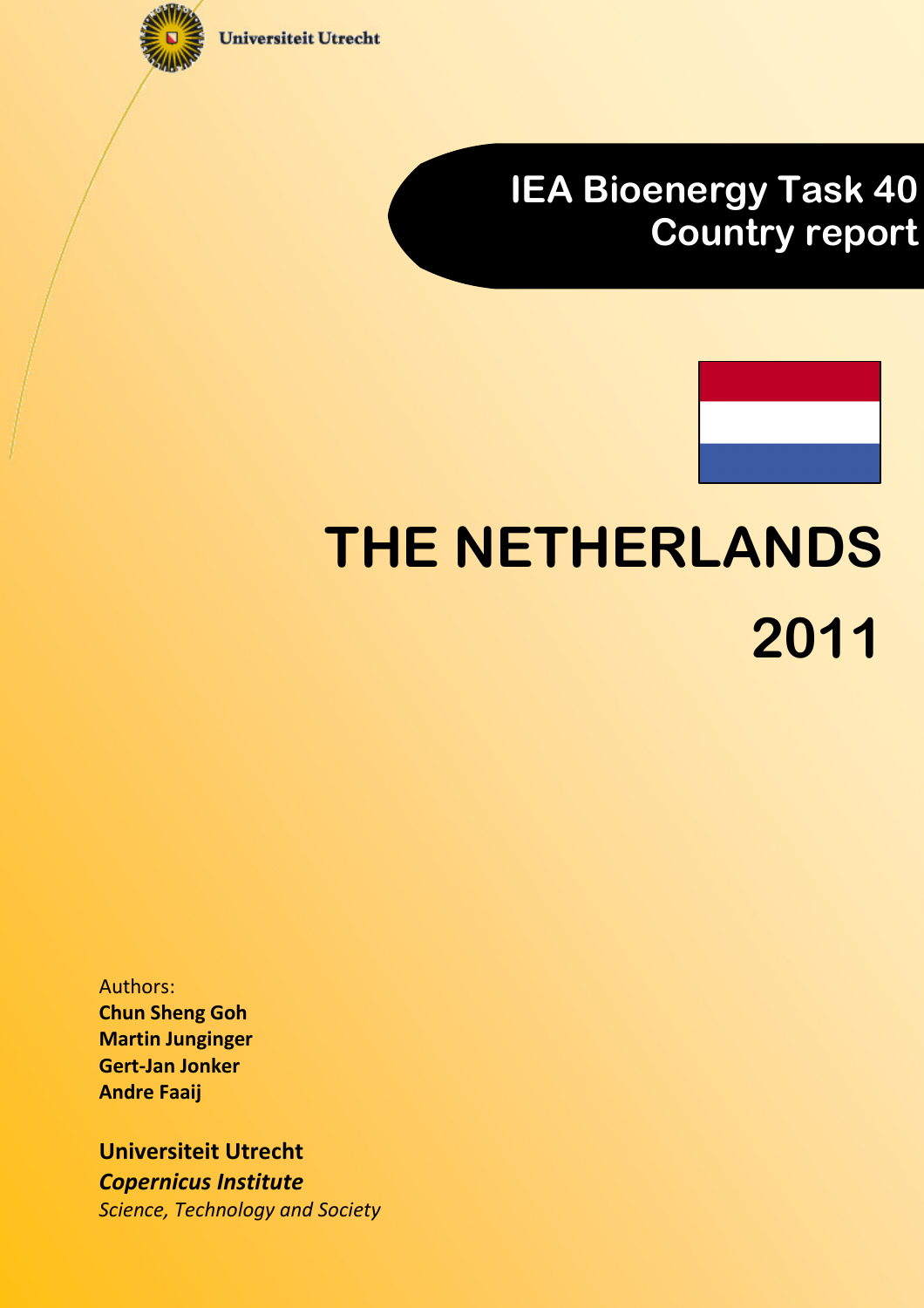

**Universiteit Utrecht** 

# IEA Bioenergy Task 40 Country report



# THE NETHERLANDS 2011

Authors: Chun Sheng Goh Martin Junginger Gert-Jan Jonker Andre Faaij

Universiteit Utrecht Copernicus Institute Science, Technology and Society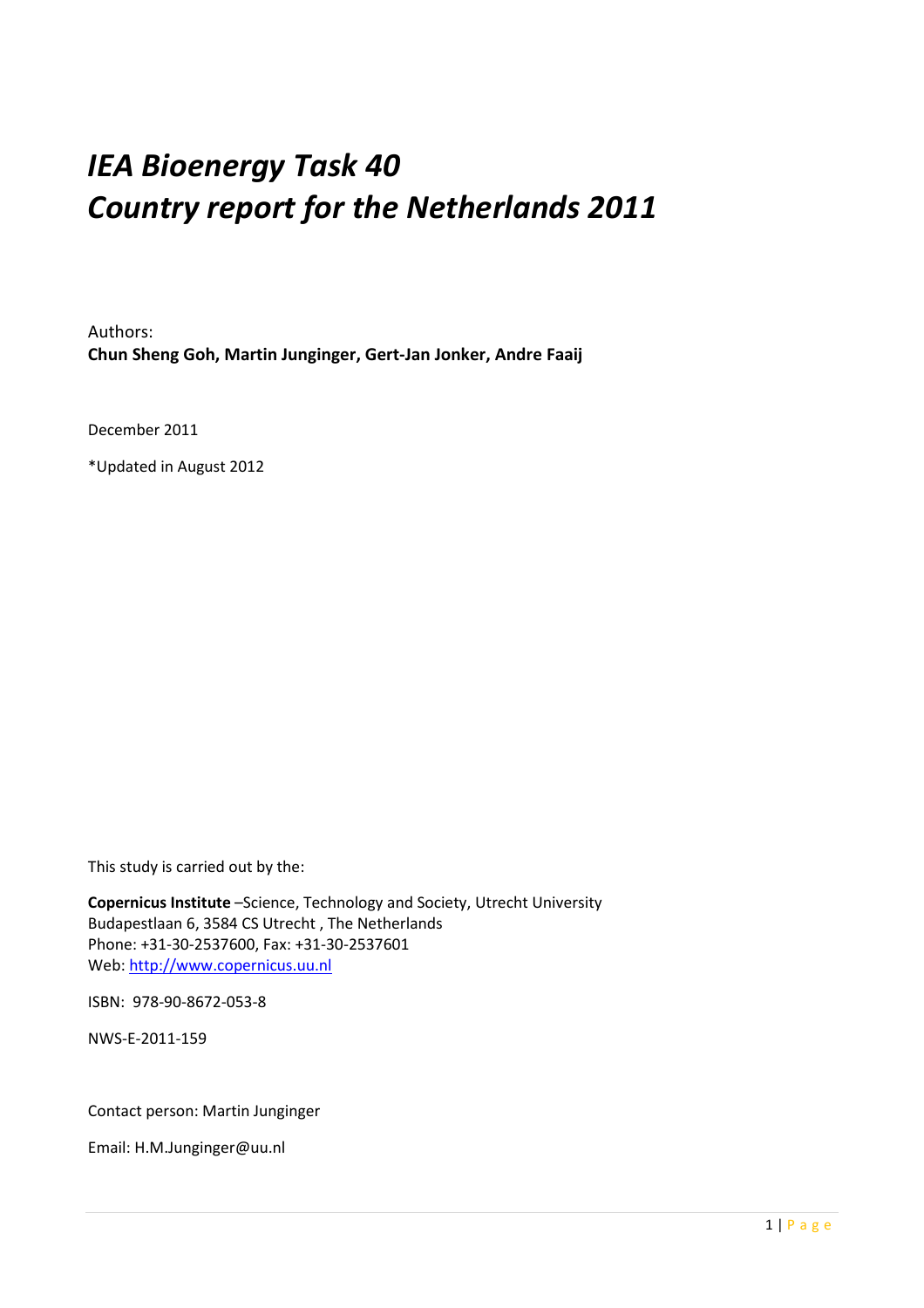# IEA Bioenergy Task 40 Country report for the Netherlands 2011

Authors: Chun Sheng Goh, Martin Junginger, Gert-Jan Jonker, Andre Faaij

December 2011

\*Updated in August 2012

This study is carried out by the:

Copernicus Institute –Science, Technology and Society, Utrecht University Budapestlaan 6, 3584 CS Utrecht , The Netherlands Phone: +31-30-2537600, Fax: +31-30-2537601 Web: http://www.copernicus.uu.nl

ISBN: 978-90-8672-053-8

NWS-E-2011-159

#### Contact person: Martin Junginger

Email: H.M.Junginger@uu.nl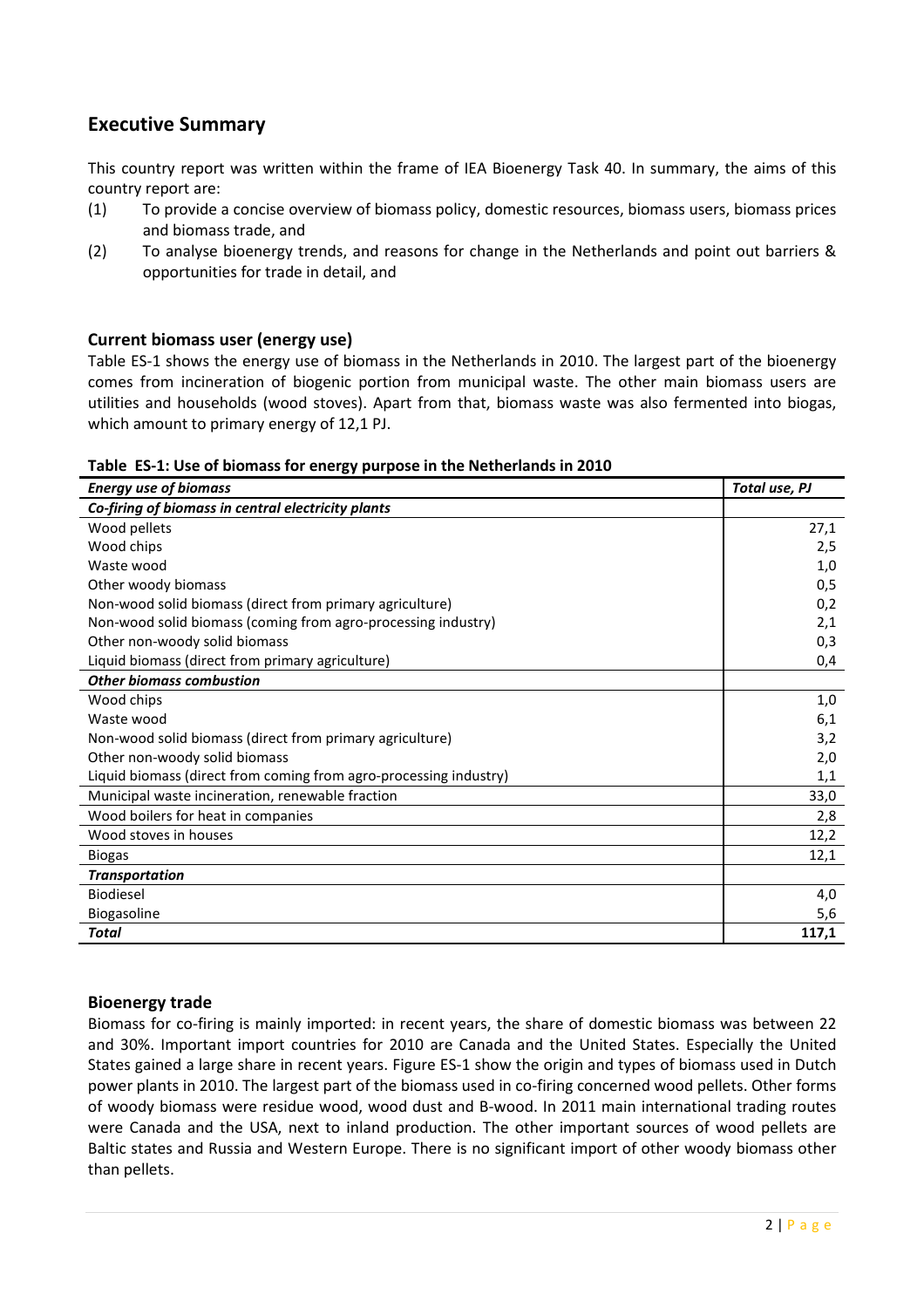# Executive Summary

This country report was written within the frame of IEA Bioenergy Task 40. In summary, the aims of this country report are:

- (1) To provide a concise overview of biomass policy, domestic resources, biomass users, biomass prices and biomass trade, and
- (2) To analyse bioenergy trends, and reasons for change in the Netherlands and point out barriers & opportunities for trade in detail, and

#### Current biomass user (energy use)

Table ES-1 shows the energy use of biomass in the Netherlands in 2010. The largest part of the bioenergy comes from incineration of biogenic portion from municipal waste. The other main biomass users are utilities and households (wood stoves). Apart from that, biomass waste was also fermented into biogas, which amount to primary energy of 12,1 PJ.

|  | Table ES-1: Use of biomass for energy purpose in the Netherlands in 2010 |  |  |  |  |  |  |
|--|--------------------------------------------------------------------------|--|--|--|--|--|--|
|--|--------------------------------------------------------------------------|--|--|--|--|--|--|

| <b>Energy use of biomass</b>                                      | Total use, PJ |
|-------------------------------------------------------------------|---------------|
| Co-firing of biomass in central electricity plants                |               |
| Wood pellets                                                      | 27,1          |
| Wood chips                                                        | 2,5           |
| Waste wood                                                        | 1,0           |
| Other woody biomass                                               | 0,5           |
| Non-wood solid biomass (direct from primary agriculture)          | 0,2           |
| Non-wood solid biomass (coming from agro-processing industry)     | 2,1           |
| Other non-woody solid biomass                                     | 0,3           |
| Liquid biomass (direct from primary agriculture)                  | 0,4           |
| <b>Other biomass combustion</b>                                   |               |
| Wood chips                                                        | 1,0           |
| Waste wood                                                        | 6,1           |
| Non-wood solid biomass (direct from primary agriculture)          | 3,2           |
| Other non-woody solid biomass                                     | 2,0           |
| Liquid biomass (direct from coming from agro-processing industry) | 1,1           |
| Municipal waste incineration, renewable fraction                  | 33,0          |
| Wood boilers for heat in companies                                | 2,8           |
| Wood stoves in houses                                             | 12,2          |
| <b>Biogas</b>                                                     | 12,1          |
| <b>Transportation</b>                                             |               |
| <b>Biodiesel</b>                                                  | 4,0           |
| Biogasoline                                                       | 5,6           |
| <b>Total</b>                                                      | 117,1         |

#### Bioenergy trade

Biomass for co-firing is mainly imported: in recent years, the share of domestic biomass was between 22 and 30%. Important import countries for 2010 are Canada and the United States. Especially the United States gained a large share in recent years. Figure ES-1 show the origin and types of biomass used in Dutch power plants in 2010. The largest part of the biomass used in co-firing concerned wood pellets. Other forms of woody biomass were residue wood, wood dust and B-wood. In 2011 main international trading routes were Canada and the USA, next to inland production. The other important sources of wood pellets are Baltic states and Russia and Western Europe. There is no significant import of other woody biomass other than pellets.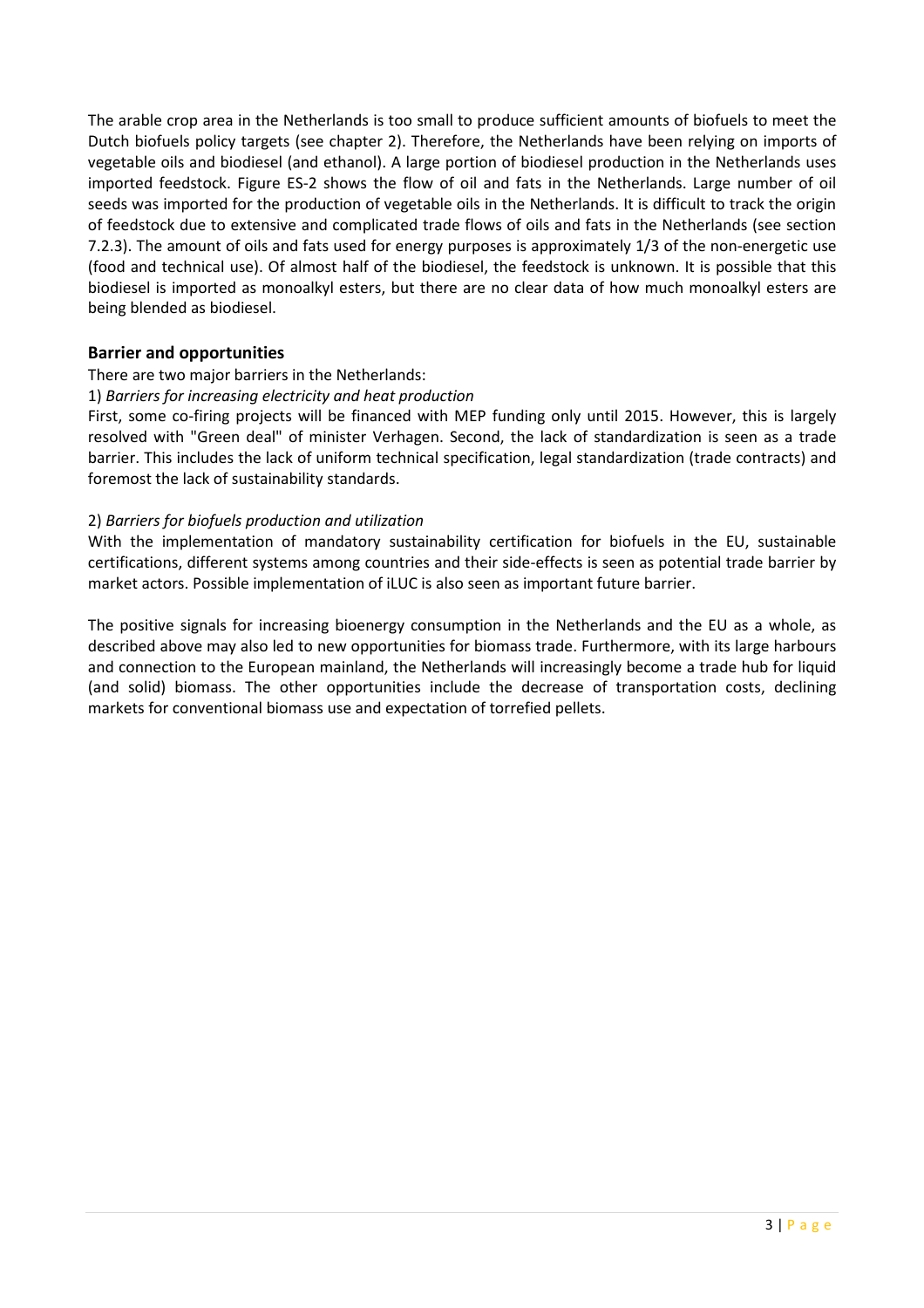The arable crop area in the Netherlands is too small to produce sufficient amounts of biofuels to meet the Dutch biofuels policy targets (see chapter 2). Therefore, the Netherlands have been relying on imports of vegetable oils and biodiesel (and ethanol). A large portion of biodiesel production in the Netherlands uses imported feedstock. Figure ES-2 shows the flow of oil and fats in the Netherlands. Large number of oil seeds was imported for the production of vegetable oils in the Netherlands. It is difficult to track the origin of feedstock due to extensive and complicated trade flows of oils and fats in the Netherlands (see section 7.2.3). The amount of oils and fats used for energy purposes is approximately 1/3 of the non-energetic use (food and technical use). Of almost half of the biodiesel, the feedstock is unknown. It is possible that this biodiesel is imported as monoalkyl esters, but there are no clear data of how much monoalkyl esters are being blended as biodiesel.

#### Barrier and opportunities

#### There are two major barriers in the Netherlands:

#### 1) Barriers for increasing electricity and heat production

First, some co-firing projects will be financed with MEP funding only until 2015. However, this is largely resolved with "Green deal" of minister Verhagen. Second, the lack of standardization is seen as a trade barrier. This includes the lack of uniform technical specification, legal standardization (trade contracts) and foremost the lack of sustainability standards.

#### 2) Barriers for biofuels production and utilization

With the implementation of mandatory sustainability certification for biofuels in the EU, sustainable certifications, different systems among countries and their side-effects is seen as potential trade barrier by market actors. Possible implementation of iLUC is also seen as important future barrier.

The positive signals for increasing bioenergy consumption in the Netherlands and the EU as a whole, as described above may also led to new opportunities for biomass trade. Furthermore, with its large harbours and connection to the European mainland, the Netherlands will increasingly become a trade hub for liquid (and solid) biomass. The other opportunities include the decrease of transportation costs, declining markets for conventional biomass use and expectation of torrefied pellets.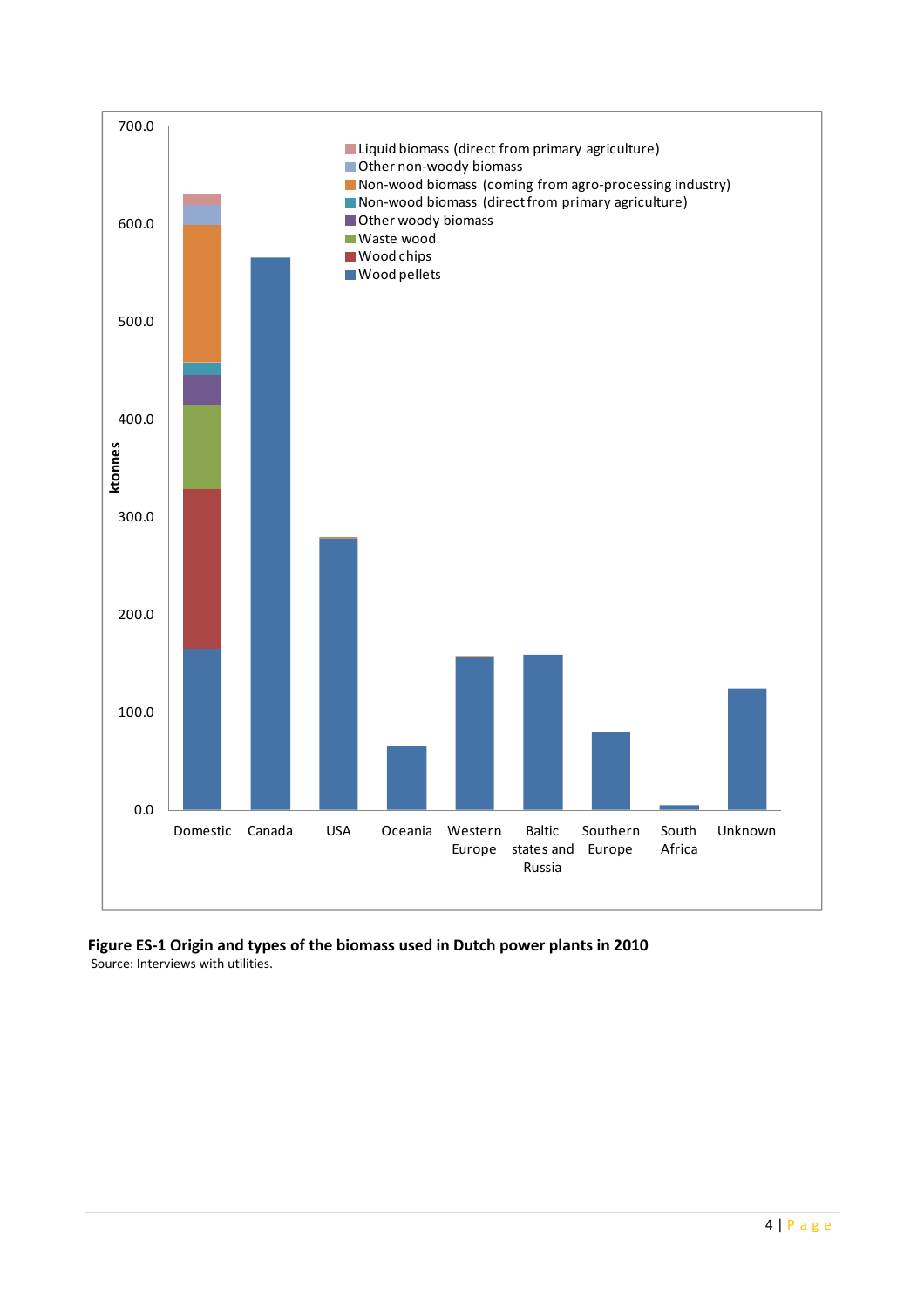

Figure ES-1 Origin and types of the biomass used in Dutch power plants in 2010 Source: Interviews with utilities.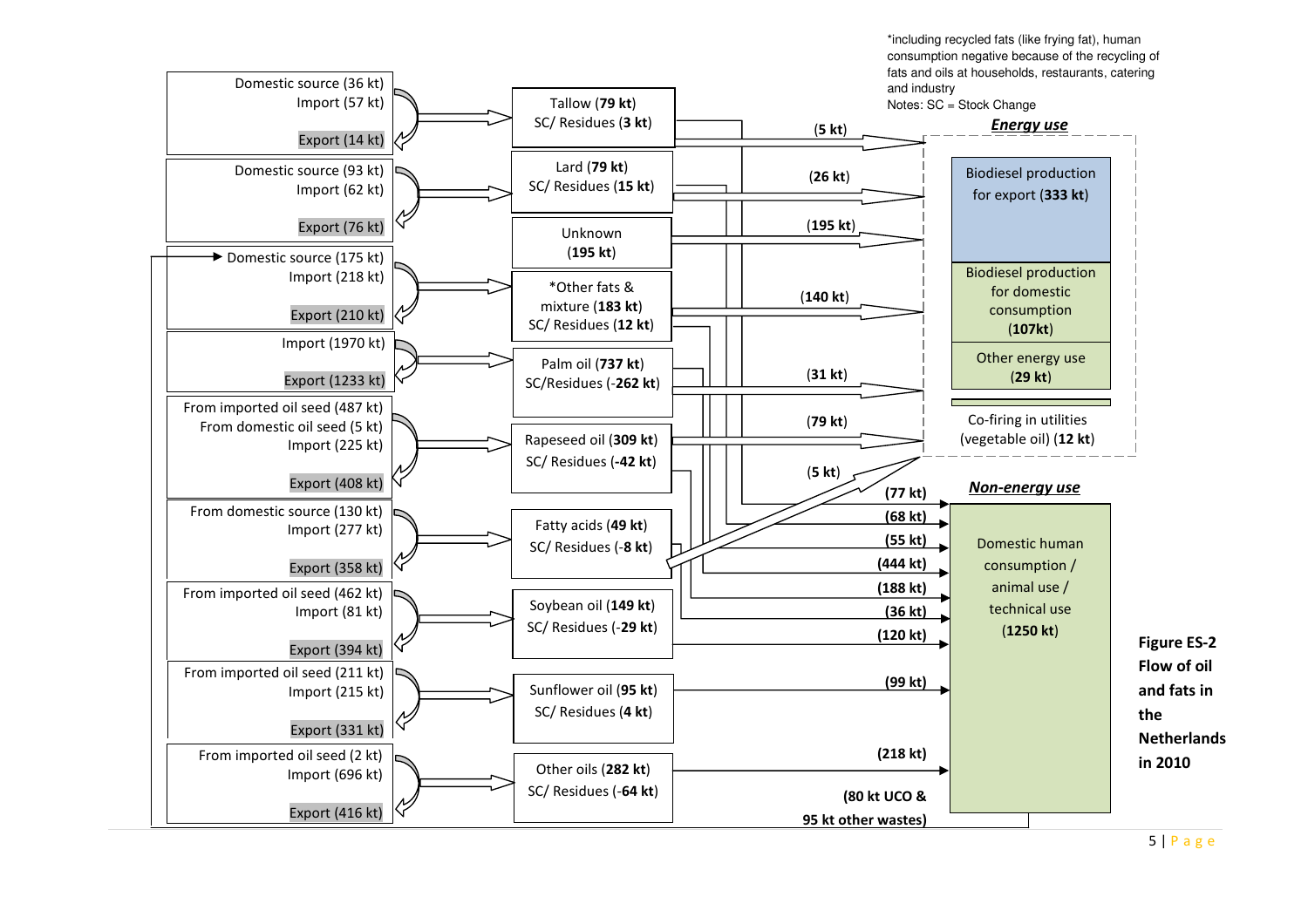\*including recycled fats (like frying fat), human consumption negative because of the recycling of fats and oils at households, restaurants, catering and industry



5 | P <sup>a</sup> <sup>g</sup> <sup>e</sup>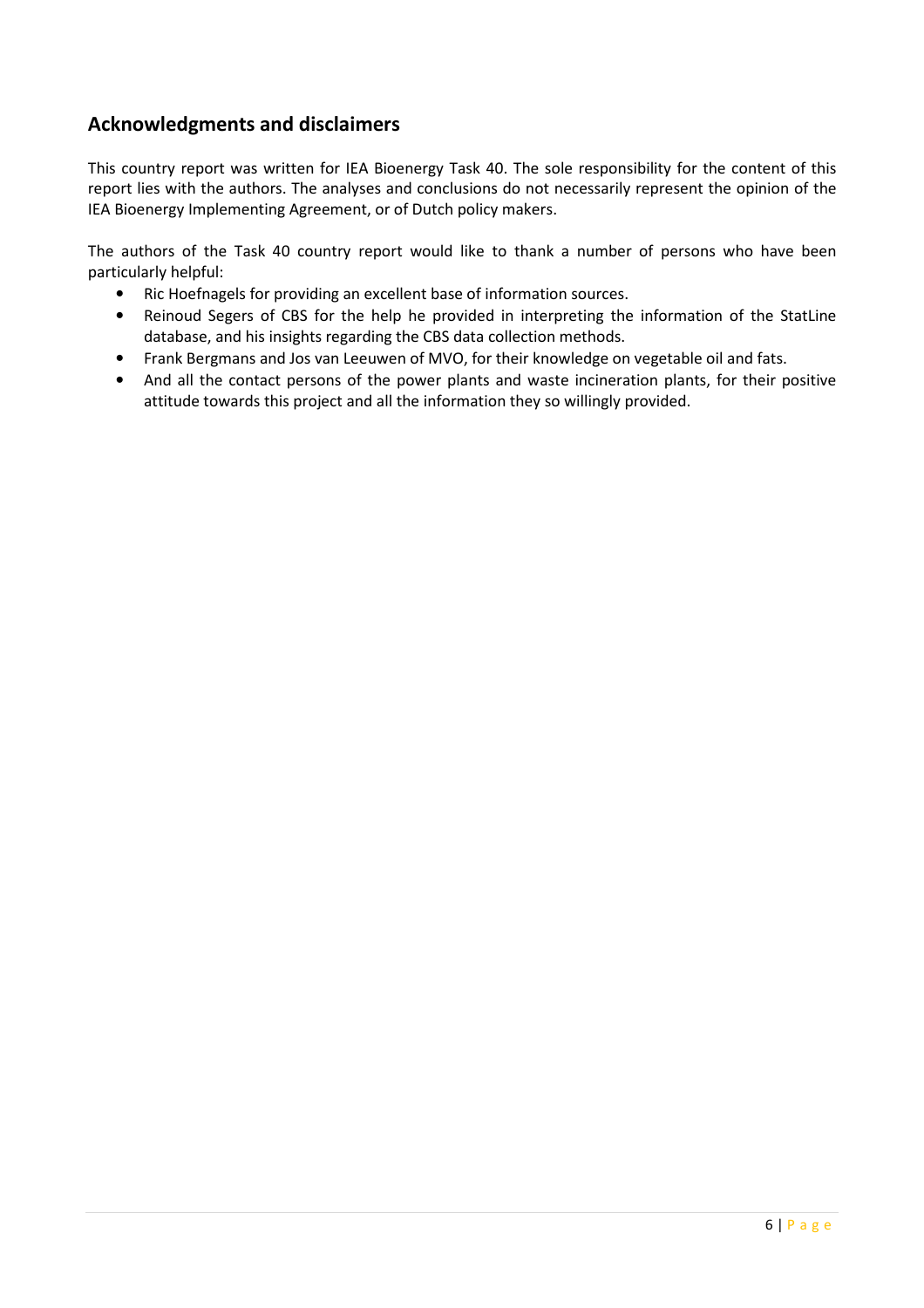# Acknowledgments and disclaimers

This country report was written for IEA Bioenergy Task 40. The sole responsibility for the content of this report lies with the authors. The analyses and conclusions do not necessarily represent the opinion of the IEA Bioenergy Implementing Agreement, or of Dutch policy makers.

The authors of the Task 40 country report would like to thank a number of persons who have been particularly helpful:

- Ric Hoefnagels for providing an excellent base of information sources.
- Reinoud Segers of CBS for the help he provided in interpreting the information of the StatLine database, and his insights regarding the CBS data collection methods.
- Frank Bergmans and Jos van Leeuwen of MVO, for their knowledge on vegetable oil and fats.
- And all the contact persons of the power plants and waste incineration plants, for their positive attitude towards this project and all the information they so willingly provided.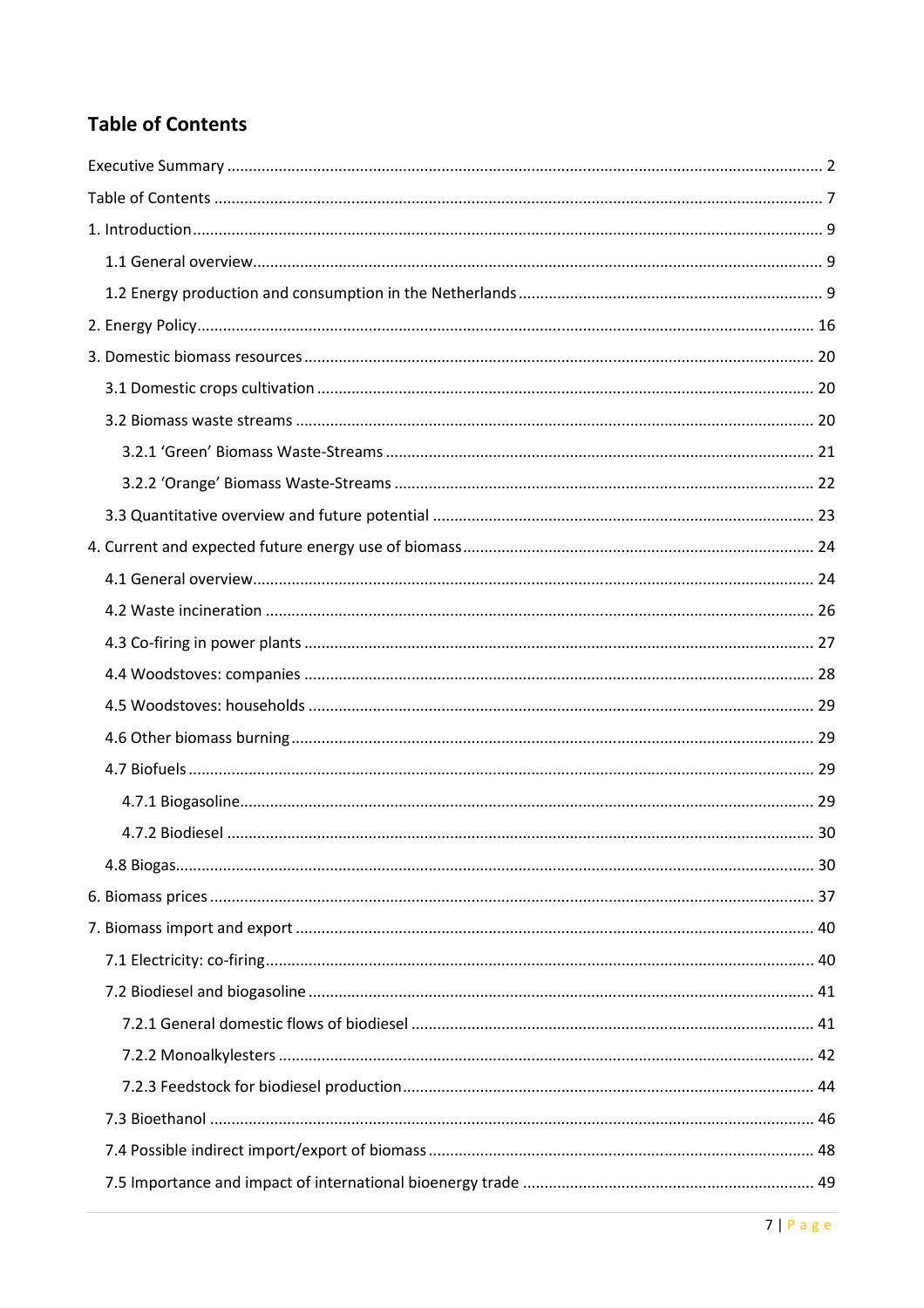# **Table of Contents**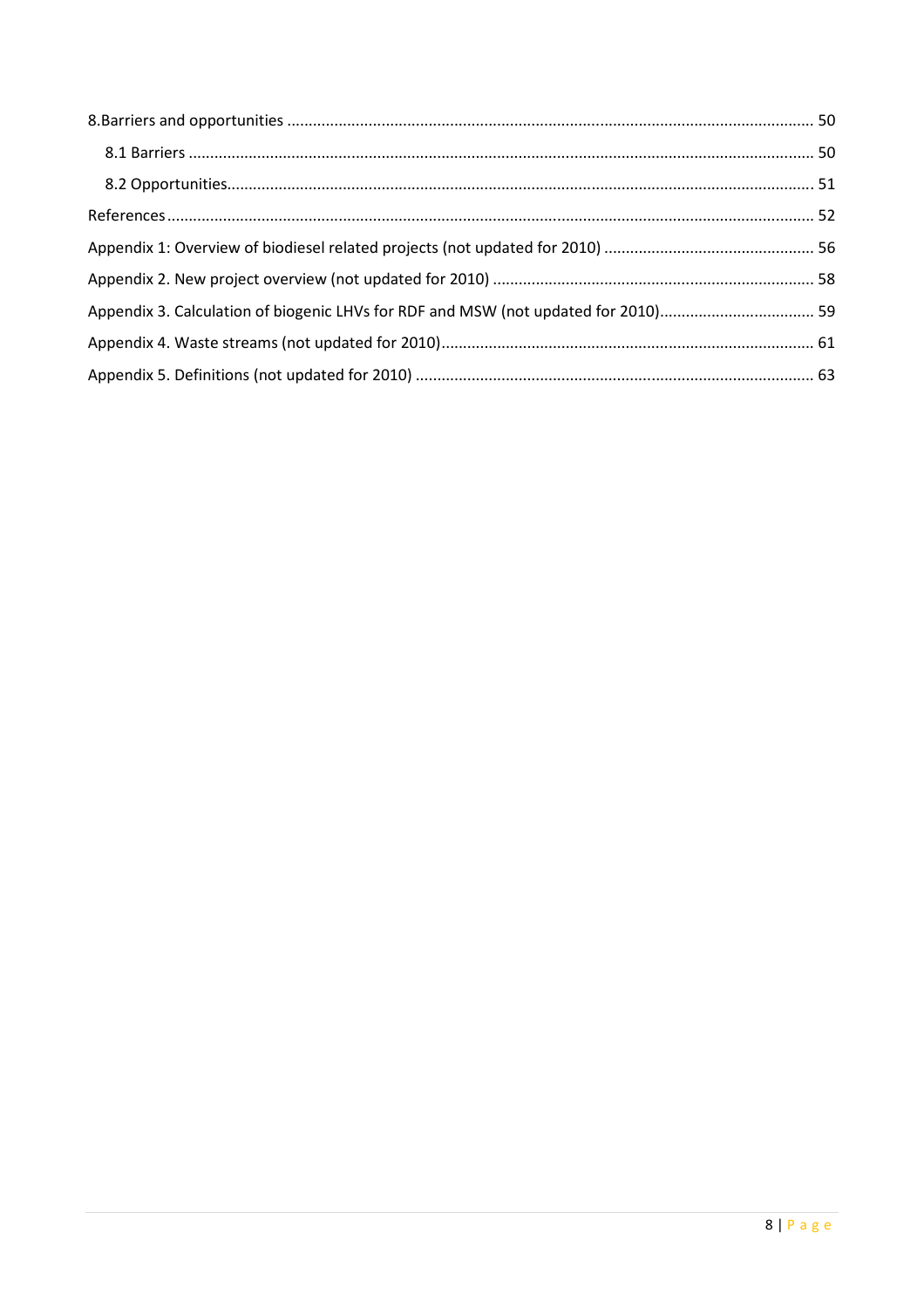| Appendix 3. Calculation of biogenic LHVs for RDF and MSW (not updated for 2010) 59 |  |
|------------------------------------------------------------------------------------|--|
|                                                                                    |  |
|                                                                                    |  |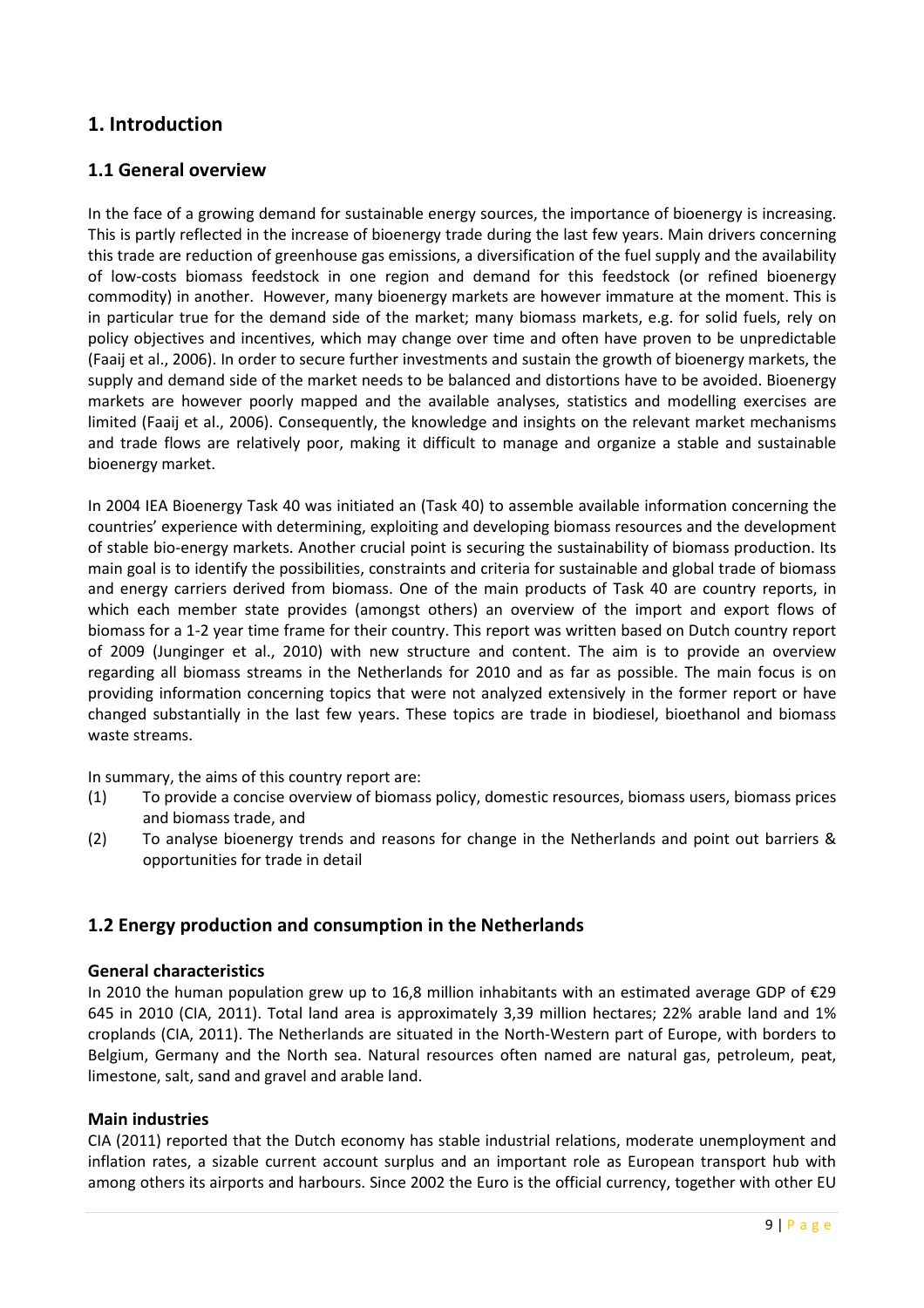# 1. Introduction

#### 1.1 General overview

In the face of a growing demand for sustainable energy sources, the importance of bioenergy is increasing. This is partly reflected in the increase of bioenergy trade during the last few years. Main drivers concerning this trade are reduction of greenhouse gas emissions, a diversification of the fuel supply and the availability of low-costs biomass feedstock in one region and demand for this feedstock (or refined bioenergy commodity) in another. However, many bioenergy markets are however immature at the moment. This is in particular true for the demand side of the market; many biomass markets, e.g. for solid fuels, rely on policy objectives and incentives, which may change over time and often have proven to be unpredictable (Faaij et al., 2006). In order to secure further investments and sustain the growth of bioenergy markets, the supply and demand side of the market needs to be balanced and distortions have to be avoided. Bioenergy markets are however poorly mapped and the available analyses, statistics and modelling exercises are limited (Faaij et al., 2006). Consequently, the knowledge and insights on the relevant market mechanisms and trade flows are relatively poor, making it difficult to manage and organize a stable and sustainable bioenergy market.

In 2004 IEA Bioenergy Task 40 was initiated an (Task 40) to assemble available information concerning the countries' experience with determining, exploiting and developing biomass resources and the development of stable bio-energy markets. Another crucial point is securing the sustainability of biomass production. Its main goal is to identify the possibilities, constraints and criteria for sustainable and global trade of biomass and energy carriers derived from biomass. One of the main products of Task 40 are country reports, in which each member state provides (amongst others) an overview of the import and export flows of biomass for a 1-2 year time frame for their country. This report was written based on Dutch country report of 2009 (Junginger et al., 2010) with new structure and content. The aim is to provide an overview regarding all biomass streams in the Netherlands for 2010 and as far as possible. The main focus is on providing information concerning topics that were not analyzed extensively in the former report or have changed substantially in the last few years. These topics are trade in biodiesel, bioethanol and biomass waste streams.

In summary, the aims of this country report are:

- (1) To provide a concise overview of biomass policy, domestic resources, biomass users, biomass prices and biomass trade, and
- (2) To analyse bioenergy trends and reasons for change in the Netherlands and point out barriers & opportunities for trade in detail

#### 1.2 Energy production and consumption in the Netherlands

#### General characteristics

In 2010 the human population grew up to 16,8 million inhabitants with an estimated average GDP of €29 645 in 2010 (CIA, 2011). Total land area is approximately 3,39 million hectares; 22% arable land and 1% croplands (CIA, 2011). The Netherlands are situated in the North-Western part of Europe, with borders to Belgium, Germany and the North sea. Natural resources often named are natural gas, petroleum, peat, limestone, salt, sand and gravel and arable land.

#### Main industries

CIA (2011) reported that the Dutch economy has stable industrial relations, moderate unemployment and inflation rates, a sizable current account surplus and an important role as European transport hub with among others its airports and harbours. Since 2002 the Euro is the official currency, together with other EU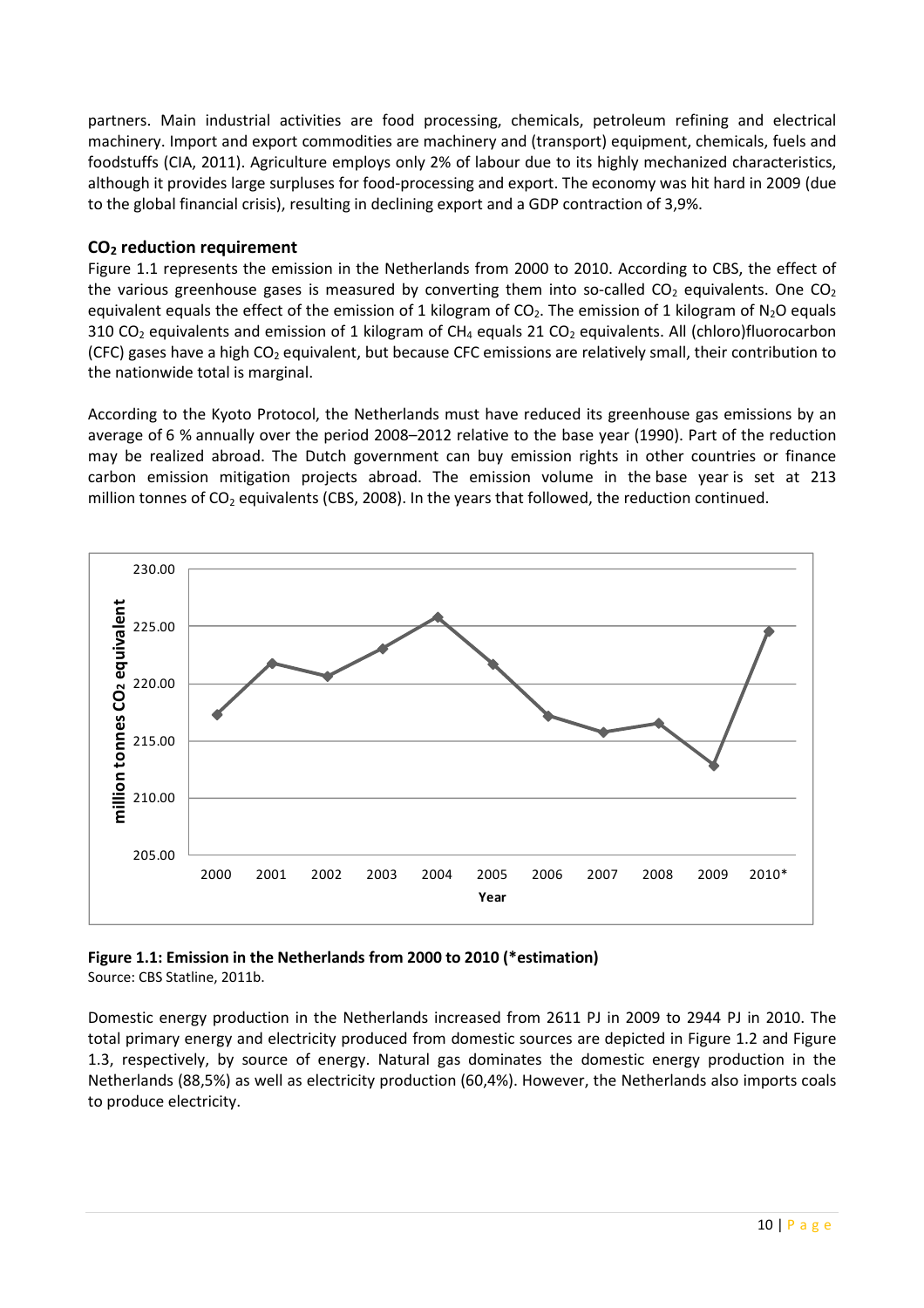partners. Main industrial activities are food processing, chemicals, petroleum refining and electrical machinery. Import and export commodities are machinery and (transport) equipment, chemicals, fuels and foodstuffs (CIA, 2011). Agriculture employs only 2% of labour due to its highly mechanized characteristics, although it provides large surpluses for food-processing and export. The economy was hit hard in 2009 (due to the global financial crisis), resulting in declining export and a GDP contraction of 3,9%.

#### CO<sub>2</sub> reduction requirement

Figure 1.1 represents the emission in the Netherlands from 2000 to 2010. According to CBS, the effect of the various greenhouse gases is measured by converting them into so-called  $CO<sub>2</sub>$  equivalents. One  $CO<sub>2</sub>$ equivalent equals the effect of the emission of 1 kilogram of  $CO<sub>2</sub>$ . The emission of 1 kilogram of  $N<sub>2</sub>O$  equals 310 CO<sub>2</sub> equivalents and emission of 1 kilogram of CH<sub>4</sub> equals 21 CO<sub>2</sub> equivalents. All (chloro)fluorocarbon (CFC) gases have a high  $CO<sub>2</sub>$  equivalent, but because CFC emissions are relatively small, their contribution to the nationwide total is marginal.

According to the Kyoto Protocol, the Netherlands must have reduced its greenhouse gas emissions by an average of 6 % annually over the period 2008–2012 relative to the base year (1990). Part of the reduction may be realized abroad. The Dutch government can buy emission rights in other countries or finance carbon emission mitigation projects abroad. The emission volume in the base year is set at 213 million tonnes of CO<sub>2</sub> equivalents (CBS, 2008). In the years that followed, the reduction continued.



Figure 1.1: Emission in the Netherlands from 2000 to 2010 (\*estimation) Source: CBS Statline, 2011b.

Domestic energy production in the Netherlands increased from 2611 PJ in 2009 to 2944 PJ in 2010. The total primary energy and electricity produced from domestic sources are depicted in Figure 1.2 and Figure 1.3, respectively, by source of energy. Natural gas dominates the domestic energy production in the Netherlands (88,5%) as well as electricity production (60,4%). However, the Netherlands also imports coals to produce electricity.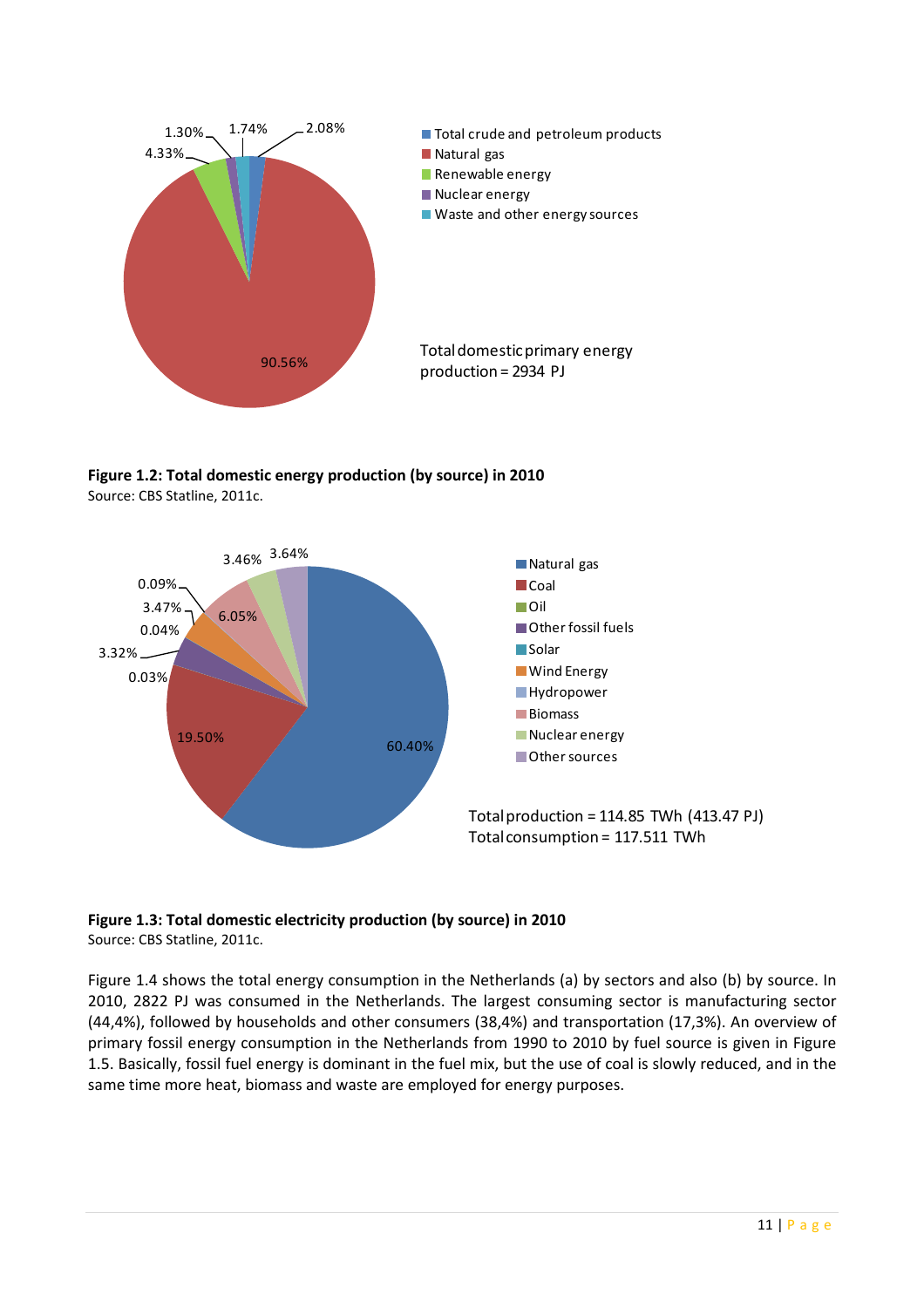

Figure 1.2: Total domestic energy production (by source) in 2010 Source: CBS Statline, 2011c.





Figure 1.4 shows the total energy consumption in the Netherlands (a) by sectors and also (b) by source. In 2010, 2822 PJ was consumed in the Netherlands. The largest consuming sector is manufacturing sector (44,4%), followed by households and other consumers (38,4%) and transportation (17,3%). An overview of primary fossil energy consumption in the Netherlands from 1990 to 2010 by fuel source is given in Figure 1.5. Basically, fossil fuel energy is dominant in the fuel mix, but the use of coal is slowly reduced, and in the same time more heat, biomass and waste are employed for energy purposes.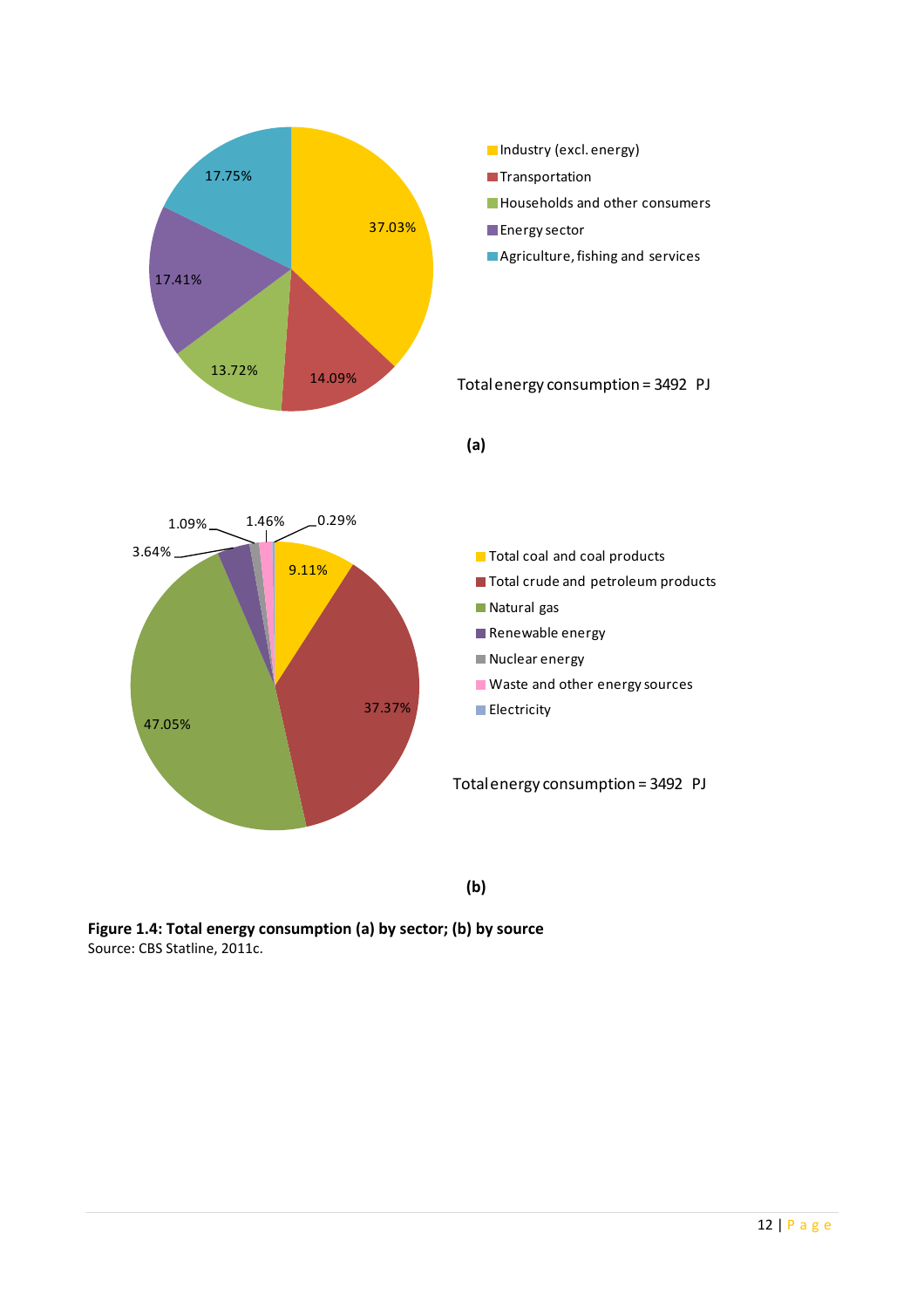

(b)

Figure 1.4: Total energy consumption (a) by sector; (b) by source Source: CBS Statline, 2011c.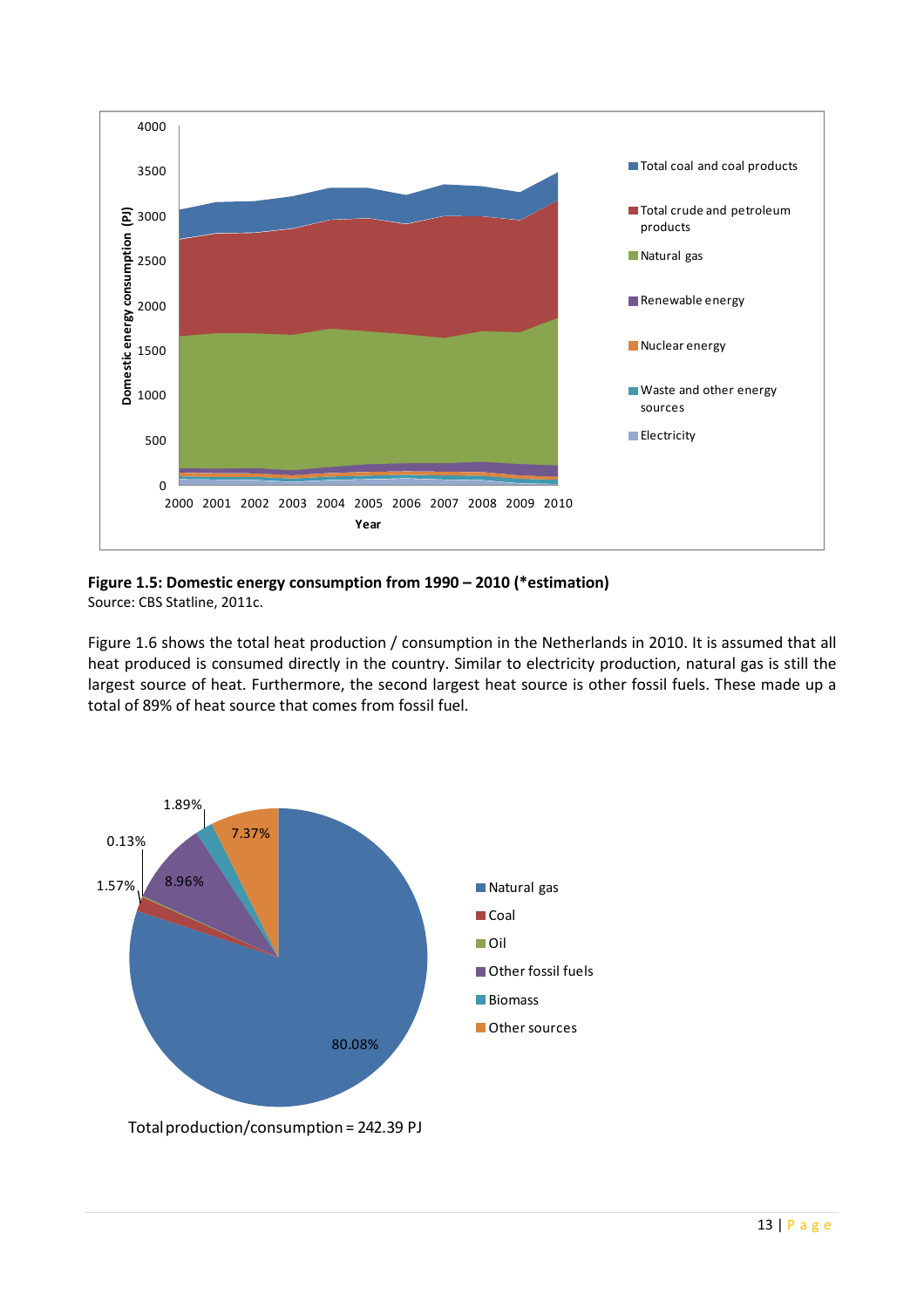

Figure 1.5: Domestic energy consumption from 1990 – 2010 (\*estimation) Source: CBS Statline, 2011c.

Figure 1.6 shows the total heat production / consumption in the Netherlands in 2010. It is assumed that all heat produced is consumed directly in the country. Similar to electricity production, natural gas is still the largest source of heat. Furthermore, the second largest heat source is other fossil fuels. These made up a total of 89% of heat source that comes from fossil fuel.

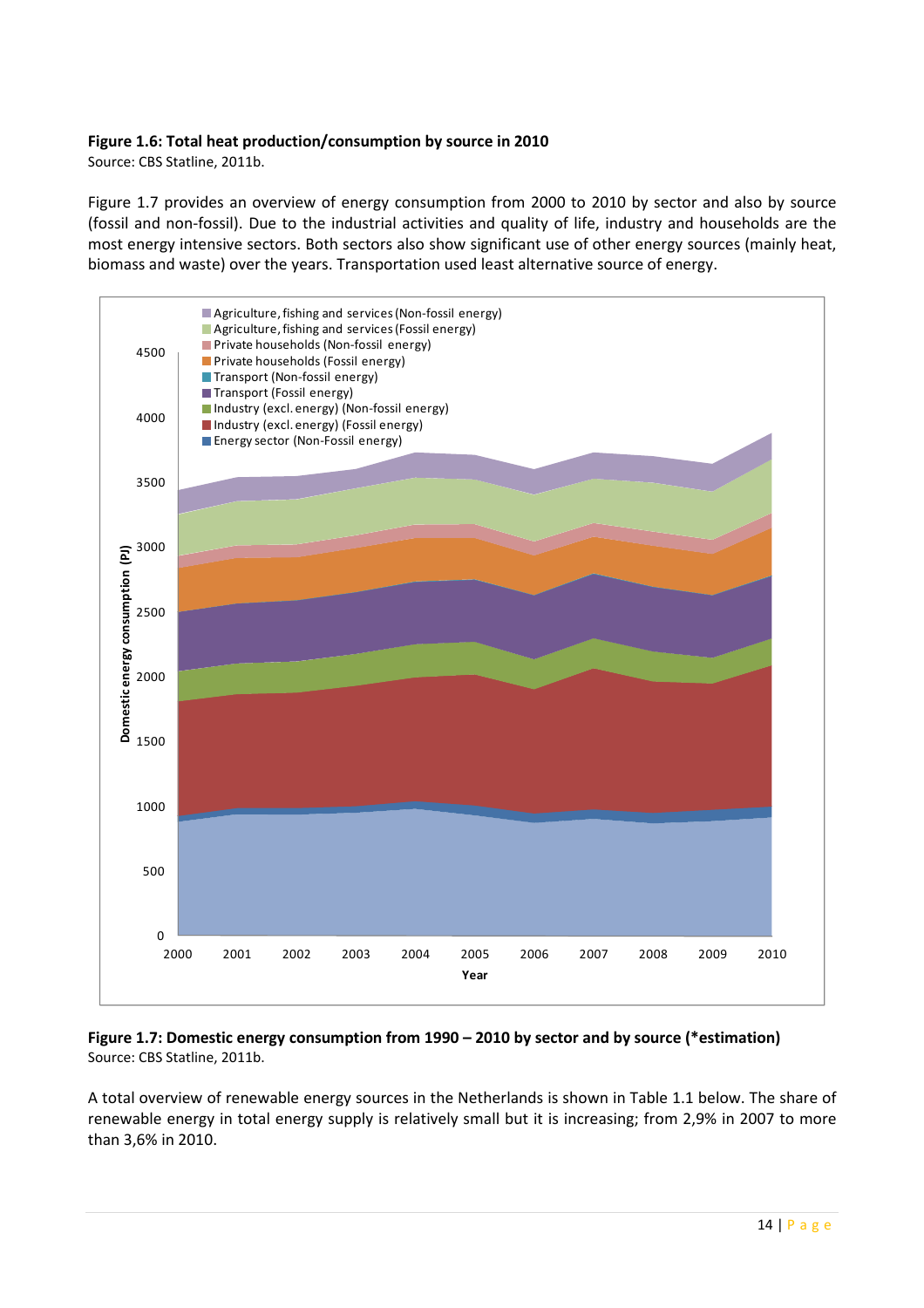#### Figure 1.6: Total heat production/consumption by source in 2010

Source: CBS Statline, 2011b.

Figure 1.7 provides an overview of energy consumption from 2000 to 2010 by sector and also by source (fossil and non-fossil). Due to the industrial activities and quality of life, industry and households are the most energy intensive sectors. Both sectors also show significant use of other energy sources (mainly heat, biomass and waste) over the years. Transportation used least alternative source of energy.



Figure 1.7: Domestic energy consumption from 1990 – 2010 by sector and by source (\*estimation) Source: CBS Statline, 2011b.

A total overview of renewable energy sources in the Netherlands is shown in Table 1.1 below. The share of renewable energy in total energy supply is relatively small but it is increasing; from 2,9% in 2007 to more than 3,6% in 2010.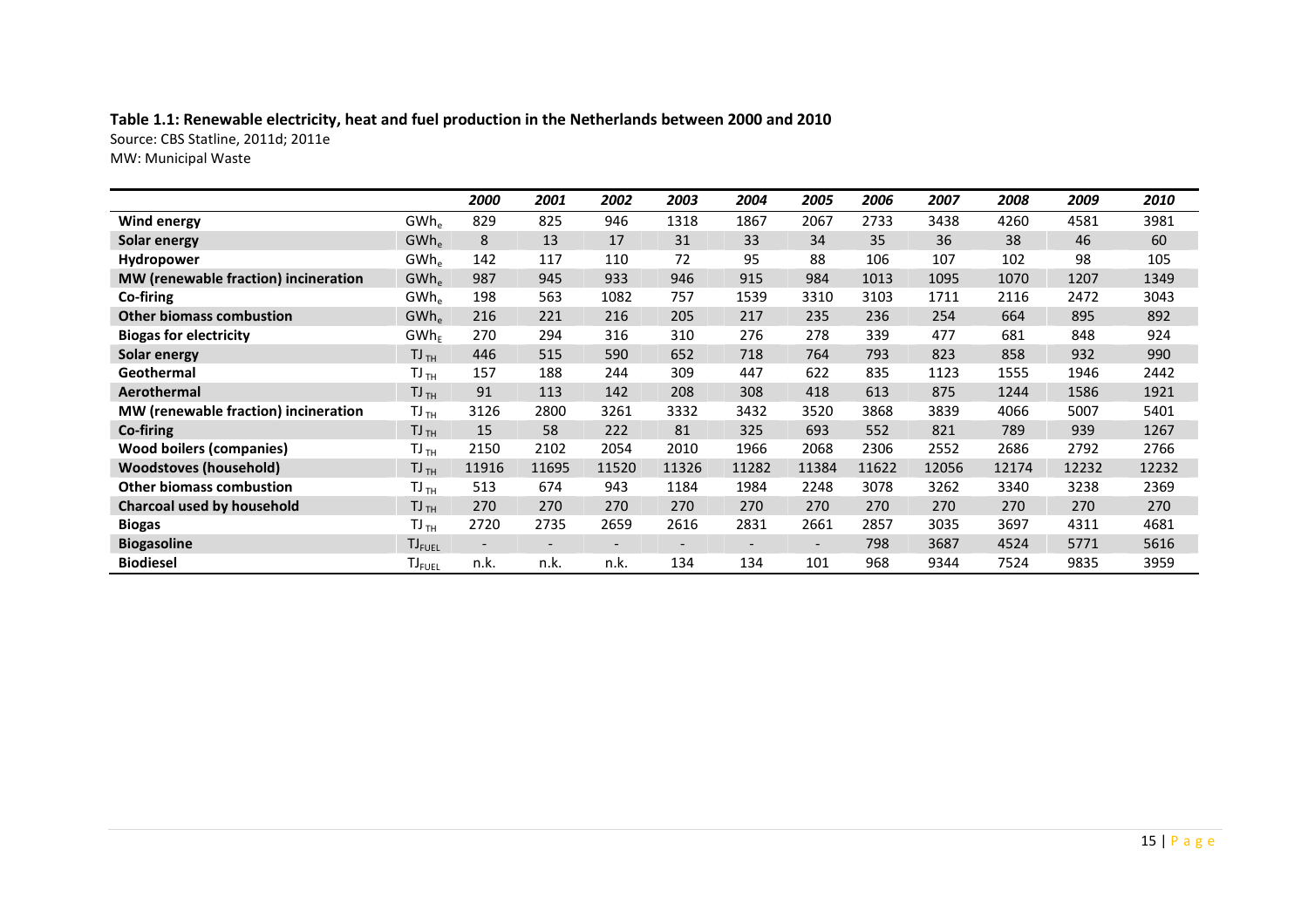# Table 1.1: Renewable electricity, heat and fuel production in the Netherlands between 2000 and 2010

Source: CBS Statline, 2011d; 2011e

MW: Municipal Waste

|                                      |                               | 2000  | 2001  | 2002  | 2003  | 2004  | 2005  | 2006  | 2007  | 2008  | 2009  | 2010  |
|--------------------------------------|-------------------------------|-------|-------|-------|-------|-------|-------|-------|-------|-------|-------|-------|
| <b>Wind energy</b>                   | GWh <sub>e</sub>              | 829   | 825   | 946   | 1318  | 1867  | 2067  | 2733  | 3438  | 4260  | 4581  | 3981  |
| Solar energy                         | GWh <sub>e</sub>              | 8     | 13    | 17    | 31    | 33    | 34    | 35    | 36    | 38    | 46    | 60    |
| Hydropower                           | $GWh_e$                       | 142   | 117   | 110   | 72    | 95    | 88    | 106   | 107   | 102   | 98    | 105   |
| MW (renewable fraction) incineration | GWh <sub>e</sub>              | 987   | 945   | 933   | 946   | 915   | 984   | 1013  | 1095  | 1070  | 1207  | 1349  |
| Co-firing                            | GWh <sub>e</sub>              | 198   | 563   | 1082  | 757   | 1539  | 3310  | 3103  | 1711  | 2116  | 2472  | 3043  |
| <b>Other biomass combustion</b>      | $GWh_e$                       | 216   | 221   | 216   | 205   | 217   | 235   | 236   | 254   | 664   | 895   | 892   |
| <b>Biogas for electricity</b>        | $GWh_F$                       | 270   | 294   | 316   | 310   | 276   | 278   | 339   | 477   | 681   | 848   | 924   |
| Solar energy                         | $TJ$ <sub>TH</sub>            | 446   | 515   | 590   | 652   | 718   | 764   | 793   | 823   | 858   | 932   | 990   |
| Geothermal                           | $TJ$ <sub>TH</sub>            | 157   | 188   | 244   | 309   | 447   | 622   | 835   | 1123  | 1555  | 1946  | 2442  |
| Aerothermal                          | $TJ$ <sub>TH</sub>            | 91    | 113   | 142   | 208   | 308   | 418   | 613   | 875   | 1244  | 1586  | 1921  |
| MW (renewable fraction) incineration | $TJ$ <sub>TH</sub>            | 3126  | 2800  | 3261  | 3332  | 3432  | 3520  | 3868  | 3839  | 4066  | 5007  | 5401  |
| Co-firing                            | $TJ$ <sub>TH</sub>            | 15    | 58    | 222   | 81    | 325   | 693   | 552   | 821   | 789   | 939   | 1267  |
| <b>Wood boilers (companies)</b>      | $TJ$ <sub>TH</sub>            | 2150  | 2102  | 2054  | 2010  | 1966  | 2068  | 2306  | 2552  | 2686  | 2792  | 2766  |
| <b>Woodstoves (household)</b>        | $TJ$ <sub>TH</sub>            | 11916 | 11695 | 11520 | 11326 | 11282 | 11384 | 11622 | 12056 | 12174 | 12232 | 12232 |
| <b>Other biomass combustion</b>      | $TJ$ <sub>TH</sub>            | 513   | 674   | 943   | 1184  | 1984  | 2248  | 3078  | 3262  | 3340  | 3238  | 2369  |
| Charcoal used by household           | $TJ$ <sub>TH</sub>            | 270   | 270   | 270   | 270   | 270   | 270   | 270   | 270   | 270   | 270   | 270   |
| <b>Biogas</b>                        | $TJ$ <sub>TH</sub>            | 2720  | 2735  | 2659  | 2616  | 2831  | 2661  | 2857  | 3035  | 3697  | 4311  | 4681  |
| <b>Biogasoline</b>                   | $TJ_{FUEL}$                   |       |       |       |       |       |       | 798   | 3687  | 4524  | 5771  | 5616  |
| <b>Biodiesel</b>                     | $\mathsf{TI}_{\mathsf{FUEL}}$ | n.k.  | n.k.  | n.k.  | 134   | 134   | 101   | 968   | 9344  | 7524  | 9835  | 3959  |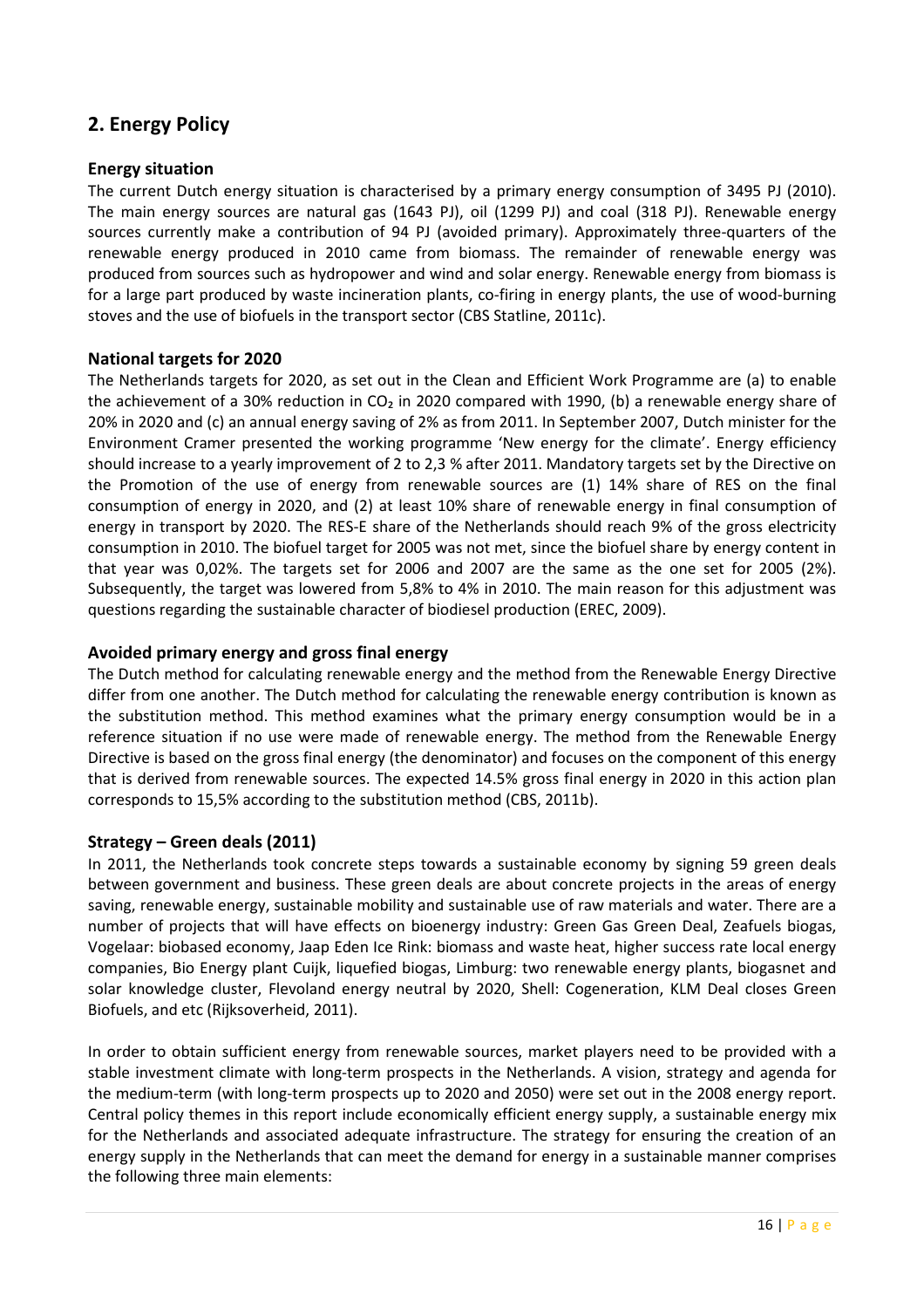# 2. Energy Policy

#### Energy situation

The current Dutch energy situation is characterised by a primary energy consumption of 3495 PJ (2010). The main energy sources are natural gas (1643 PJ), oil (1299 PJ) and coal (318 PJ). Renewable energy sources currently make a contribution of 94 PJ (avoided primary). Approximately three-quarters of the renewable energy produced in 2010 came from biomass. The remainder of renewable energy was produced from sources such as hydropower and wind and solar energy. Renewable energy from biomass is for a large part produced by waste incineration plants, co-firing in energy plants, the use of wood-burning stoves and the use of biofuels in the transport sector (CBS Statline, 2011c).

#### National targets for 2020

The Netherlands targets for 2020, as set out in the Clean and Efficient Work Programme are (a) to enable the achievement of a 30% reduction in CO<sub>2</sub> in 2020 compared with 1990, (b) a renewable energy share of 20% in 2020 and (c) an annual energy saving of 2% as from 2011. In September 2007, Dutch minister for the Environment Cramer presented the working programme 'New energy for the climate'. Energy efficiency should increase to a yearly improvement of 2 to 2,3 % after 2011. Mandatory targets set by the Directive on the Promotion of the use of energy from renewable sources are (1) 14% share of RES on the final consumption of energy in 2020, and (2) at least 10% share of renewable energy in final consumption of energy in transport by 2020. The RES-E share of the Netherlands should reach 9% of the gross electricity consumption in 2010. The biofuel target for 2005 was not met, since the biofuel share by energy content in that year was 0,02%. The targets set for 2006 and 2007 are the same as the one set for 2005 (2%). Subsequently, the target was lowered from 5,8% to 4% in 2010. The main reason for this adjustment was questions regarding the sustainable character of biodiesel production (EREC, 2009).

#### Avoided primary energy and gross final energy

The Dutch method for calculating renewable energy and the method from the Renewable Energy Directive differ from one another. The Dutch method for calculating the renewable energy contribution is known as the substitution method. This method examines what the primary energy consumption would be in a reference situation if no use were made of renewable energy. The method from the Renewable Energy Directive is based on the gross final energy (the denominator) and focuses on the component of this energy that is derived from renewable sources. The expected 14.5% gross final energy in 2020 in this action plan corresponds to 15,5% according to the substitution method (CBS, 2011b).

#### Strategy – Green deals (2011)

In 2011, the Netherlands took concrete steps towards a sustainable economy by signing 59 green deals between government and business. These green deals are about concrete projects in the areas of energy saving, renewable energy, sustainable mobility and sustainable use of raw materials and water. There are a number of projects that will have effects on bioenergy industry: Green Gas Green Deal, Zeafuels biogas, Vogelaar: biobased economy, Jaap Eden Ice Rink: biomass and waste heat, higher success rate local energy companies, Bio Energy plant Cuijk, liquefied biogas, Limburg: two renewable energy plants, biogasnet and solar knowledge cluster, Flevoland energy neutral by 2020, Shell: Cogeneration, KLM Deal closes Green Biofuels, and etc (Rijksoverheid, 2011).

In order to obtain sufficient energy from renewable sources, market players need to be provided with a stable investment climate with long-term prospects in the Netherlands. A vision, strategy and agenda for the medium-term (with long-term prospects up to 2020 and 2050) were set out in the 2008 energy report. Central policy themes in this report include economically efficient energy supply, a sustainable energy mix for the Netherlands and associated adequate infrastructure. The strategy for ensuring the creation of an energy supply in the Netherlands that can meet the demand for energy in a sustainable manner comprises the following three main elements: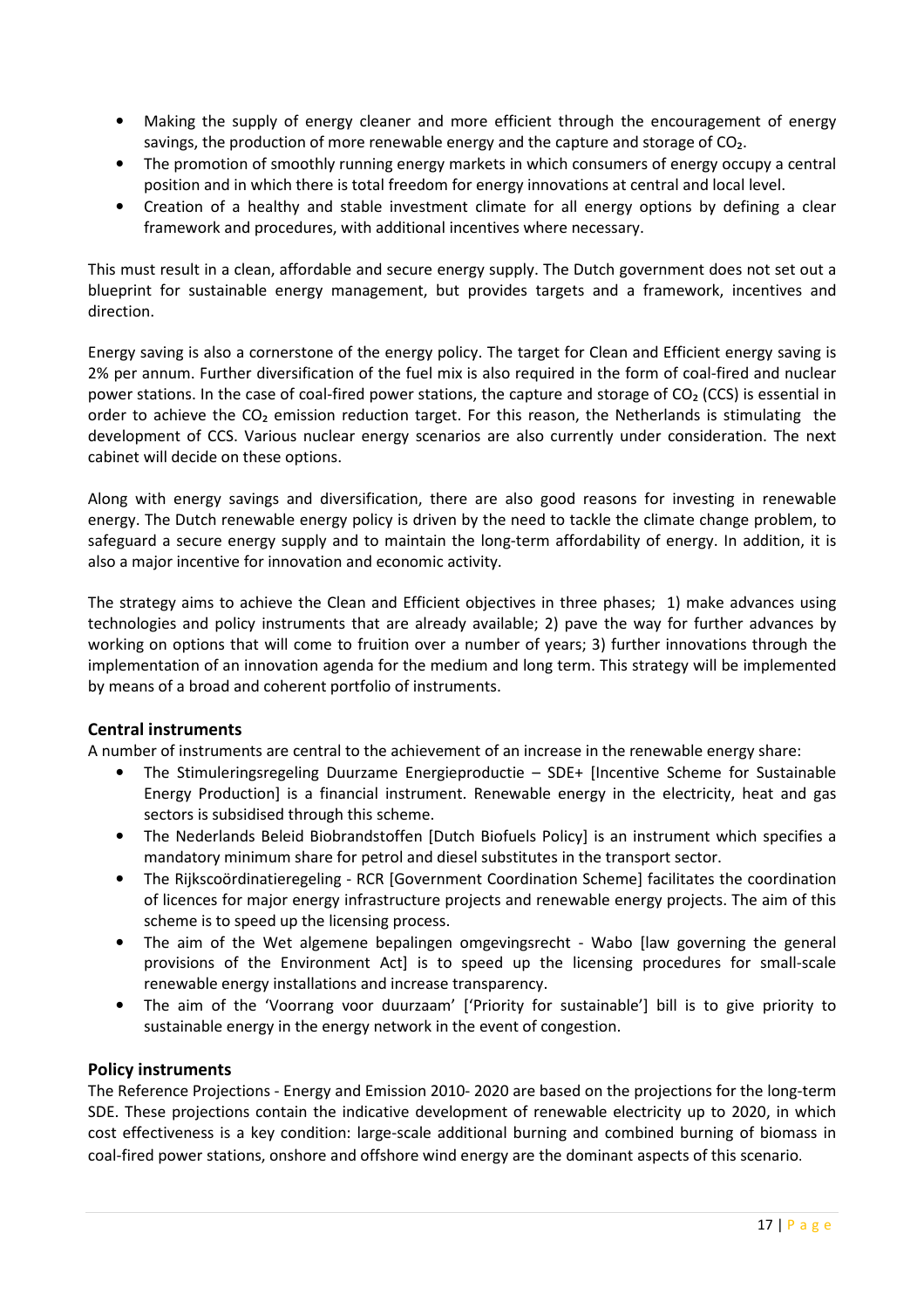- Making the supply of energy cleaner and more efficient through the encouragement of energy savings, the production of more renewable energy and the capture and storage of CO₂.
- The promotion of smoothly running energy markets in which consumers of energy occupy a central position and in which there is total freedom for energy innovations at central and local level.
- Creation of a healthy and stable investment climate for all energy options by defining a clear framework and procedures, with additional incentives where necessary.

This must result in a clean, affordable and secure energy supply. The Dutch government does not set out a blueprint for sustainable energy management, but provides targets and a framework, incentives and direction.

Energy saving is also a cornerstone of the energy policy. The target for Clean and Efficient energy saving is 2% per annum. Further diversification of the fuel mix is also required in the form of coal-fired and nuclear power stations. In the case of coal-fired power stations, the capture and storage of CO₂ (CCS) is essential in order to achieve the CO<sub>2</sub> emission reduction target. For this reason, the Netherlands is stimulating the development of CCS. Various nuclear energy scenarios are also currently under consideration. The next cabinet will decide on these options.

Along with energy savings and diversification, there are also good reasons for investing in renewable energy. The Dutch renewable energy policy is driven by the need to tackle the climate change problem, to safeguard a secure energy supply and to maintain the long-term affordability of energy. In addition, it is also a major incentive for innovation and economic activity.

The strategy aims to achieve the Clean and Efficient objectives in three phases; 1) make advances using technologies and policy instruments that are already available; 2) pave the way for further advances by working on options that will come to fruition over a number of years; 3) further innovations through the implementation of an innovation agenda for the medium and long term. This strategy will be implemented by means of a broad and coherent portfolio of instruments.

#### Central instruments

A number of instruments are central to the achievement of an increase in the renewable energy share:

- The Stimuleringsregeling Duurzame Energieproductie SDE+ [Incentive Scheme for Sustainable Energy Production] is a financial instrument. Renewable energy in the electricity, heat and gas sectors is subsidised through this scheme.
- The Nederlands Beleid Biobrandstoffen [Dutch Biofuels Policy] is an instrument which specifies a mandatory minimum share for petrol and diesel substitutes in the transport sector.
- The Rijkscoördinatieregeling RCR [Government Coordination Scheme] facilitates the coordination of licences for major energy infrastructure projects and renewable energy projects. The aim of this scheme is to speed up the licensing process.
- The aim of the Wet algemene bepalingen omgevingsrecht Wabo [law governing the general provisions of the Environment Act] is to speed up the licensing procedures for small-scale renewable energy installations and increase transparency.
- The aim of the 'Voorrang voor duurzaam' ['Priority for sustainable'] bill is to give priority to sustainable energy in the energy network in the event of congestion.

#### Policy instruments

The Reference Projections - Energy and Emission 2010- 2020 are based on the projections for the long-term SDE. These projections contain the indicative development of renewable electricity up to 2020, in which cost effectiveness is a key condition: large-scale additional burning and combined burning of biomass in coal-fired power stations, onshore and offshore wind energy are the dominant aspects of this scenario.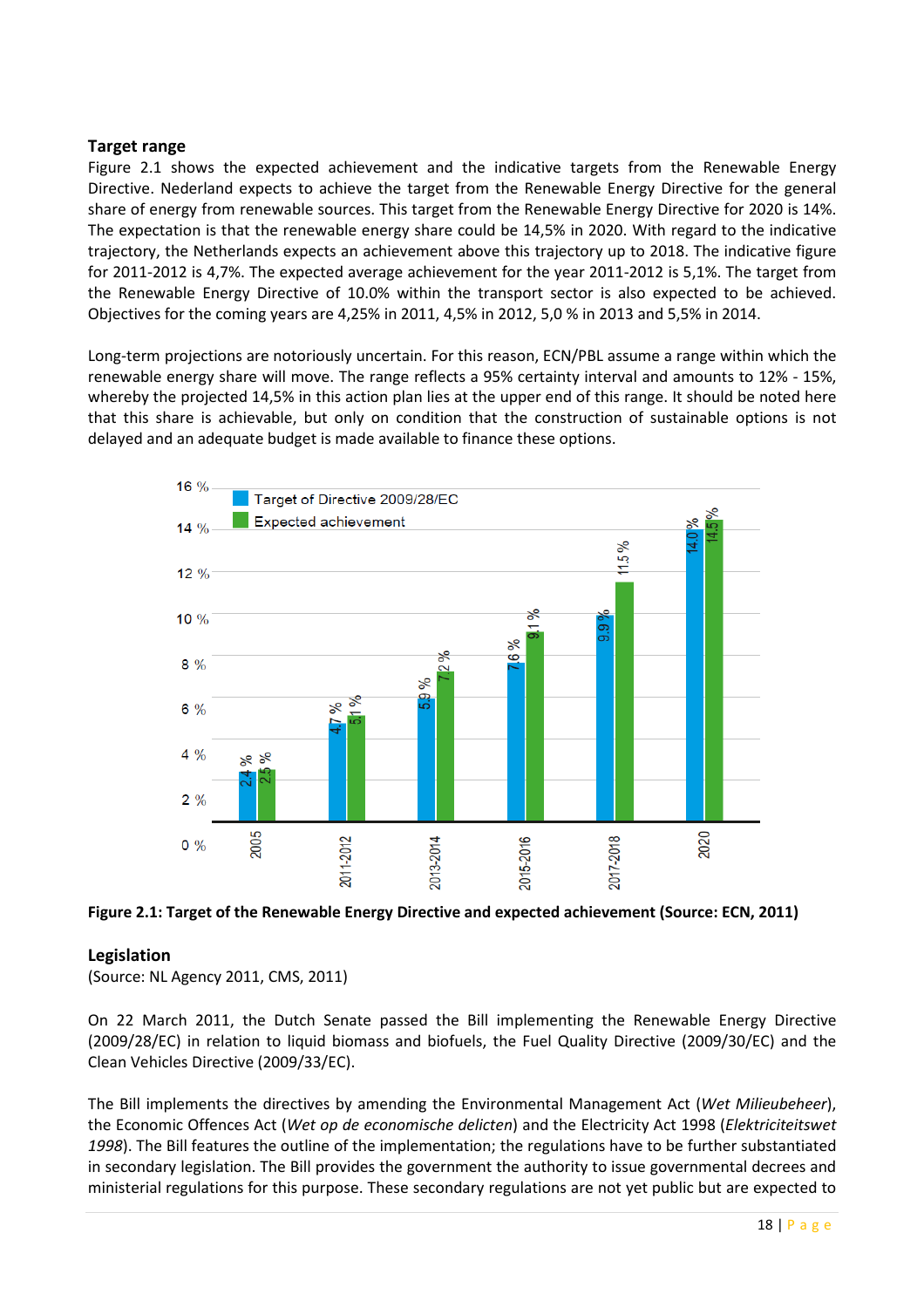#### Target range

Figure 2.1 shows the expected achievement and the indicative targets from the Renewable Energy Directive. Nederland expects to achieve the target from the Renewable Energy Directive for the general share of energy from renewable sources. This target from the Renewable Energy Directive for 2020 is 14%. The expectation is that the renewable energy share could be 14,5% in 2020. With regard to the indicative trajectory, the Netherlands expects an achievement above this trajectory up to 2018. The indicative figure for 2011-2012 is 4,7%. The expected average achievement for the year 2011-2012 is 5,1%. The target from the Renewable Energy Directive of 10.0% within the transport sector is also expected to be achieved. Objectives for the coming years are 4,25% in 2011, 4,5% in 2012, 5,0 % in 2013 and 5,5% in 2014.

Long-term projections are notoriously uncertain. For this reason, ECN/PBL assume a range within which the renewable energy share will move. The range reflects a 95% certainty interval and amounts to 12% - 15%, whereby the projected 14,5% in this action plan lies at the upper end of this range. It should be noted here that this share is achievable, but only on condition that the construction of sustainable options is not delayed and an adequate budget is made available to finance these options.



Figure 2.1: Target of the Renewable Energy Directive and expected achievement (Source: ECN, 2011)

#### Legislation

(Source: NL Agency 2011, CMS, 2011)

On 22 March 2011, the Dutch Senate passed the Bill implementing the Renewable Energy Directive (2009/28/EC) in relation to liquid biomass and biofuels, the Fuel Quality Directive (2009/30/EC) and the Clean Vehicles Directive (2009/33/EC).

The Bill implements the directives by amending the Environmental Management Act (Wet Milieubeheer), the Economic Offences Act (Wet op de economische delicten) and the Electricity Act 1998 (Elektriciteitswet 1998). The Bill features the outline of the implementation; the regulations have to be further substantiated in secondary legislation. The Bill provides the government the authority to issue governmental decrees and ministerial regulations for this purpose. These secondary regulations are not yet public but are expected to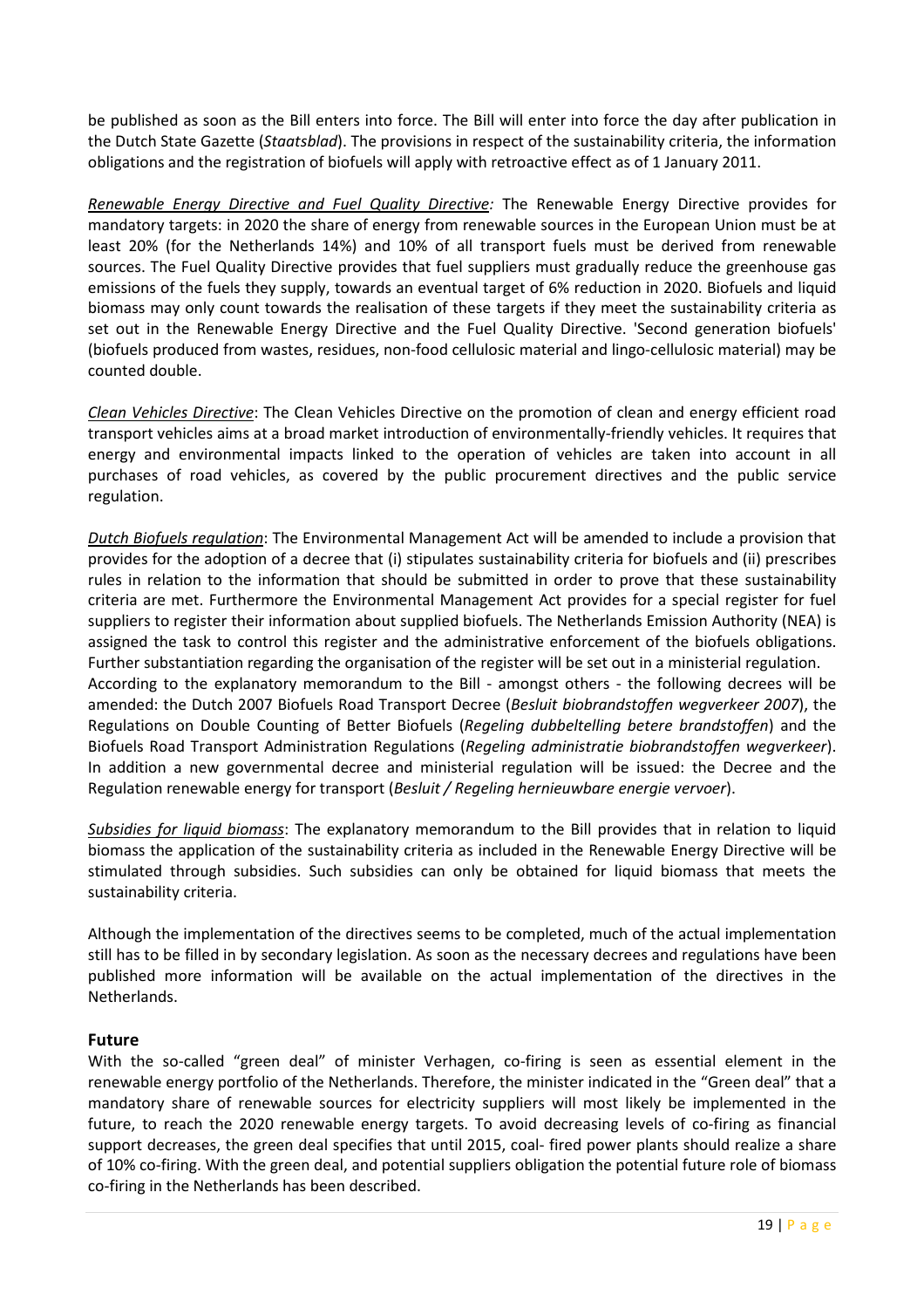be published as soon as the Bill enters into force. The Bill will enter into force the day after publication in the Dutch State Gazette (Staatsblad). The provisions in respect of the sustainability criteria, the information obligations and the registration of biofuels will apply with retroactive effect as of 1 January 2011.

Renewable Energy Directive and Fuel Quality Directive: The Renewable Energy Directive provides for mandatory targets: in 2020 the share of energy from renewable sources in the European Union must be at least 20% (for the Netherlands 14%) and 10% of all transport fuels must be derived from renewable sources. The Fuel Quality Directive provides that fuel suppliers must gradually reduce the greenhouse gas emissions of the fuels they supply, towards an eventual target of 6% reduction in 2020. Biofuels and liquid biomass may only count towards the realisation of these targets if they meet the sustainability criteria as set out in the Renewable Energy Directive and the Fuel Quality Directive. 'Second generation biofuels' (biofuels produced from wastes, residues, non-food cellulosic material and lingo-cellulosic material) may be counted double.

Clean Vehicles Directive: The Clean Vehicles Directive on the promotion of clean and energy efficient road transport vehicles aims at a broad market introduction of environmentally-friendly vehicles. It requires that energy and environmental impacts linked to the operation of vehicles are taken into account in all purchases of road vehicles, as covered by the public procurement directives and the public service regulation.

Dutch Biofuels regulation: The Environmental Management Act will be amended to include a provision that provides for the adoption of a decree that (i) stipulates sustainability criteria for biofuels and (ii) prescribes rules in relation to the information that should be submitted in order to prove that these sustainability criteria are met. Furthermore the Environmental Management Act provides for a special register for fuel suppliers to register their information about supplied biofuels. The Netherlands Emission Authority (NEA) is assigned the task to control this register and the administrative enforcement of the biofuels obligations. Further substantiation regarding the organisation of the register will be set out in a ministerial regulation. According to the explanatory memorandum to the Bill - amongst others - the following decrees will be amended: the Dutch 2007 Biofuels Road Transport Decree (Besluit biobrandstoffen wegverkeer 2007), the Regulations on Double Counting of Better Biofuels (Regeling dubbeltelling betere brandstoffen) and the Biofuels Road Transport Administration Regulations (Regeling administratie biobrandstoffen wegverkeer). In addition a new governmental decree and ministerial regulation will be issued: the Decree and the Regulation renewable energy for transport (Besluit / Regeling hernieuwbare energie vervoer).

Subsidies for liquid biomass: The explanatory memorandum to the Bill provides that in relation to liquid biomass the application of the sustainability criteria as included in the Renewable Energy Directive will be stimulated through subsidies. Such subsidies can only be obtained for liquid biomass that meets the sustainability criteria.

Although the implementation of the directives seems to be completed, much of the actual implementation still has to be filled in by secondary legislation. As soon as the necessary decrees and regulations have been published more information will be available on the actual implementation of the directives in the Netherlands.

#### Future

With the so-called "green deal" of minister Verhagen, co-firing is seen as essential element in the renewable energy portfolio of the Netherlands. Therefore, the minister indicated in the "Green deal" that a mandatory share of renewable sources for electricity suppliers will most likely be implemented in the future, to reach the 2020 renewable energy targets. To avoid decreasing levels of co-firing as financial support decreases, the green deal specifies that until 2015, coal- fired power plants should realize a share of 10% co-firing. With the green deal, and potential suppliers obligation the potential future role of biomass co-firing in the Netherlands has been described.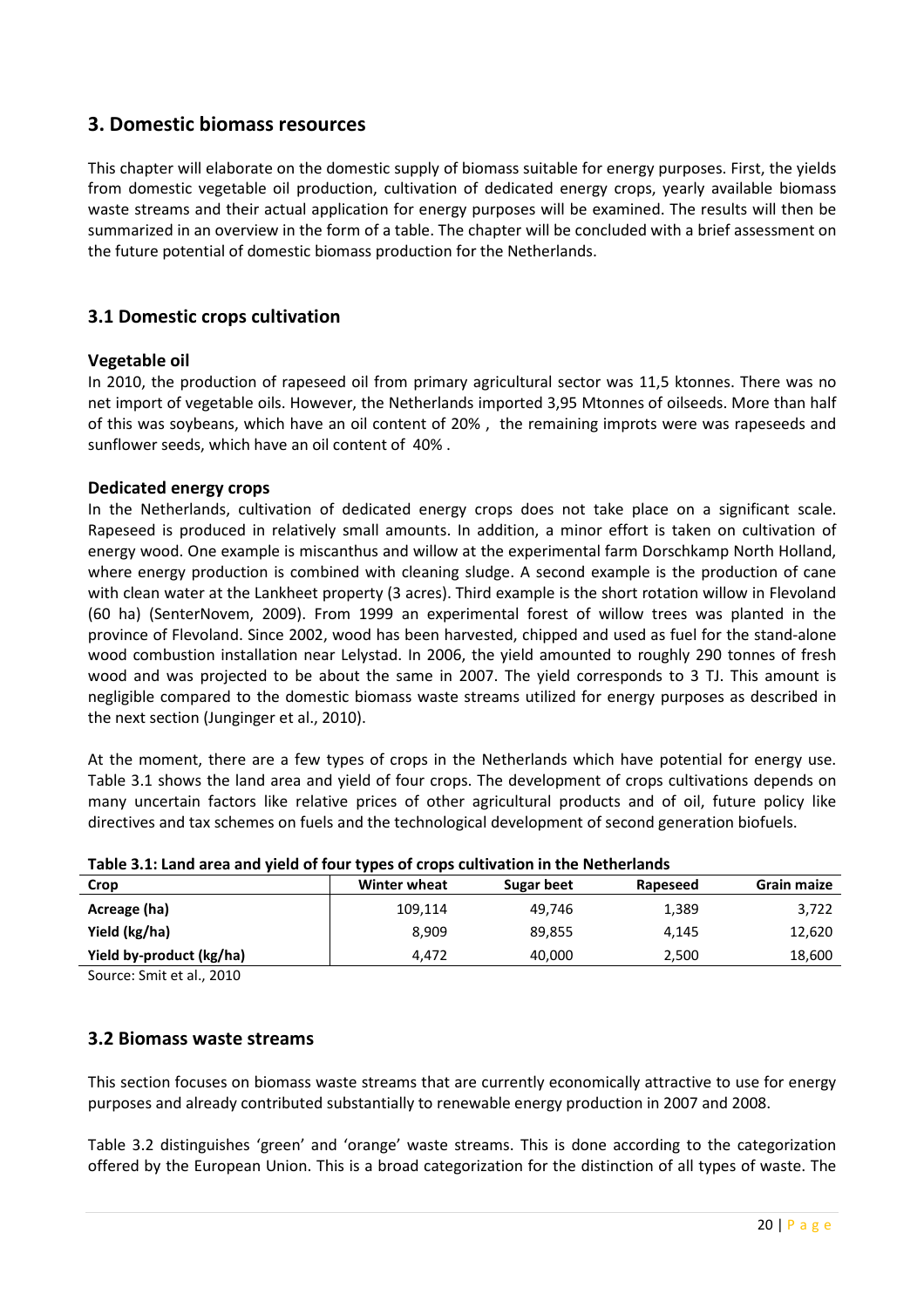# 3. Domestic biomass resources

This chapter will elaborate on the domestic supply of biomass suitable for energy purposes. First, the yields from domestic vegetable oil production, cultivation of dedicated energy crops, yearly available biomass waste streams and their actual application for energy purposes will be examined. The results will then be summarized in an overview in the form of a table. The chapter will be concluded with a brief assessment on the future potential of domestic biomass production for the Netherlands.

#### 3.1 Domestic crops cultivation

#### Vegetable oil

In 2010, the production of rapeseed oil from primary agricultural sector was 11,5 ktonnes. There was no net import of vegetable oils. However, the Netherlands imported 3,95 Mtonnes of oilseeds. More than half of this was soybeans, which have an oil content of 20% , the remaining improts were was rapeseeds and sunflower seeds, which have an oil content of 40% .

#### Dedicated energy crops

In the Netherlands, cultivation of dedicated energy crops does not take place on a significant scale. Rapeseed is produced in relatively small amounts. In addition, a minor effort is taken on cultivation of energy wood. One example is miscanthus and willow at the experimental farm Dorschkamp North Holland, where energy production is combined with cleaning sludge. A second example is the production of cane with clean water at the Lankheet property (3 acres). Third example is the short rotation willow in Flevoland (60 ha) (SenterNovem, 2009). From 1999 an experimental forest of willow trees was planted in the province of Flevoland. Since 2002, wood has been harvested, chipped and used as fuel for the stand-alone wood combustion installation near Lelystad. In 2006, the yield amounted to roughly 290 tonnes of fresh wood and was projected to be about the same in 2007. The yield corresponds to 3 TJ. This amount is negligible compared to the domestic biomass waste streams utilized for energy purposes as described in the next section (Junginger et al., 2010).

At the moment, there are a few types of crops in the Netherlands which have potential for energy use. Table 3.1 shows the land area and yield of four crops. The development of crops cultivations depends on many uncertain factors like relative prices of other agricultural products and of oil, future policy like directives and tax schemes on fuels and the technological development of second generation biofuels.

| Table 5.1. Early area and yield or loan types or crops caltivation in the Hetherlands |              |            |          |             |  |  |  |  |
|---------------------------------------------------------------------------------------|--------------|------------|----------|-------------|--|--|--|--|
| Crop                                                                                  | Winter wheat | Sugar beet | Rapeseed | Grain maize |  |  |  |  |
| Acreage (ha)                                                                          | 109,114      | 49.746     | 1,389    | 3,722       |  |  |  |  |
| Yield (kg/ha)                                                                         | 8.909        | 89,855     | 4.145    | 12,620      |  |  |  |  |
| Yield by-product (kg/ha)                                                              | 4.472        | 40,000     | 2,500    | 18,600      |  |  |  |  |

|  | Table 3.1: Land area and yield of four types of crops cultivation in the Netherlands |
|--|--------------------------------------------------------------------------------------|
|  |                                                                                      |

Source: Smit et al., 2010

#### 3.2 Biomass waste streams

This section focuses on biomass waste streams that are currently economically attractive to use for energy purposes and already contributed substantially to renewable energy production in 2007 and 2008.

Table 3.2 distinguishes 'green' and 'orange' waste streams. This is done according to the categorization offered by the European Union. This is a broad categorization for the distinction of all types of waste. The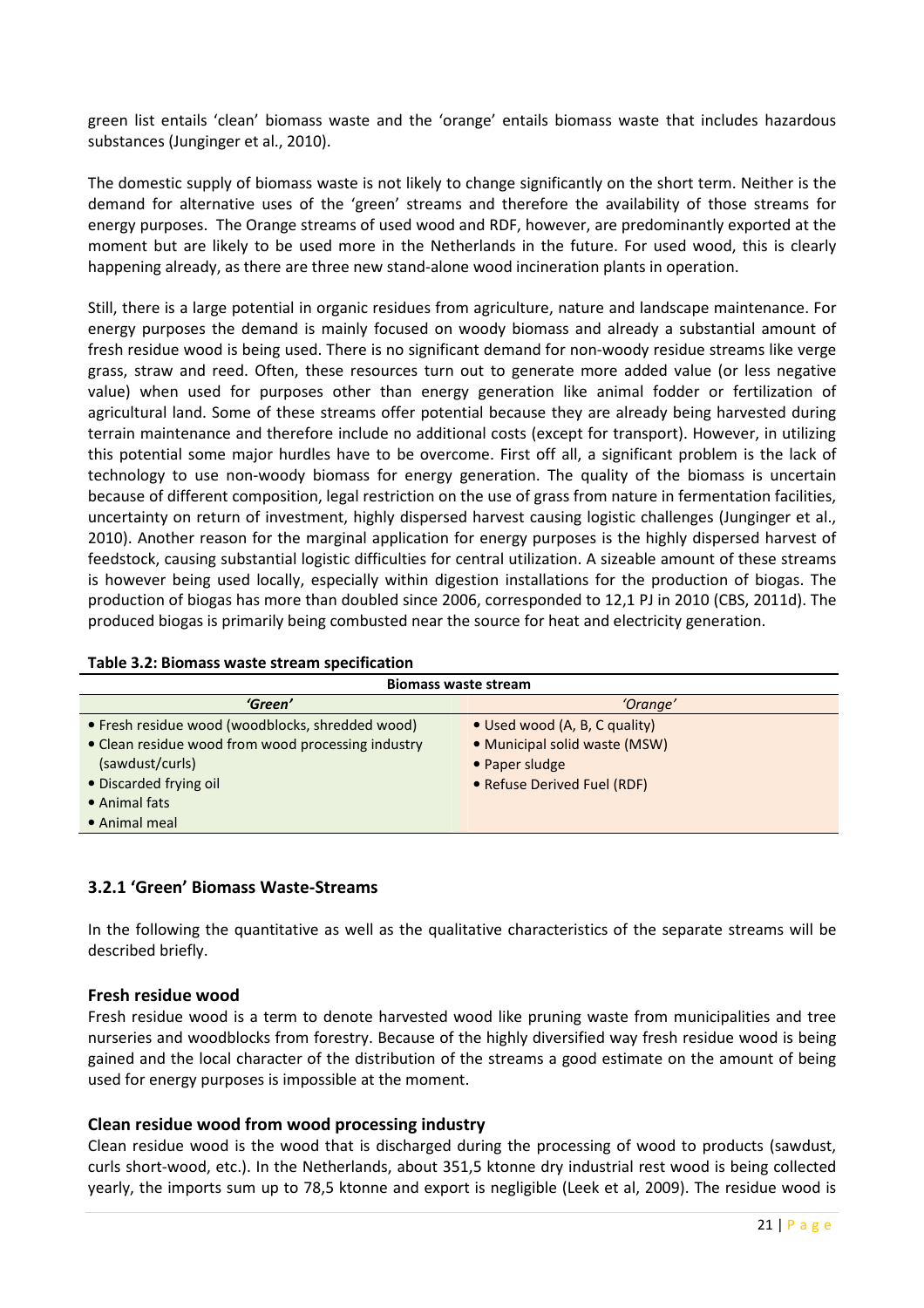green list entails 'clean' biomass waste and the 'orange' entails biomass waste that includes hazardous substances (Junginger et al., 2010).

The domestic supply of biomass waste is not likely to change significantly on the short term. Neither is the demand for alternative uses of the 'green' streams and therefore the availability of those streams for energy purposes. The Orange streams of used wood and RDF, however, are predominantly exported at the moment but are likely to be used more in the Netherlands in the future. For used wood, this is clearly happening already, as there are three new stand-alone wood incineration plants in operation.

Still, there is a large potential in organic residues from agriculture, nature and landscape maintenance. For energy purposes the demand is mainly focused on woody biomass and already a substantial amount of fresh residue wood is being used. There is no significant demand for non-woody residue streams like verge grass, straw and reed. Often, these resources turn out to generate more added value (or less negative value) when used for purposes other than energy generation like animal fodder or fertilization of agricultural land. Some of these streams offer potential because they are already being harvested during terrain maintenance and therefore include no additional costs (except for transport). However, in utilizing this potential some major hurdles have to be overcome. First off all, a significant problem is the lack of technology to use non-woody biomass for energy generation. The quality of the biomass is uncertain because of different composition, legal restriction on the use of grass from nature in fermentation facilities, uncertainty on return of investment, highly dispersed harvest causing logistic challenges (Junginger et al., 2010). Another reason for the marginal application for energy purposes is the highly dispersed harvest of feedstock, causing substantial logistic difficulties for central utilization. A sizeable amount of these streams is however being used locally, especially within digestion installations for the production of biogas. The production of biogas has more than doubled since 2006, corresponded to 12,1 PJ in 2010 (CBS, 2011d). The produced biogas is primarily being combusted near the source for heat and electricity generation.

| Table 3.2: Biomass waste stream specification |  |  |
|-----------------------------------------------|--|--|
|-----------------------------------------------|--|--|

| <b>Biomass waste stream</b>                        |                               |  |  |  |  |
|----------------------------------------------------|-------------------------------|--|--|--|--|
| 'Green'<br>'Orange'                                |                               |  |  |  |  |
| • Fresh residue wood (woodblocks, shredded wood)   | • Used wood (A, B, C quality) |  |  |  |  |
| • Clean residue wood from wood processing industry | • Municipal solid waste (MSW) |  |  |  |  |
| (sawdust/curls)                                    | • Paper sludge                |  |  |  |  |
| • Discarded frying oil                             | • Refuse Derived Fuel (RDF)   |  |  |  |  |
| • Animal fats                                      |                               |  |  |  |  |
| • Animal meal                                      |                               |  |  |  |  |

#### 3.2.1 'Green' Biomass Waste-Streams

In the following the quantitative as well as the qualitative characteristics of the separate streams will be described briefly.

#### Fresh residue wood

Fresh residue wood is a term to denote harvested wood like pruning waste from municipalities and tree nurseries and woodblocks from forestry. Because of the highly diversified way fresh residue wood is being gained and the local character of the distribution of the streams a good estimate on the amount of being used for energy purposes is impossible at the moment.

#### Clean residue wood from wood processing industry

Clean residue wood is the wood that is discharged during the processing of wood to products (sawdust, curls short-wood, etc.). In the Netherlands, about 351,5 ktonne dry industrial rest wood is being collected yearly, the imports sum up to 78,5 ktonne and export is negligible (Leek et al, 2009). The residue wood is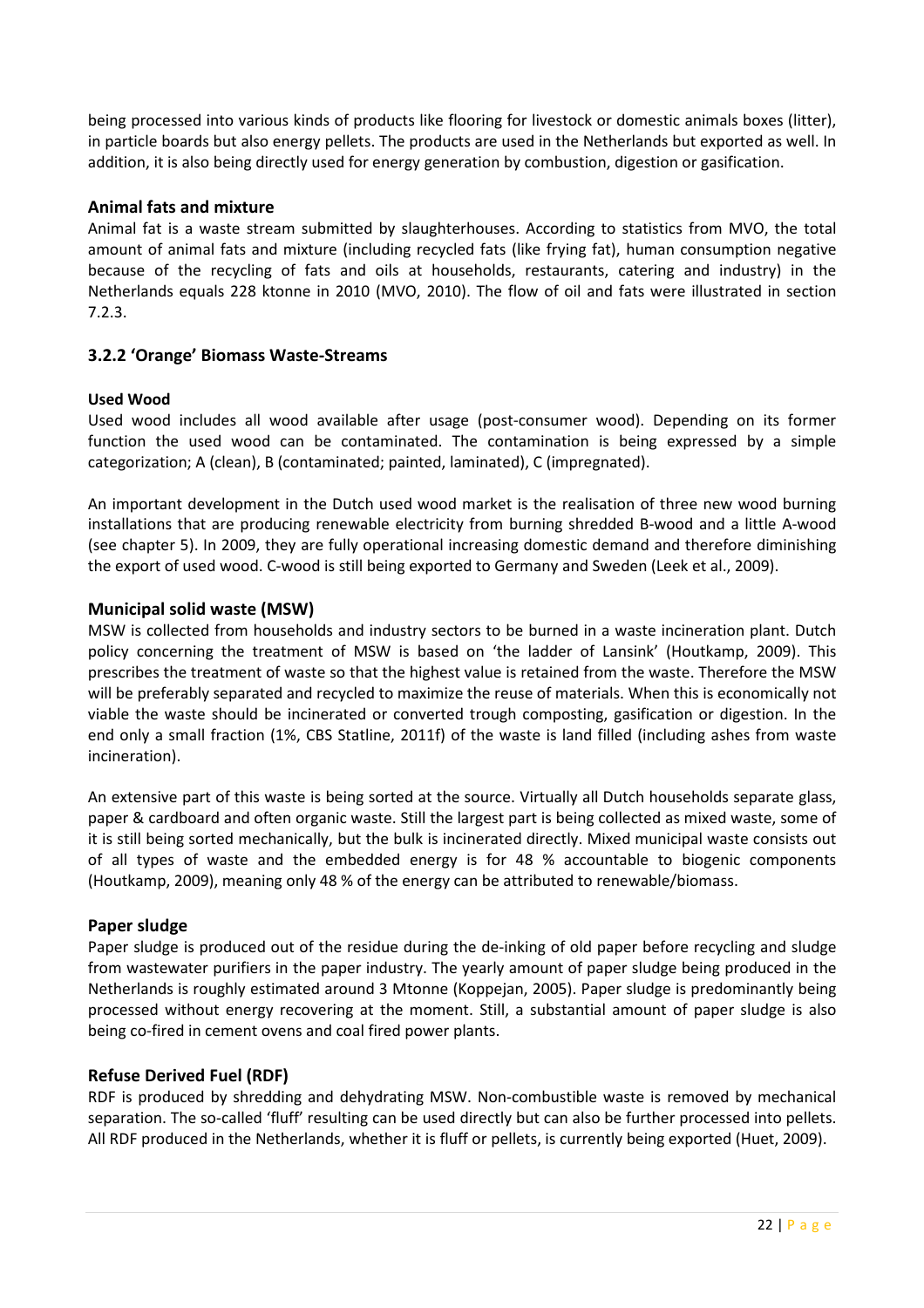being processed into various kinds of products like flooring for livestock or domestic animals boxes (litter), in particle boards but also energy pellets. The products are used in the Netherlands but exported as well. In addition, it is also being directly used for energy generation by combustion, digestion or gasification.

#### Animal fats and mixture

Animal fat is a waste stream submitted by slaughterhouses. According to statistics from MVO, the total amount of animal fats and mixture (including recycled fats (like frying fat), human consumption negative because of the recycling of fats and oils at households, restaurants, catering and industry) in the Netherlands equals 228 ktonne in 2010 (MVO, 2010). The flow of oil and fats were illustrated in section 7.2.3.

#### 3.2.2 'Orange' Biomass Waste-Streams

#### Used Wood

Used wood includes all wood available after usage (post-consumer wood). Depending on its former function the used wood can be contaminated. The contamination is being expressed by a simple categorization; A (clean), B (contaminated; painted, laminated), C (impregnated).

An important development in the Dutch used wood market is the realisation of three new wood burning installations that are producing renewable electricity from burning shredded B-wood and a little A-wood (see chapter 5). In 2009, they are fully operational increasing domestic demand and therefore diminishing the export of used wood. C-wood is still being exported to Germany and Sweden (Leek et al., 2009).

#### Municipal solid waste (MSW)

MSW is collected from households and industry sectors to be burned in a waste incineration plant. Dutch policy concerning the treatment of MSW is based on 'the ladder of Lansink' (Houtkamp, 2009). This prescribes the treatment of waste so that the highest value is retained from the waste. Therefore the MSW will be preferably separated and recycled to maximize the reuse of materials. When this is economically not viable the waste should be incinerated or converted trough composting, gasification or digestion. In the end only a small fraction (1%, CBS Statline, 2011f) of the waste is land filled (including ashes from waste incineration).

An extensive part of this waste is being sorted at the source. Virtually all Dutch households separate glass, paper & cardboard and often organic waste. Still the largest part is being collected as mixed waste, some of it is still being sorted mechanically, but the bulk is incinerated directly. Mixed municipal waste consists out of all types of waste and the embedded energy is for 48 % accountable to biogenic components (Houtkamp, 2009), meaning only 48 % of the energy can be attributed to renewable/biomass.

#### Paper sludge

Paper sludge is produced out of the residue during the de-inking of old paper before recycling and sludge from wastewater purifiers in the paper industry. The yearly amount of paper sludge being produced in the Netherlands is roughly estimated around 3 Mtonne (Koppejan, 2005). Paper sludge is predominantly being processed without energy recovering at the moment. Still, a substantial amount of paper sludge is also being co-fired in cement ovens and coal fired power plants.

#### Refuse Derived Fuel (RDF)

RDF is produced by shredding and dehydrating MSW. Non-combustible waste is removed by mechanical separation. The so-called 'fluff' resulting can be used directly but can also be further processed into pellets. All RDF produced in the Netherlands, whether it is fluff or pellets, is currently being exported (Huet, 2009).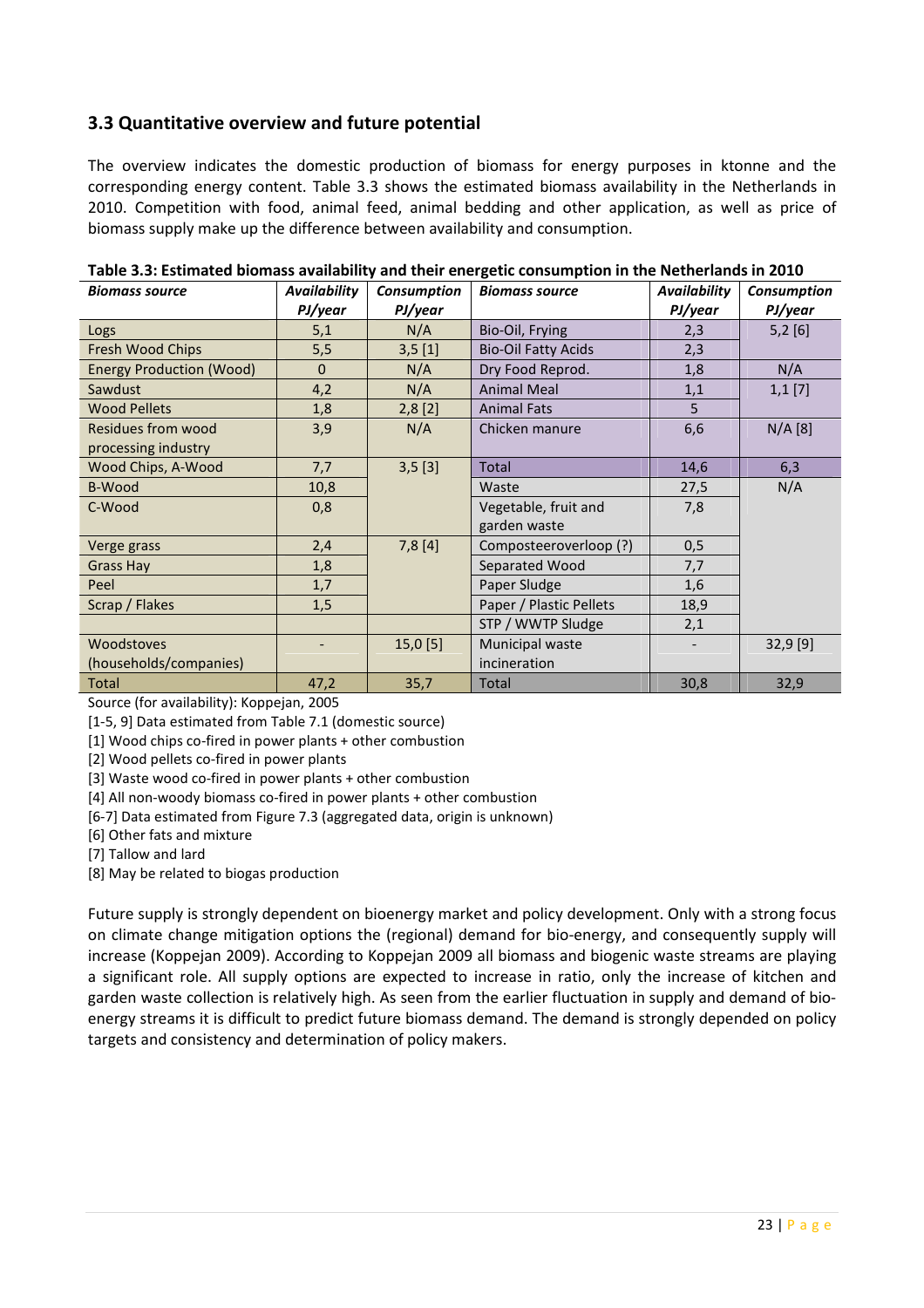## 3.3 Quantitative overview and future potential

The overview indicates the domestic production of biomass for energy purposes in ktonne and the corresponding energy content. Table 3.3 shows the estimated biomass availability in the Netherlands in 2010. Competition with food, animal feed, animal bedding and other application, as well as price of biomass supply make up the difference between availability and consumption.

| <b>Biomass source</b>           | <b>Availability</b> | Consumption | <b>Biomass source</b>      | <b>Availability</b> | Consumption |
|---------------------------------|---------------------|-------------|----------------------------|---------------------|-------------|
|                                 | PJ/year             | PJ/year     |                            | PJ/year             | PJ/year     |
| Logs                            | 5,1                 | N/A         | Bio-Oil, Frying            | 2,3                 | 5,2[6]      |
| Fresh Wood Chips                | 5,5                 | 3,5[1]      | <b>Bio-Oil Fatty Acids</b> | 2,3                 |             |
| <b>Energy Production (Wood)</b> | $\mathbf{0}$        | N/A         | Dry Food Reprod.           | 1,8                 | N/A         |
| Sawdust                         | 4,2                 | N/A         | <b>Animal Meal</b>         | 1,1                 | $1,1$ [7]   |
| <b>Wood Pellets</b>             | 1,8                 | 2,8[2]      | <b>Animal Fats</b>         | 5                   |             |
| Residues from wood              | 3,9                 | N/A         | Chicken manure             | 6,6                 | $N/A$ [8]   |
| processing industry             |                     |             |                            |                     |             |
| Wood Chips, A-Wood              | 7,7                 | 3,5[3]      | <b>Total</b>               | 14,6                | 6,3         |
| <b>B-Wood</b>                   | 10,8                |             | Waste                      | 27,5                | N/A         |
| C-Wood                          | 0,8                 |             | Vegetable, fruit and       | 7,8                 |             |
|                                 |                     |             | garden waste               |                     |             |
| Verge grass                     | 2,4                 | 7,8[4]      | Composteeroverloop (?)     | 0,5                 |             |
| <b>Grass Hay</b>                | 1,8                 |             | Separated Wood             | 7,7                 |             |
| Peel                            | 1,7                 |             | Paper Sludge               | 1,6                 |             |
| Scrap / Flakes                  | 1,5                 |             | Paper / Plastic Pellets    | 18,9                |             |
|                                 |                     |             | STP / WWTP Sludge          | 2,1                 |             |
| Woodstoves                      |                     | 15,0[5]     | Municipal waste            |                     | 32,9 [9]    |
| (households/companies)          |                     |             | incineration               |                     |             |
| Total                           | 47,2                | 35,7        | Total                      | 30,8                | 32,9        |

Table 3.3: Estimated biomass availability and their energetic consumption in the Netherlands in 2010

Source (for availability): Koppejan, 2005

[1-5, 9] Data estimated from Table 7.1 (domestic source)

[1] Wood chips co-fired in power plants + other combustion

[2] Wood pellets co-fired in power plants

[3] Waste wood co-fired in power plants + other combustion

[4] All non-woody biomass co-fired in power plants + other combustion

[6-7] Data estimated from Figure 7.3 (aggregated data, origin is unknown)

[6] Other fats and mixture

[7] Tallow and lard

[8] May be related to biogas production

Future supply is strongly dependent on bioenergy market and policy development. Only with a strong focus on climate change mitigation options the (regional) demand for bio-energy, and consequently supply will increase (Koppejan 2009). According to Koppejan 2009 all biomass and biogenic waste streams are playing a significant role. All supply options are expected to increase in ratio, only the increase of kitchen and garden waste collection is relatively high. As seen from the earlier fluctuation in supply and demand of bioenergy streams it is difficult to predict future biomass demand. The demand is strongly depended on policy targets and consistency and determination of policy makers.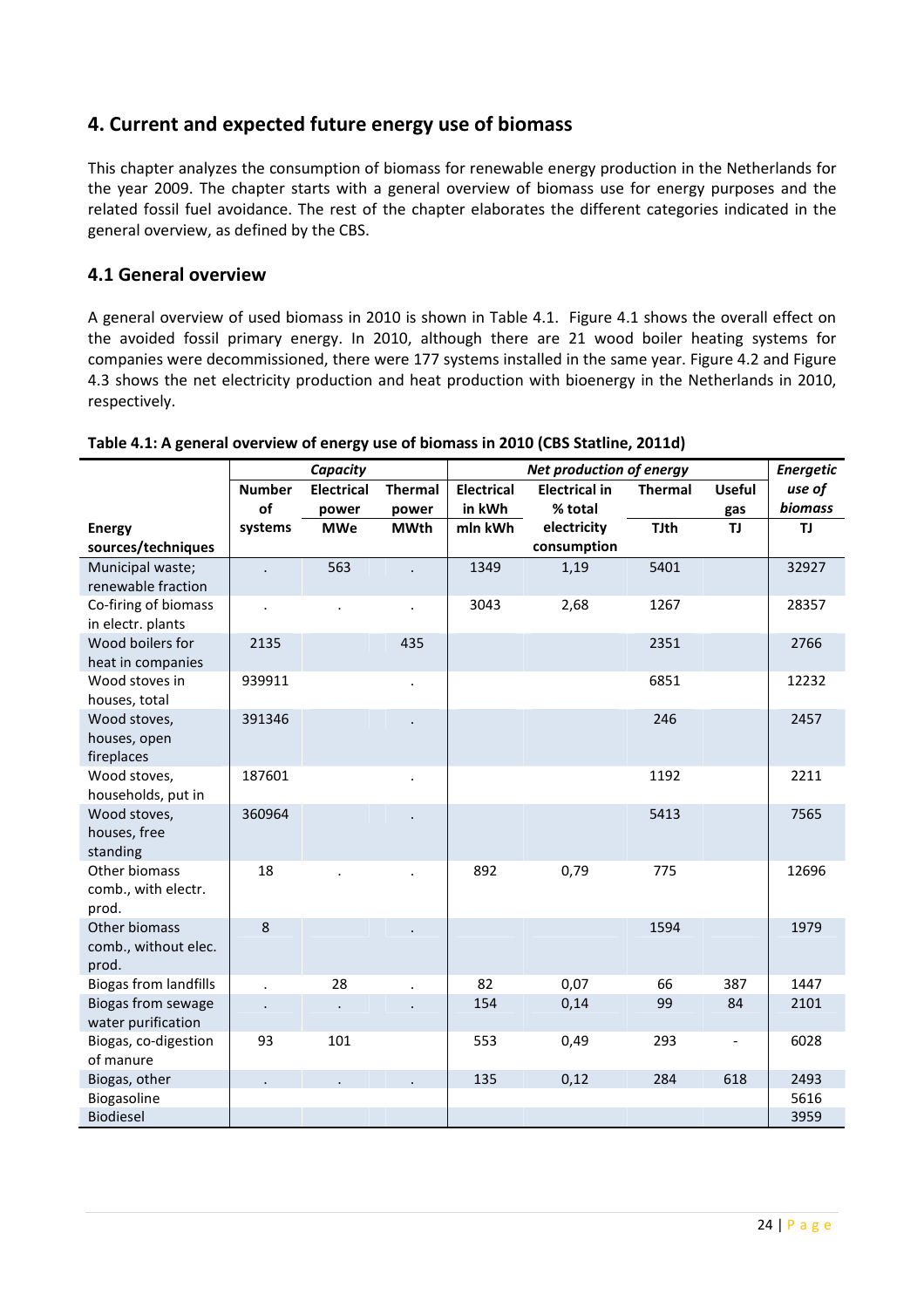# 4. Current and expected future energy use of biomass

This chapter analyzes the consumption of biomass for renewable energy production in the Netherlands for the year 2009. The chapter starts with a general overview of biomass use for energy purposes and the related fossil fuel avoidance. The rest of the chapter elaborates the different categories indicated in the general overview, as defined by the CBS.

#### 4.1 General overview

A general overview of used biomass in 2010 is shown in Table 4.1. Figure 4.1 shows the overall effect on the avoided fossil primary energy. In 2010, although there are 21 wood boiler heating systems for companies were decommissioned, there were 177 systems installed in the same year. Figure 4.2 and Figure 4.3 shows the net electricity production and heat production with bioenergy in the Netherlands in 2010, respectively.

|                                                 | Capacity             |                      |                | <b>Net production of energy</b> |                      |                |                              | <b>Energetic</b> |
|-------------------------------------------------|----------------------|----------------------|----------------|---------------------------------|----------------------|----------------|------------------------------|------------------|
|                                                 | <b>Number</b>        | <b>Electrical</b>    | <b>Thermal</b> | <b>Electrical</b>               | <b>Electrical in</b> | <b>Thermal</b> | <b>Useful</b>                | use of           |
|                                                 | of                   | power                | power          | in kWh                          | % total              |                | gas                          | <b>biomass</b>   |
| <b>Energy</b>                                   | systems              | <b>MWe</b>           | <b>MWth</b>    | mln kWh                         | electricity          | <b>TJth</b>    | TJ.                          | TJ               |
| sources/techniques                              |                      |                      |                |                                 | consumption          |                |                              |                  |
| Municipal waste;<br>renewable fraction          |                      | 563                  |                | 1349                            | 1,19                 | 5401           |                              | 32927            |
| Co-firing of biomass<br>in electr. plants       | $\bullet$            | $\ddot{\phantom{a}}$ | $\blacksquare$ | 3043                            | 2,68                 | 1267           |                              | 28357            |
| Wood boilers for<br>heat in companies           | 2135                 |                      | 435            |                                 |                      | 2351           |                              | 2766             |
| Wood stoves in<br>houses, total                 | 939911               |                      | $\cdot$        |                                 |                      | 6851           |                              | 12232            |
| Wood stoves,<br>houses, open<br>fireplaces      | 391346               |                      |                |                                 |                      | 246            |                              | 2457             |
| Wood stoves,<br>households, put in              | 187601               |                      |                |                                 |                      | 1192           |                              | 2211             |
| Wood stoves,<br>houses, free<br>standing        | 360964               |                      |                |                                 |                      | 5413           |                              | 7565             |
| Other biomass<br>comb., with electr.<br>prod.   | 18                   |                      |                | 892                             | 0,79                 | 775            |                              | 12696            |
| Other biomass<br>comb., without elec.<br>prod.  | 8                    |                      |                |                                 |                      | 1594           |                              | 1979             |
| <b>Biogas from landfills</b>                    | $\ddot{\phantom{a}}$ | 28                   | $\blacksquare$ | 82                              | 0,07                 | 66             | 387                          | 1447             |
| <b>Biogas from sewage</b><br>water purification |                      |                      |                | 154                             | 0,14                 | 99             | 84                           | 2101             |
| Biogas, co-digestion<br>of manure               | 93                   | 101                  |                | 553                             | 0,49                 | 293            | $\qquad \qquad \blacksquare$ | 6028             |
| Biogas, other                                   |                      |                      |                | 135                             | 0,12                 | 284            | 618                          | 2493             |
| Biogasoline                                     |                      |                      |                |                                 |                      |                |                              | 5616             |
| <b>Biodiesel</b>                                |                      |                      |                |                                 |                      |                |                              | 3959             |

#### Table 4.1: A general overview of energy use of biomass in 2010 (CBS Statline, 2011d)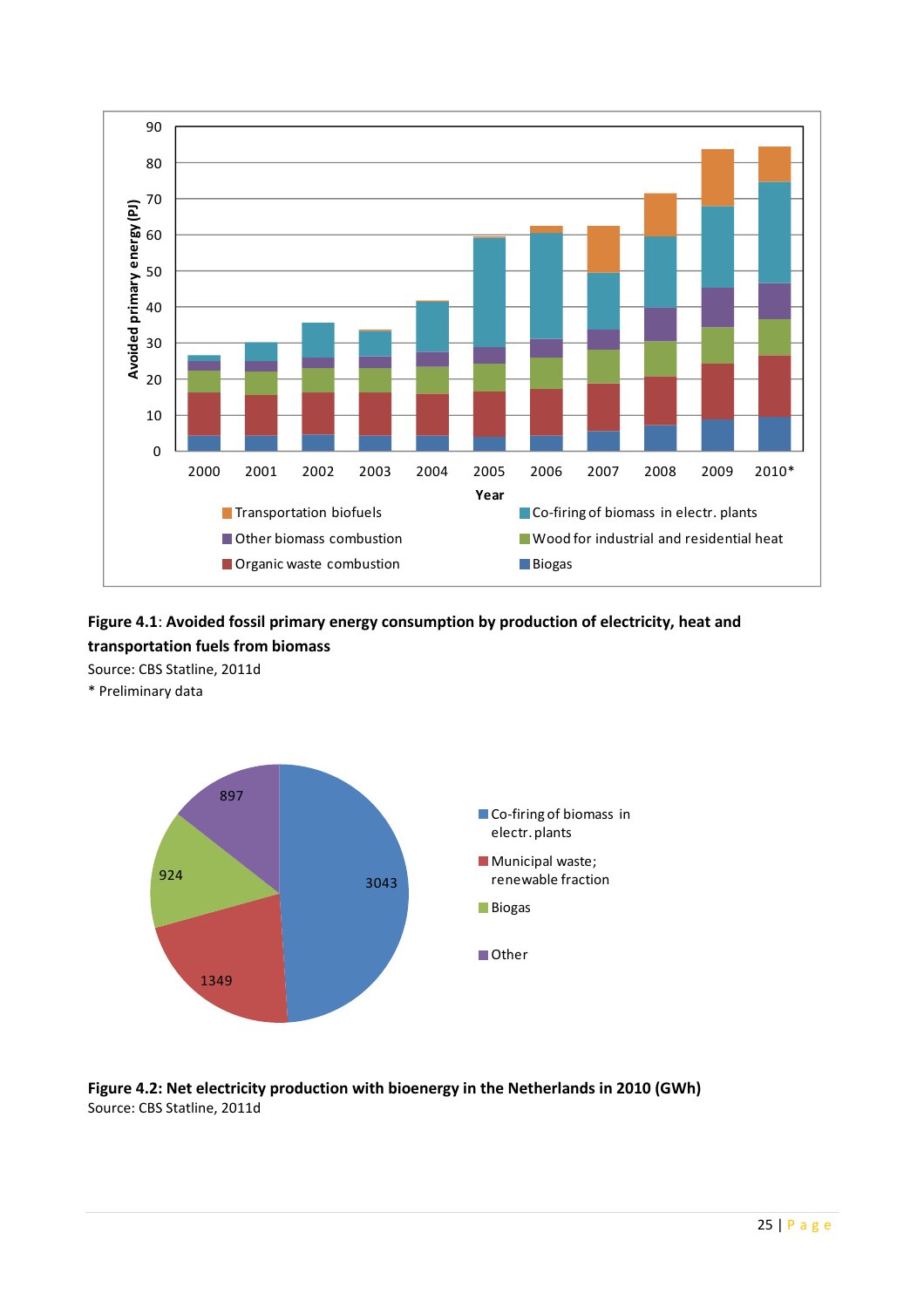

# Figure 4.1: Avoided fossil primary energy consumption by production of electricity, heat and transportation fuels from biomass

Source: CBS Statline, 2011d

\* Preliminary data



#### Figure 4.2: Net electricity production with bioenergy in the Netherlands in 2010 (GWh) Source: CBS Statline, 2011d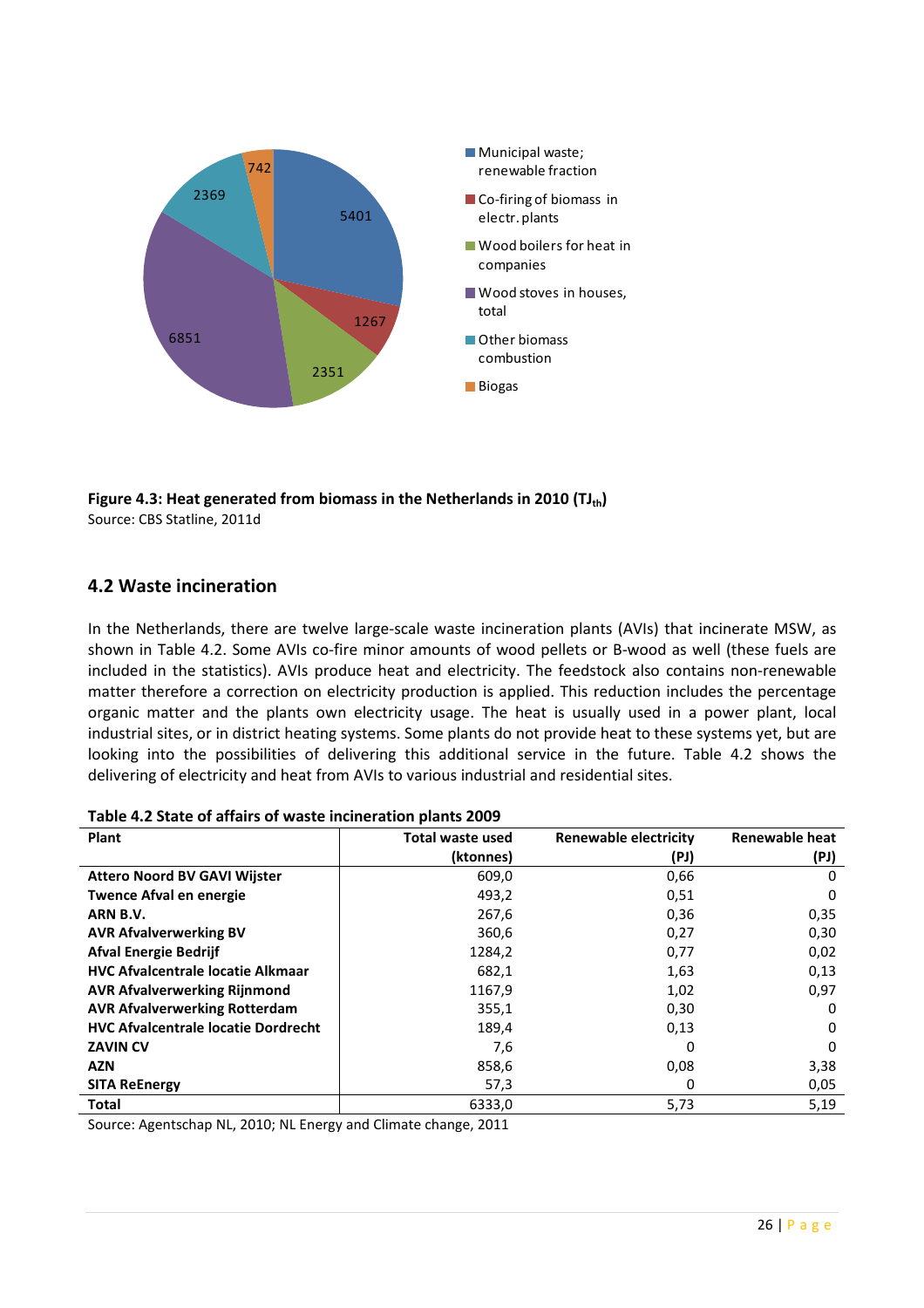

Figure 4.3: Heat generated from biomass in the Netherlands in 2010 ( $TJ_{th}$ ) Source: CBS Statline, 2011d

#### 4.2 Waste incineration

In the Netherlands, there are twelve large-scale waste incineration plants (AVIs) that incinerate MSW, as shown in Table 4.2. Some AVIs co-fire minor amounts of wood pellets or B-wood as well (these fuels are included in the statistics). AVIs produce heat and electricity. The feedstock also contains non-renewable matter therefore a correction on electricity production is applied. This reduction includes the percentage organic matter and the plants own electricity usage. The heat is usually used in a power plant, local industrial sites, or in district heating systems. Some plants do not provide heat to these systems yet, but are looking into the possibilities of delivering this additional service in the future. Table 4.2 shows the delivering of electricity and heat from AVIs to various industrial and residential sites.

| Table 4.2 State of allahs of waste inclueration plants 2005 |                         |                              |                |  |  |  |  |  |
|-------------------------------------------------------------|-------------------------|------------------------------|----------------|--|--|--|--|--|
| <b>Plant</b>                                                | <b>Total waste used</b> | <b>Renewable electricity</b> | Renewable heat |  |  |  |  |  |
|                                                             | (ktonnes)               | (PJ)                         | (PJ)           |  |  |  |  |  |
| <b>Attero Noord BV GAVI Wijster</b>                         | 609,0                   | 0,66                         | 0              |  |  |  |  |  |
| <b>Twence Afval en energie</b>                              | 493,2                   | 0,51                         | 0              |  |  |  |  |  |
| ARN B.V.                                                    | 267,6                   | 0,36                         | 0,35           |  |  |  |  |  |
| <b>AVR Afvalverwerking BV</b>                               | 360,6                   | 0,27                         | 0,30           |  |  |  |  |  |
| <b>Afval Energie Bedrijf</b>                                | 1284,2                  | 0,77                         | 0,02           |  |  |  |  |  |
| <b>HVC Afvalcentrale locatie Alkmaar</b>                    | 682,1                   | 1,63                         | 0,13           |  |  |  |  |  |
| <b>AVR Afvalverwerking Rijnmond</b>                         | 1167,9                  | 1,02                         | 0,97           |  |  |  |  |  |
| <b>AVR Afvalverwerking Rotterdam</b>                        | 355,1                   | 0,30                         | 0              |  |  |  |  |  |
| <b>HVC Afvalcentrale locatie Dordrecht</b>                  | 189,4                   | 0,13                         | 0              |  |  |  |  |  |
| <b>ZAVIN CV</b>                                             | 7,6                     | 0                            | 0              |  |  |  |  |  |
| <b>AZN</b>                                                  | 858,6                   | 0,08                         | 3,38           |  |  |  |  |  |
| <b>SITA ReEnergy</b>                                        | 57,3                    | 0                            | 0,05           |  |  |  |  |  |
| Total                                                       | 6333,0                  | 5,73                         | 5,19           |  |  |  |  |  |

Table 4.2 State of affairs of waste incineration plants 2009

Source: Agentschap NL, 2010; NL Energy and Climate change, 2011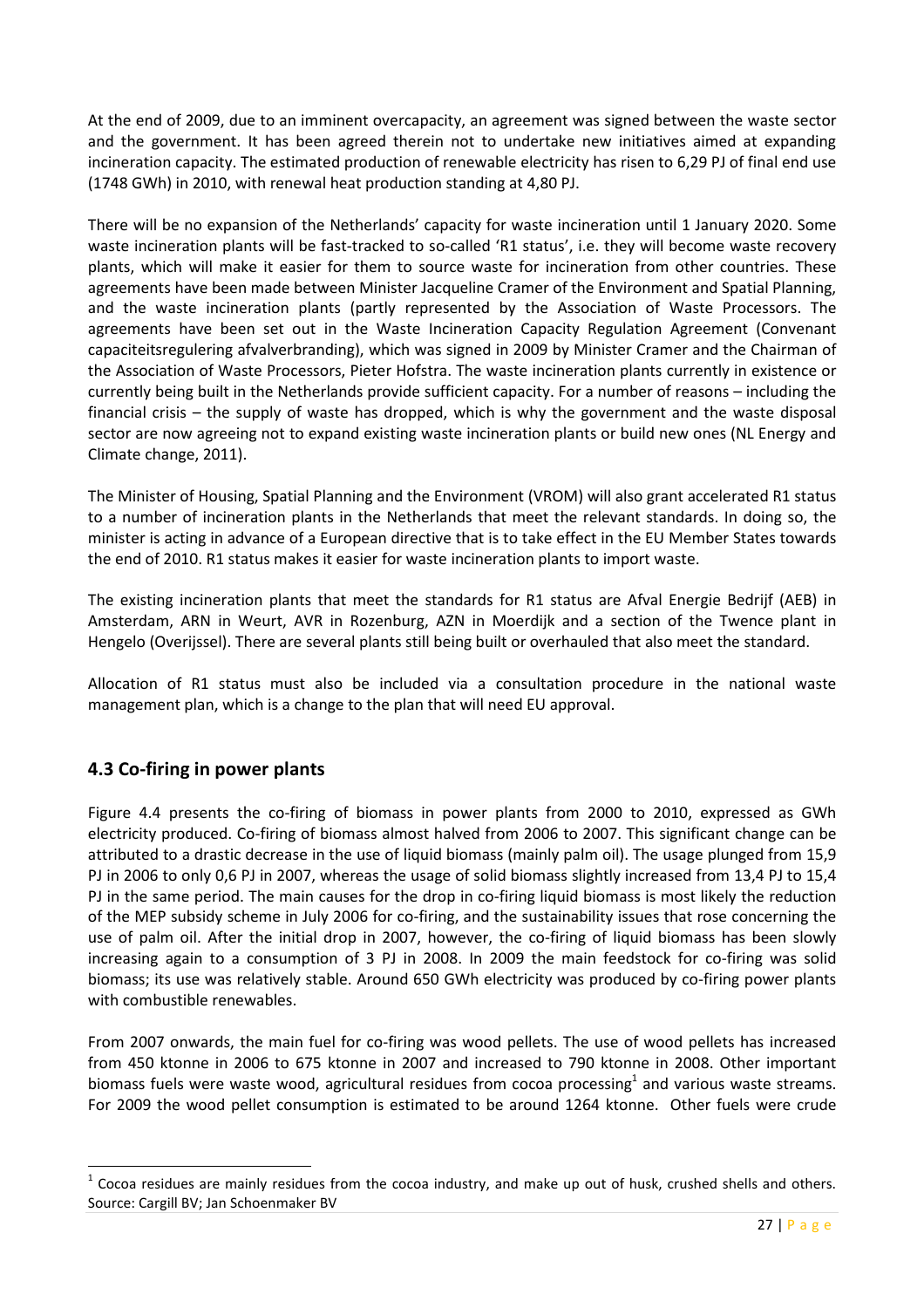At the end of 2009, due to an imminent overcapacity, an agreement was signed between the waste sector and the government. It has been agreed therein not to undertake new initiatives aimed at expanding incineration capacity. The estimated production of renewable electricity has risen to 6,29 PJ of final end use (1748 GWh) in 2010, with renewal heat production standing at 4,80 PJ.

There will be no expansion of the Netherlands' capacity for waste incineration until 1 January 2020. Some waste incineration plants will be fast-tracked to so-called 'R1 status', i.e. they will become waste recovery plants, which will make it easier for them to source waste for incineration from other countries. These agreements have been made between Minister Jacqueline Cramer of the Environment and Spatial Planning, and the waste incineration plants (partly represented by the Association of Waste Processors. The agreements have been set out in the Waste Incineration Capacity Regulation Agreement (Convenant capaciteitsregulering afvalverbranding), which was signed in 2009 by Minister Cramer and the Chairman of the Association of Waste Processors, Pieter Hofstra. The waste incineration plants currently in existence or currently being built in the Netherlands provide sufficient capacity. For a number of reasons – including the financial crisis – the supply of waste has dropped, which is why the government and the waste disposal sector are now agreeing not to expand existing waste incineration plants or build new ones (NL Energy and Climate change, 2011).

The Minister of Housing, Spatial Planning and the Environment (VROM) will also grant accelerated R1 status to a number of incineration plants in the Netherlands that meet the relevant standards. In doing so, the minister is acting in advance of a European directive that is to take effect in the EU Member States towards the end of 2010. R1 status makes it easier for waste incineration plants to import waste.

The existing incineration plants that meet the standards for R1 status are Afval Energie Bedrijf (AEB) in Amsterdam, ARN in Weurt, AVR in Rozenburg, AZN in Moerdijk and a section of the Twence plant in Hengelo (Overijssel). There are several plants still being built or overhauled that also meet the standard.

Allocation of R1 status must also be included via a consultation procedure in the national waste management plan, which is a change to the plan that will need EU approval.

#### 4.3 Co-firing in power plants

 $\overline{a}$ 

Figure 4.4 presents the co-firing of biomass in power plants from 2000 to 2010, expressed as GWh electricity produced. Co-firing of biomass almost halved from 2006 to 2007. This significant change can be attributed to a drastic decrease in the use of liquid biomass (mainly palm oil). The usage plunged from 15,9 PJ in 2006 to only 0,6 PJ in 2007, whereas the usage of solid biomass slightly increased from 13,4 PJ to 15,4 PJ in the same period. The main causes for the drop in co-firing liquid biomass is most likely the reduction of the MEP subsidy scheme in July 2006 for co-firing, and the sustainability issues that rose concerning the use of palm oil. After the initial drop in 2007, however, the co-firing of liquid biomass has been slowly increasing again to a consumption of 3 PJ in 2008. In 2009 the main feedstock for co-firing was solid biomass; its use was relatively stable. Around 650 GWh electricity was produced by co-firing power plants with combustible renewables.

From 2007 onwards, the main fuel for co-firing was wood pellets. The use of wood pellets has increased from 450 ktonne in 2006 to 675 ktonne in 2007 and increased to 790 ktonne in 2008. Other important biomass fuels were waste wood, agricultural residues from cocoa processing<sup>1</sup> and various waste streams. For 2009 the wood pellet consumption is estimated to be around 1264 ktonne. Other fuels were crude

<sup>1</sup> Cocoa residues are mainly residues from the cocoa industry, and make up out of husk, crushed shells and others. Source: Cargill BV; Jan Schoenmaker BV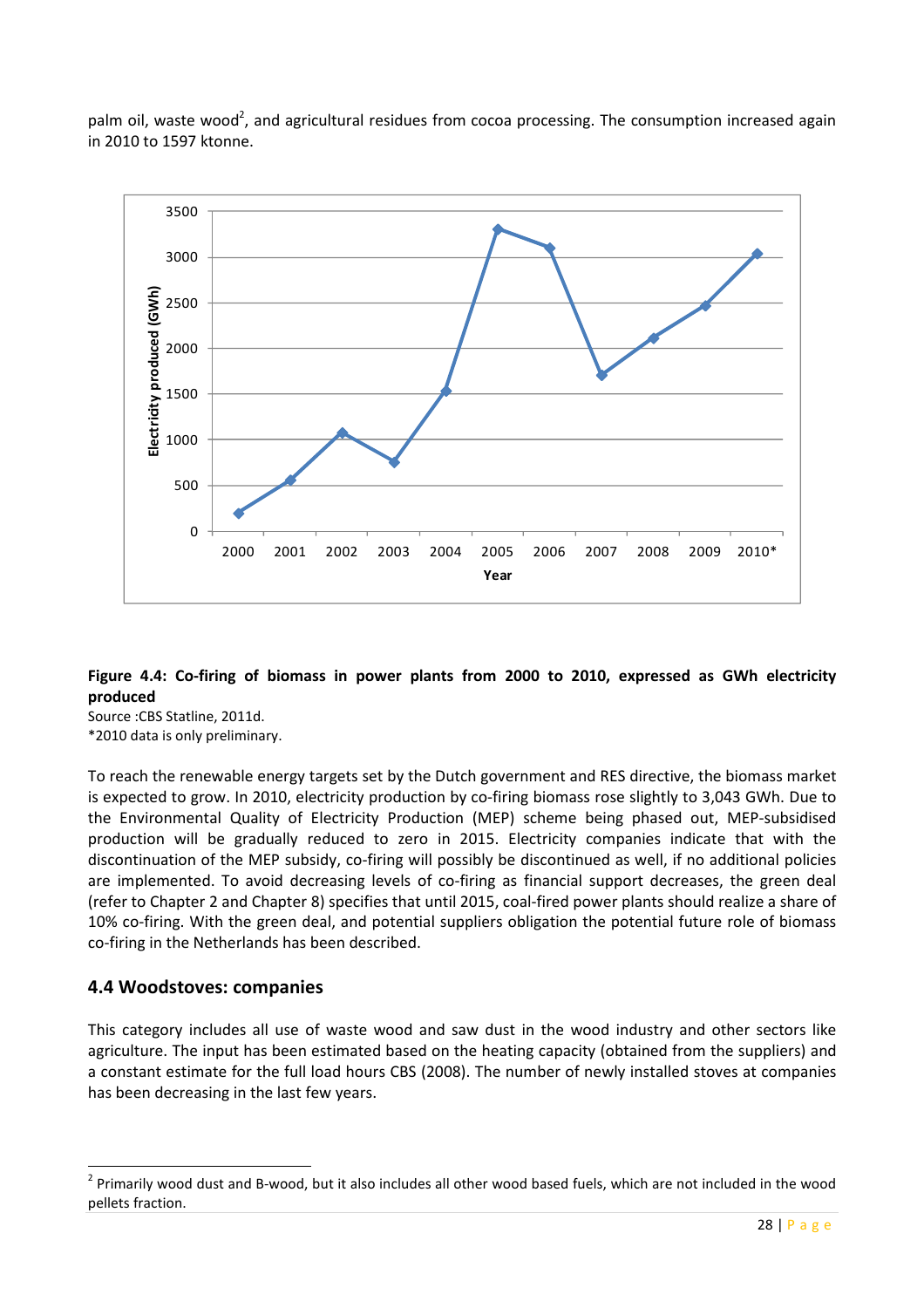palm oil, waste wood<sup>2</sup>, and agricultural residues from cocoa processing. The consumption increased again in 2010 to 1597 ktonne.



#### Figure 4.4: Co-firing of biomass in power plants from 2000 to 2010, expressed as GWh electricity produced

Source :CBS Statline, 2011d. \*2010 data is only preliminary.

To reach the renewable energy targets set by the Dutch government and RES directive, the biomass market is expected to grow. In 2010, electricity production by co-firing biomass rose slightly to 3,043 GWh. Due to the Environmental Quality of Electricity Production (MEP) scheme being phased out, MEP-subsidised production will be gradually reduced to zero in 2015. Electricity companies indicate that with the discontinuation of the MEP subsidy, co-firing will possibly be discontinued as well, if no additional policies are implemented. To avoid decreasing levels of co-firing as financial support decreases, the green deal (refer to Chapter 2 and Chapter 8) specifies that until 2015, coal-fired power plants should realize a share of 10% co-firing. With the green deal, and potential suppliers obligation the potential future role of biomass co-firing in the Netherlands has been described.

#### 4.4 Woodstoves: companies

 $\overline{a}$ 

This category includes all use of waste wood and saw dust in the wood industry and other sectors like agriculture. The input has been estimated based on the heating capacity (obtained from the suppliers) and a constant estimate for the full load hours CBS (2008). The number of newly installed stoves at companies has been decreasing in the last few years.

 $2$  Primarily wood dust and B-wood, but it also includes all other wood based fuels, which are not included in the wood pellets fraction.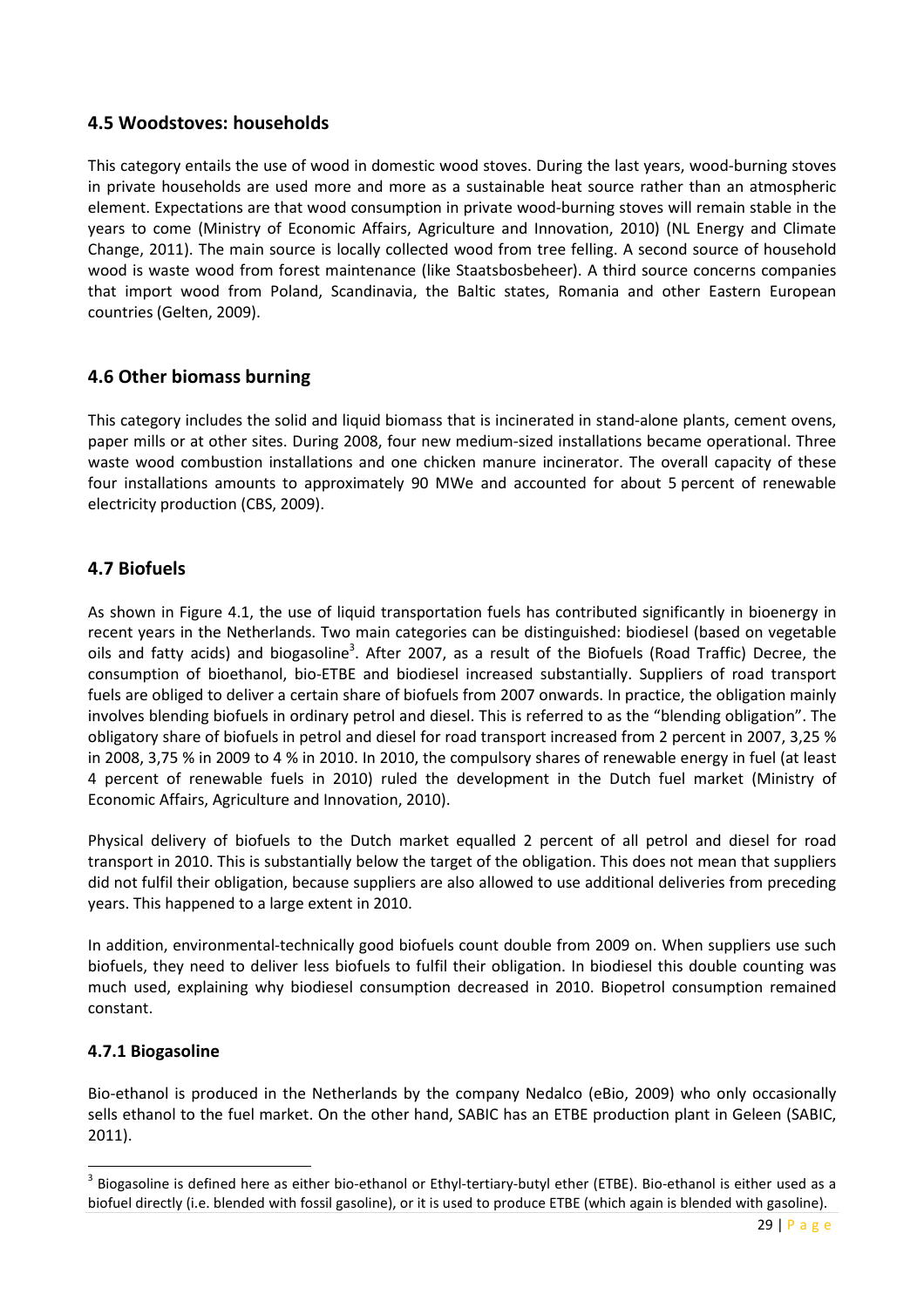#### 4.5 Woodstoves: households

This category entails the use of wood in domestic wood stoves. During the last years, wood-burning stoves in private households are used more and more as a sustainable heat source rather than an atmospheric element. Expectations are that wood consumption in private wood-burning stoves will remain stable in the years to come (Ministry of Economic Affairs, Agriculture and Innovation, 2010) (NL Energy and Climate Change, 2011). The main source is locally collected wood from tree felling. A second source of household wood is waste wood from forest maintenance (like Staatsbosbeheer). A third source concerns companies that import wood from Poland, Scandinavia, the Baltic states, Romania and other Eastern European countries (Gelten, 2009).

#### 4.6 Other biomass burning

This category includes the solid and liquid biomass that is incinerated in stand-alone plants, cement ovens, paper mills or at other sites. During 2008, four new medium-sized installations became operational. Three waste wood combustion installations and one chicken manure incinerator. The overall capacity of these four installations amounts to approximately 90 MWe and accounted for about 5 percent of renewable electricity production (CBS, 2009).

#### 4.7 Biofuels

As shown in Figure 4.1, the use of liquid transportation fuels has contributed significantly in bioenergy in recent years in the Netherlands. Two main categories can be distinguished: biodiesel (based on vegetable oils and fatty acids) and biogasoline<sup>3</sup>. After 2007, as a result of the Biofuels (Road Traffic) Decree, the consumption of bioethanol, bio-ETBE and biodiesel increased substantially. Suppliers of road transport fuels are obliged to deliver a certain share of biofuels from 2007 onwards. In practice, the obligation mainly involves blending biofuels in ordinary petrol and diesel. This is referred to as the "blending obligation". The obligatory share of biofuels in petrol and diesel for road transport increased from 2 percent in 2007, 3,25 % in 2008, 3,75 % in 2009 to 4 % in 2010. In 2010, the compulsory shares of renewable energy in fuel (at least 4 percent of renewable fuels in 2010) ruled the development in the Dutch fuel market (Ministry of Economic Affairs, Agriculture and Innovation, 2010).

Physical delivery of biofuels to the Dutch market equalled 2 percent of all petrol and diesel for road transport in 2010. This is substantially below the target of the obligation. This does not mean that suppliers did not fulfil their obligation, because suppliers are also allowed to use additional deliveries from preceding years. This happened to a large extent in 2010.

In addition, environmental-technically good biofuels count double from 2009 on. When suppliers use such biofuels, they need to deliver less biofuels to fulfil their obligation. In biodiesel this double counting was much used, explaining why biodiesel consumption decreased in 2010. Biopetrol consumption remained constant.

#### 4.7.1 Biogasoline

 $\overline{a}$ 

Bio-ethanol is produced in the Netherlands by the company Nedalco (eBio, 2009) who only occasionally sells ethanol to the fuel market. On the other hand, SABIC has an ETBE production plant in Geleen (SABIC, 2011).

 $^3$  Biogasoline is defined here as either bio-ethanol or Ethyl-tertiary-butyl ether (ETBE). Bio-ethanol is either used as a biofuel directly (i.e. blended with fossil gasoline), or it is used to produce ETBE (which again is blended with gasoline).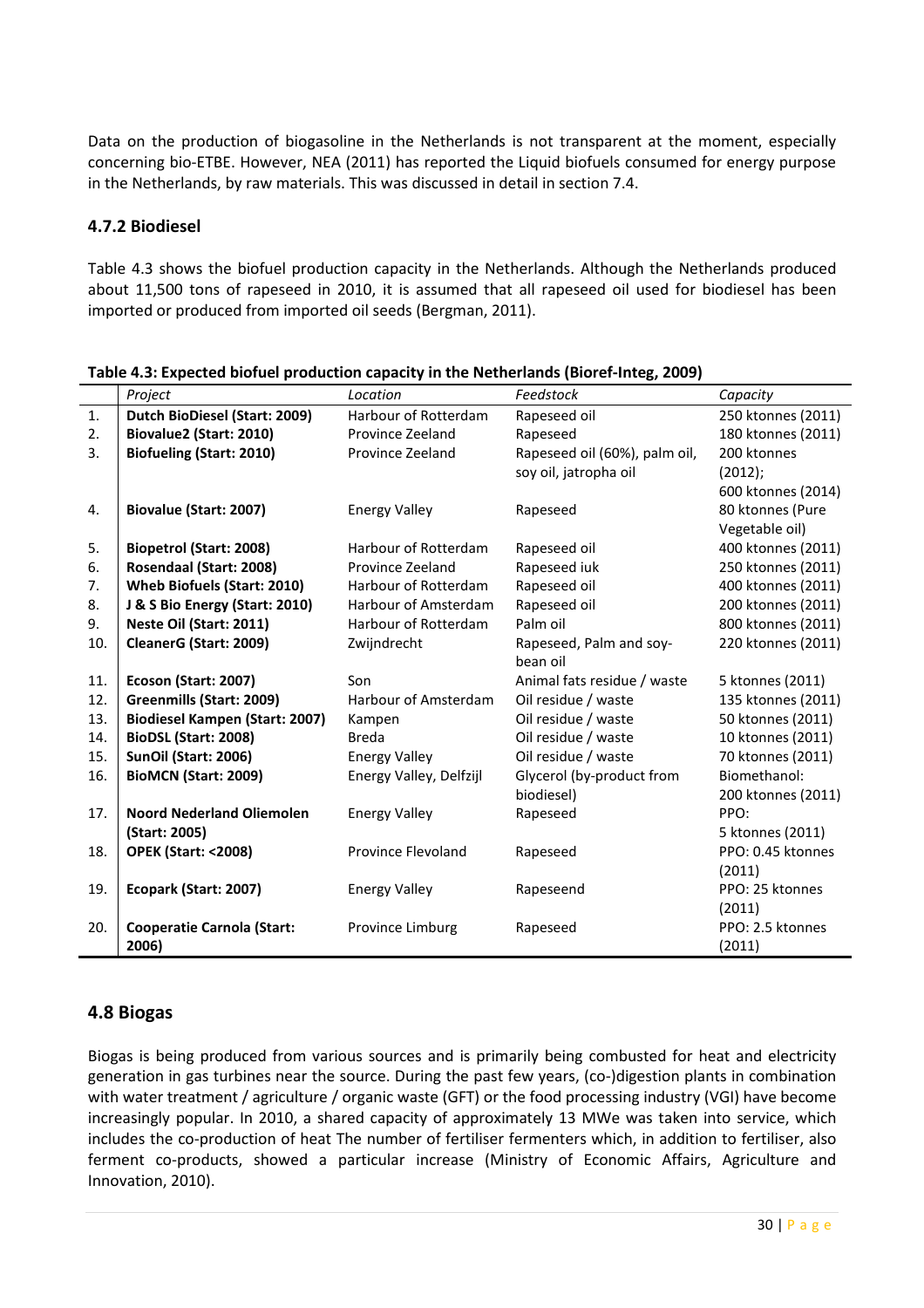Data on the production of biogasoline in the Netherlands is not transparent at the moment, especially concerning bio-ETBE. However, NEA (2011) has reported the Liquid biofuels consumed for energy purpose in the Netherlands, by raw materials. This was discussed in detail in section 7.4.

#### 4.7.2 Biodiesel

Table 4.3 shows the biofuel production capacity in the Netherlands. Although the Netherlands produced about 11,500 tons of rapeseed in 2010, it is assumed that all rapeseed oil used for biodiesel has been imported or produced from imported oil seeds (Bergman, 2011).

|     | Project                               | Location                  | Feedstock                     | Capacity           |
|-----|---------------------------------------|---------------------------|-------------------------------|--------------------|
| 1.  | Dutch BioDiesel (Start: 2009)         | Harbour of Rotterdam      | Rapeseed oil                  | 250 ktonnes (2011) |
| 2.  | Biovalue2 (Start: 2010)               | Province Zeeland          | Rapeseed                      | 180 ktonnes (2011) |
| 3.  | <b>Biofueling (Start: 2010)</b>       | Province Zeeland          | Rapeseed oil (60%), palm oil, | 200 ktonnes        |
|     |                                       |                           | soy oil, jatropha oil         | (2012);            |
|     |                                       |                           |                               | 600 ktonnes (2014) |
| 4.  | <b>Biovalue (Start: 2007)</b>         | <b>Energy Valley</b>      | Rapeseed                      | 80 ktonnes (Pure   |
|     |                                       |                           |                               | Vegetable oil)     |
| 5.  | <b>Biopetrol (Start: 2008)</b>        | Harbour of Rotterdam      | Rapeseed oil                  | 400 ktonnes (2011) |
| 6.  | Rosendaal (Start: 2008)               | Province Zeeland          | Rapeseed iuk                  | 250 ktonnes (2011) |
| 7.  | <b>Wheb Biofuels (Start: 2010)</b>    | Harbour of Rotterdam      | Rapeseed oil                  | 400 ktonnes (2011) |
| 8.  | J & S Bio Energy (Start: 2010)        | Harbour of Amsterdam      | Rapeseed oil                  | 200 ktonnes (2011) |
| 9.  | Neste Oil (Start: 2011)               | Harbour of Rotterdam      | Palm oil                      | 800 ktonnes (2011) |
| 10. | CleanerG (Start: 2009)                | Zwijndrecht               | Rapeseed, Palm and soy-       | 220 ktonnes (2011) |
|     |                                       |                           | bean oil                      |                    |
| 11. | Ecoson (Start: 2007)                  | Son                       | Animal fats residue / waste   | 5 ktonnes (2011)   |
| 12. | Greenmills (Start: 2009)              | Harbour of Amsterdam      | Oil residue / waste           | 135 ktonnes (2011) |
| 13. | <b>Biodiesel Kampen (Start: 2007)</b> | Kampen                    | Oil residue / waste           | 50 ktonnes (2011)  |
| 14. | BioDSL (Start: 2008)                  | <b>Breda</b>              | Oil residue / waste           | 10 ktonnes (2011)  |
| 15. | SunOil (Start: 2006)                  | <b>Energy Valley</b>      | Oil residue / waste           | 70 ktonnes (2011)  |
| 16. | BioMCN (Start: 2009)                  | Energy Valley, Delfzijl   | Glycerol (by-product from     | Biomethanol:       |
|     |                                       |                           | biodiesel)                    | 200 ktonnes (2011) |
| 17. | <b>Noord Nederland Oliemolen</b>      | <b>Energy Valley</b>      | Rapeseed                      | PPO:               |
|     | (Start: 2005)                         |                           |                               | 5 ktonnes (2011)   |
| 18. | <b>OPEK (Start: &lt;2008)</b>         | <b>Province Flevoland</b> | Rapeseed                      | PPO: 0.45 ktonnes  |
|     |                                       |                           |                               | (2011)             |
| 19. | Ecopark (Start: 2007)                 | <b>Energy Valley</b>      | Rapeseend                     | PPO: 25 ktonnes    |
|     |                                       |                           |                               | (2011)             |
| 20. | <b>Cooperatie Carnola (Start:</b>     | Province Limburg          | Rapeseed                      | PPO: 2.5 ktonnes   |
|     | 2006)                                 |                           |                               | (2011)             |

Table 4.3: Expected biofuel production capacity in the Netherlands (Bioref-Integ, 2009)

#### 4.8 Biogas

Biogas is being produced from various sources and is primarily being combusted for heat and electricity generation in gas turbines near the source. During the past few years, (co-)digestion plants in combination with water treatment / agriculture / organic waste (GFT) or the food processing industry (VGI) have become increasingly popular. In 2010, a shared capacity of approximately 13 MWe was taken into service, which includes the co-production of heat The number of fertiliser fermenters which, in addition to fertiliser, also ferment co-products, showed a particular increase (Ministry of Economic Affairs, Agriculture and Innovation, 2010).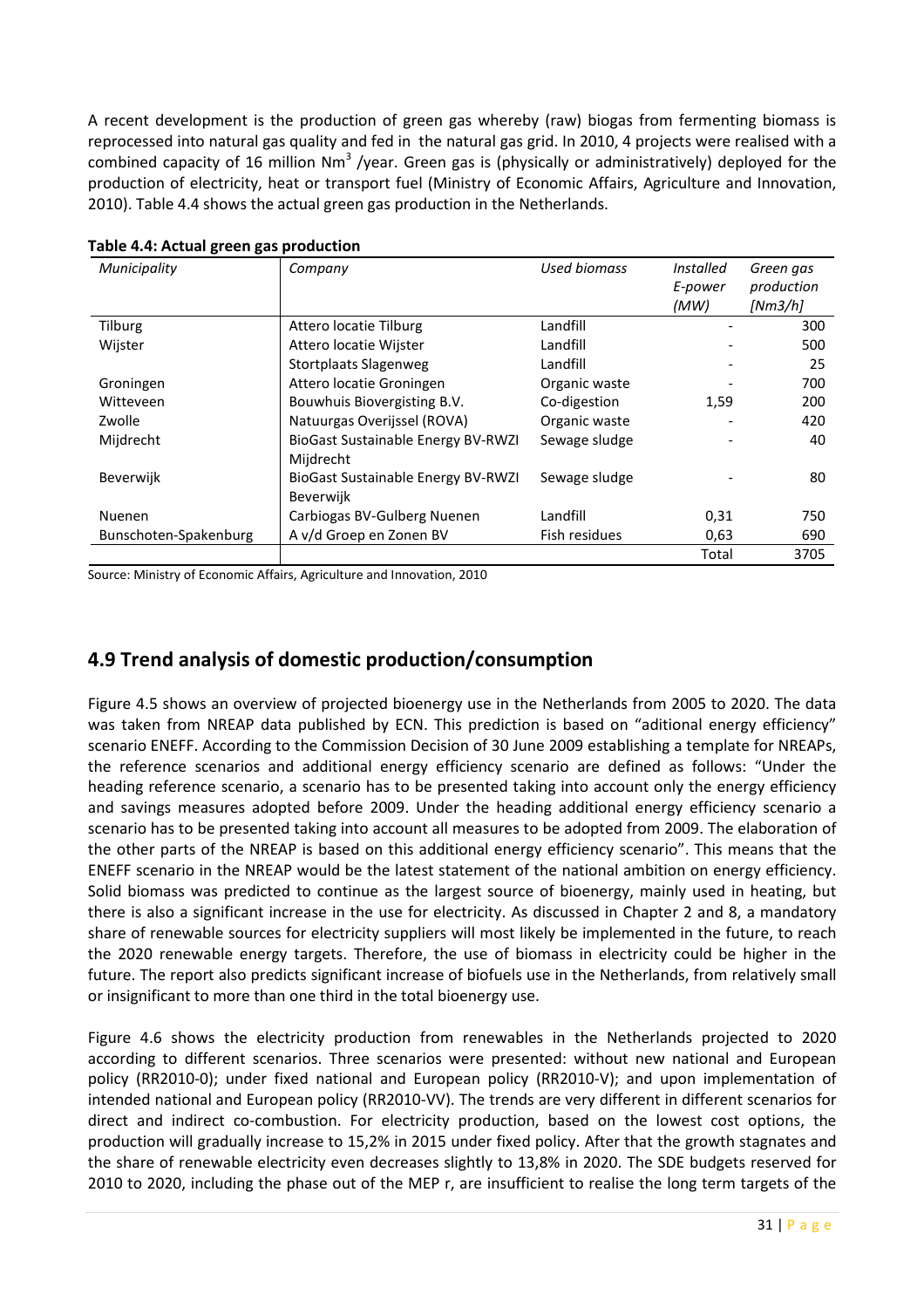A recent development is the production of green gas whereby (raw) biogas from fermenting biomass is reprocessed into natural gas quality and fed in the natural gas grid. In 2010, 4 projects were realised with a combined capacity of 16 million Nm<sup>3</sup> /year. Green gas is (physically or administratively) deployed for the production of electricity, heat or transport fuel (Ministry of Economic Affairs, Agriculture and Innovation, 2010). Table 4.4 shows the actual green gas production in the Netherlands.

| Municipality          | Company                                         | Used biomass  | Installed                | Green gas  |
|-----------------------|-------------------------------------------------|---------------|--------------------------|------------|
|                       |                                                 |               | E-power                  | production |
|                       |                                                 |               | (MW)                     | [Nm3/h]    |
| <b>Tilburg</b>        | Attero locatie Tilburg                          | Landfill      |                          | 300        |
| Wijster               | Attero locatie Wijster                          | Landfill      |                          | 500        |
|                       | <b>Stortplaats Slagenweg</b>                    | Landfill      | $\overline{\phantom{a}}$ | 25         |
| Groningen             | Attero locatie Groningen                        | Organic waste |                          | 700        |
| Witteveen             | Bouwhuis Biovergisting B.V.                     | Co-digestion  | 1,59                     | 200        |
| Zwolle                | Natuurgas Overijssel (ROVA)                     | Organic waste |                          | 420        |
| Mijdrecht             | BioGast Sustainable Energy BV-RWZI<br>Mijdrecht | Sewage sludge |                          | 40         |
| Beverwijk             | BioGast Sustainable Energy BV-RWZI<br>Beverwijk | Sewage sludge |                          | 80         |
| <b>Nuenen</b>         | Carbiogas BV-Gulberg Nuenen                     | Landfill      | 0,31                     | 750        |
| Bunschoten-Spakenburg | A v/d Groep en Zonen BV                         | Fish residues | 0,63                     | 690        |
|                       |                                                 |               | Total                    | 3705       |

Table 4.4: Actual green gas production

Source: Ministry of Economic Affairs, Agriculture and Innovation, 2010

# 4.9 Trend analysis of domestic production/consumption

Figure 4.5 shows an overview of projected bioenergy use in the Netherlands from 2005 to 2020. The data was taken from NREAP data published by ECN. This prediction is based on "aditional energy efficiency" scenario ENEFF. According to the Commission Decision of 30 June 2009 establishing a template for NREAPs, the reference scenarios and additional energy efficiency scenario are defined as follows: "Under the heading reference scenario, a scenario has to be presented taking into account only the energy efficiency and savings measures adopted before 2009. Under the heading additional energy efficiency scenario a scenario has to be presented taking into account all measures to be adopted from 2009. The elaboration of the other parts of the NREAP is based on this additional energy efficiency scenario". This means that the ENEFF scenario in the NREAP would be the latest statement of the national ambition on energy efficiency. Solid biomass was predicted to continue as the largest source of bioenergy, mainly used in heating, but there is also a significant increase in the use for electricity. As discussed in Chapter 2 and 8, a mandatory share of renewable sources for electricity suppliers will most likely be implemented in the future, to reach the 2020 renewable energy targets. Therefore, the use of biomass in electricity could be higher in the future. The report also predicts significant increase of biofuels use in the Netherlands, from relatively small or insignificant to more than one third in the total bioenergy use.

Figure 4.6 shows the electricity production from renewables in the Netherlands projected to 2020 according to different scenarios. Three scenarios were presented: without new national and European policy (RR2010-0); under fixed national and European policy (RR2010-V); and upon implementation of intended national and European policy (RR2010-VV). The trends are very different in different scenarios for direct and indirect co-combustion. For electricity production, based on the lowest cost options, the production will gradually increase to 15,2% in 2015 under fixed policy. After that the growth stagnates and the share of renewable electricity even decreases slightly to 13,8% in 2020. The SDE budgets reserved for 2010 to 2020, including the phase out of the MEP r, are insufficient to realise the long term targets of the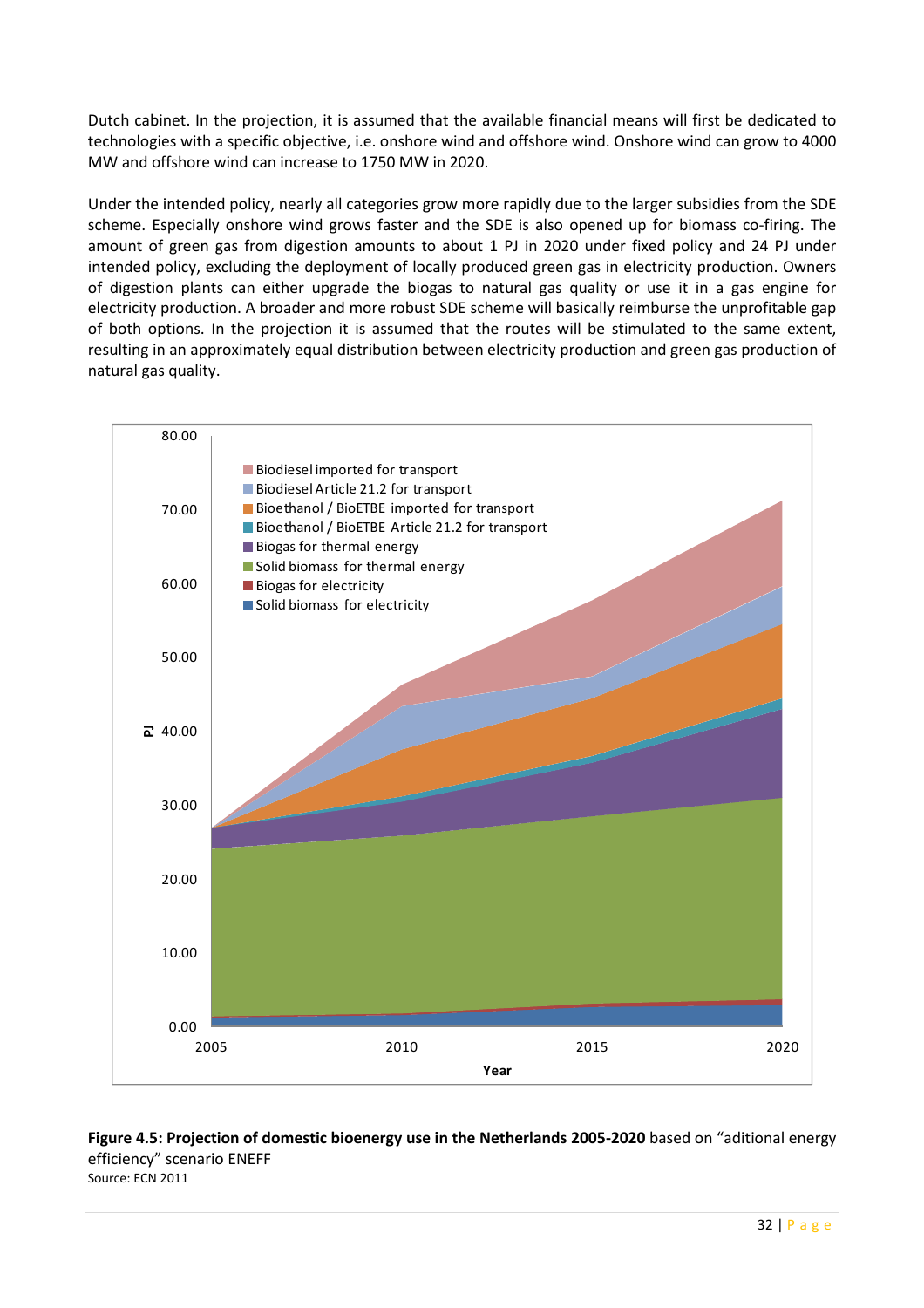Dutch cabinet. In the projection, it is assumed that the available financial means will first be dedicated to technologies with a specific objective, i.e. onshore wind and offshore wind. Onshore wind can grow to 4000 MW and offshore wind can increase to 1750 MW in 2020.

Under the intended policy, nearly all categories grow more rapidly due to the larger subsidies from the SDE scheme. Especially onshore wind grows faster and the SDE is also opened up for biomass co-firing. The amount of green gas from digestion amounts to about 1 PJ in 2020 under fixed policy and 24 PJ under intended policy, excluding the deployment of locally produced green gas in electricity production. Owners of digestion plants can either upgrade the biogas to natural gas quality or use it in a gas engine for electricity production. A broader and more robust SDE scheme will basically reimburse the unprofitable gap of both options. In the projection it is assumed that the routes will be stimulated to the same extent, resulting in an approximately equal distribution between electricity production and green gas production of natural gas quality.



#### Figure 4.5: Projection of domestic bioenergy use in the Netherlands 2005-2020 based on "aditional energy efficiency" scenario ENEFF Source: ECN 2011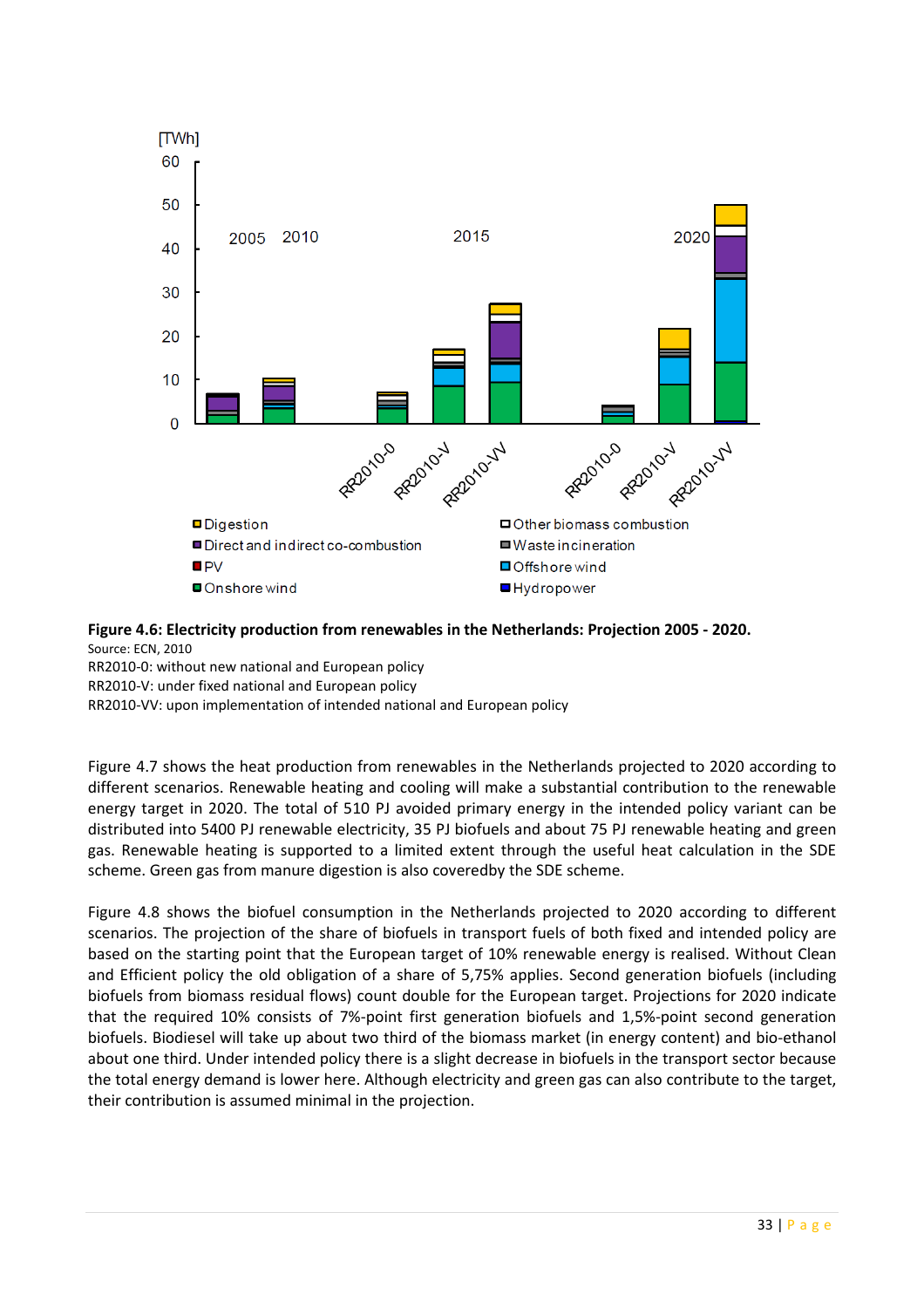

#### Figure 4.6: Electricity production from renewables in the Netherlands: Projection 2005 - 2020. Source: ECN, 2010

RR2010-0: without new national and European policy

RR2010-V: under fixed national and European policy

RR2010-VV: upon implementation of intended national and European policy

Figure 4.7 shows the heat production from renewables in the Netherlands projected to 2020 according to different scenarios. Renewable heating and cooling will make a substantial contribution to the renewable energy target in 2020. The total of 510 PJ avoided primary energy in the intended policy variant can be distributed into 5400 PJ renewable electricity, 35 PJ biofuels and about 75 PJ renewable heating and green gas. Renewable heating is supported to a limited extent through the useful heat calculation in the SDE scheme. Green gas from manure digestion is also coveredby the SDE scheme.

Figure 4.8 shows the biofuel consumption in the Netherlands projected to 2020 according to different scenarios. The projection of the share of biofuels in transport fuels of both fixed and intended policy are based on the starting point that the European target of 10% renewable energy is realised. Without Clean and Efficient policy the old obligation of a share of 5,75% applies. Second generation biofuels (including biofuels from biomass residual flows) count double for the European target. Projections for 2020 indicate that the required 10% consists of 7%-point first generation biofuels and 1,5%-point second generation biofuels. Biodiesel will take up about two third of the biomass market (in energy content) and bio-ethanol about one third. Under intended policy there is a slight decrease in biofuels in the transport sector because the total energy demand is lower here. Although electricity and green gas can also contribute to the target, their contribution is assumed minimal in the projection.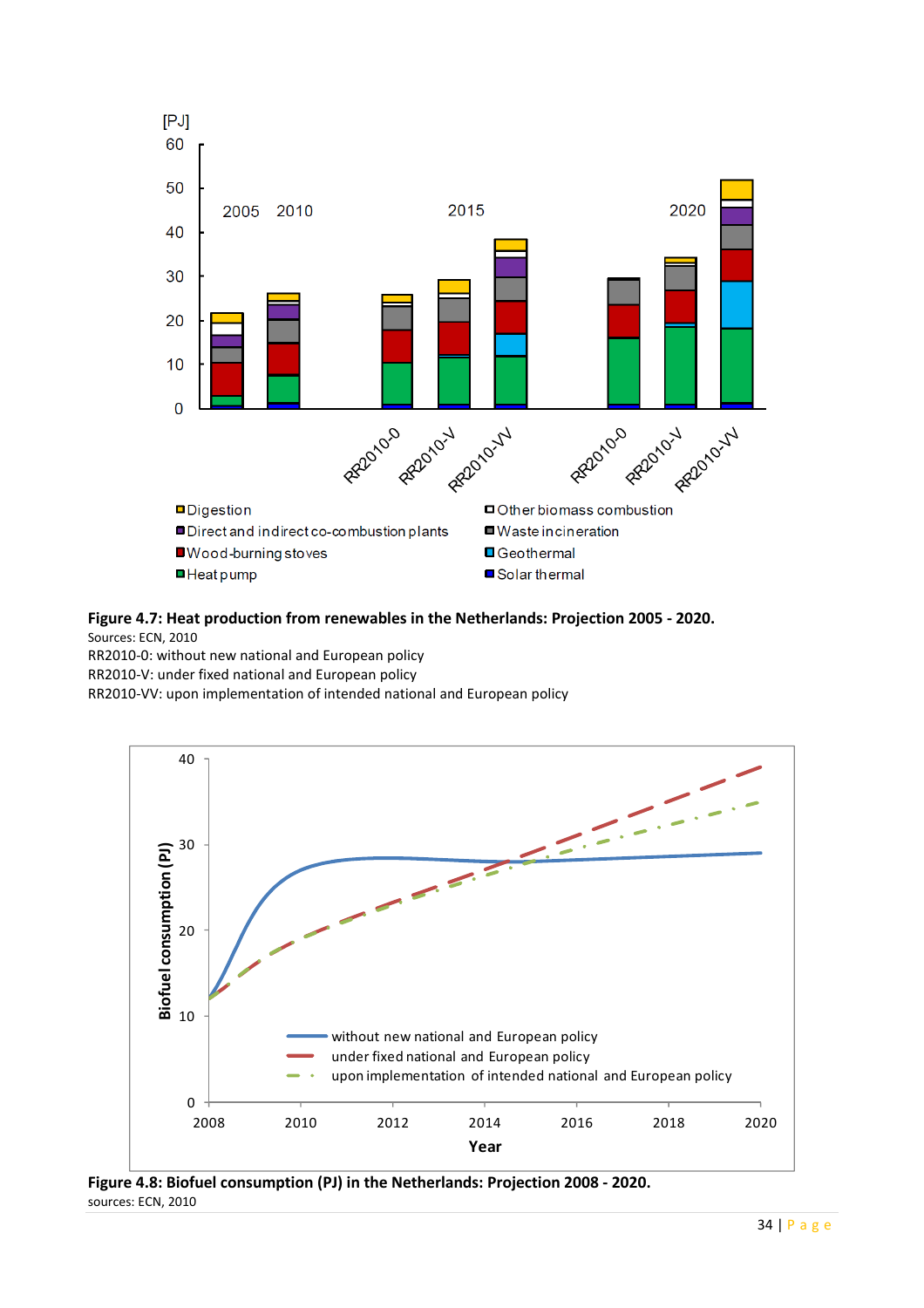

Figure 4.7: Heat production from renewables in the Netherlands: Projection 2005 - 2020.

Sources: ECN, 2010

RR2010-0: without new national and European policy RR2010-V: under fixed national and European policy RR2010-VV: upon implementation of intended national and European policy



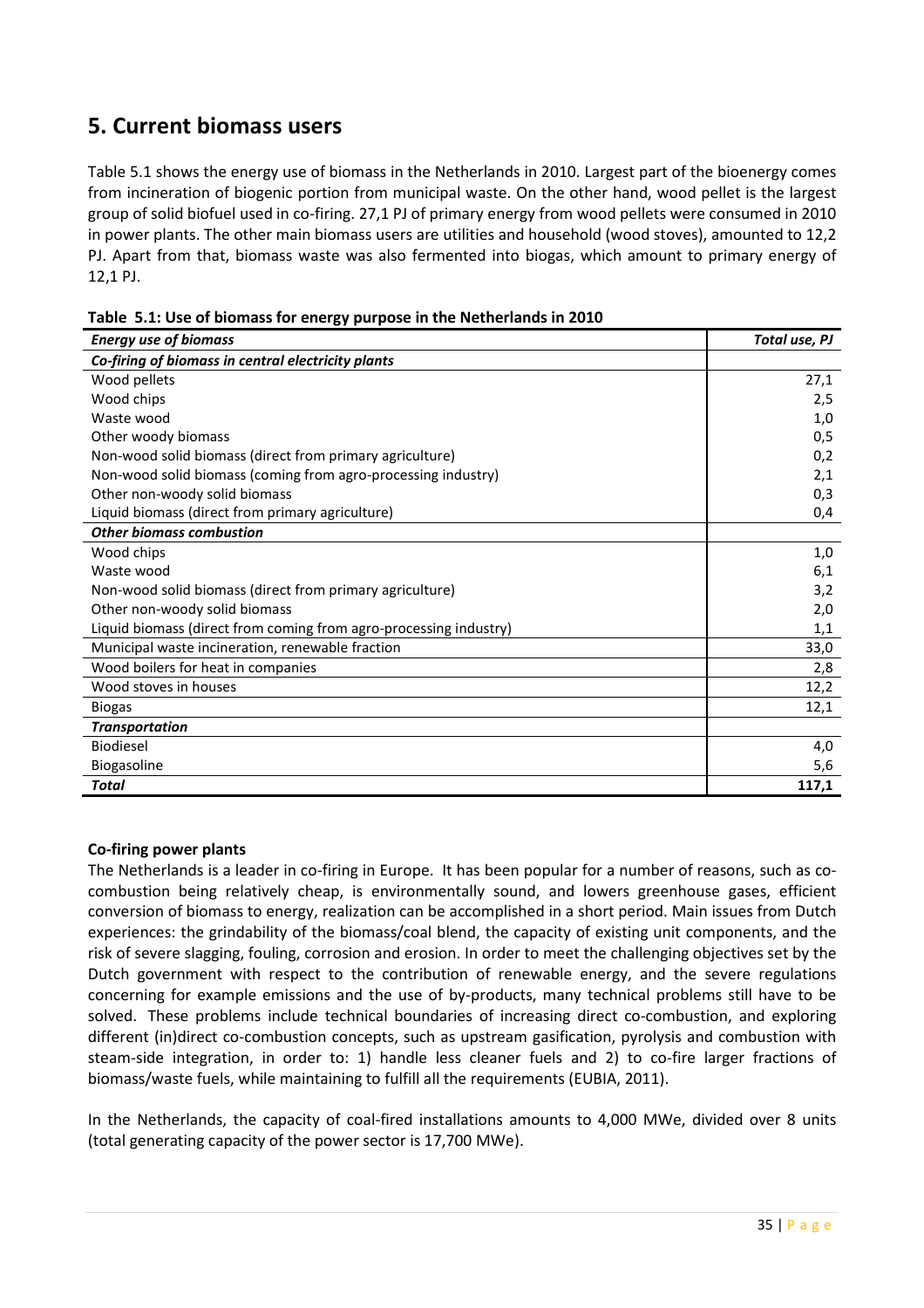# 5. Current biomass users

Table 5.1 shows the energy use of biomass in the Netherlands in 2010. Largest part of the bioenergy comes from incineration of biogenic portion from municipal waste. On the other hand, wood pellet is the largest group of solid biofuel used in co-firing. 27,1 PJ of primary energy from wood pellets were consumed in 2010 in power plants. The other main biomass users are utilities and household (wood stoves), amounted to 12,2 PJ. Apart from that, biomass waste was also fermented into biogas, which amount to primary energy of 12,1 PJ.

| <b>Energy use of biomass</b>                                      | Total use, PJ |
|-------------------------------------------------------------------|---------------|
| Co-firing of biomass in central electricity plants                |               |
| Wood pellets                                                      | 27,1          |
| Wood chips                                                        | 2,5           |
| Waste wood                                                        | 1,0           |
| Other woody biomass                                               | 0,5           |
| Non-wood solid biomass (direct from primary agriculture)          | 0,2           |
| Non-wood solid biomass (coming from agro-processing industry)     | 2,1           |
| Other non-woody solid biomass                                     | 0,3           |
| Liquid biomass (direct from primary agriculture)                  | 0,4           |
| <b>Other biomass combustion</b>                                   |               |
| Wood chips                                                        | 1,0           |
| Waste wood                                                        | 6,1           |
| Non-wood solid biomass (direct from primary agriculture)          | 3,2           |
| Other non-woody solid biomass                                     | 2,0           |
| Liquid biomass (direct from coming from agro-processing industry) | 1,1           |
| Municipal waste incineration, renewable fraction                  | 33,0          |
| Wood boilers for heat in companies                                | 2,8           |
| Wood stoves in houses                                             | 12,2          |
| <b>Biogas</b>                                                     | 12,1          |
| <b>Transportation</b>                                             |               |
| <b>Biodiesel</b>                                                  | 4,0           |
| Biogasoline                                                       | 5,6           |
| <b>Total</b>                                                      | 117,1         |

Table 5.1: Use of biomass for energy purpose in the Netherlands in 2010

#### Co-firing power plants

The Netherlands is a leader in co-firing in Europe. It has been popular for a number of reasons, such as cocombustion being relatively cheap, is environmentally sound, and lowers greenhouse gases, efficient conversion of biomass to energy, realization can be accomplished in a short period. Main issues from Dutch experiences: the grindability of the biomass/coal blend, the capacity of existing unit components, and the risk of severe slagging, fouling, corrosion and erosion. In order to meet the challenging objectives set by the Dutch government with respect to the contribution of renewable energy, and the severe regulations concerning for example emissions and the use of by-products, many technical problems still have to be solved. These problems include technical boundaries of increasing direct co-combustion, and exploring different (in)direct co-combustion concepts, such as upstream gasification, pyrolysis and combustion with steam-side integration, in order to: 1) handle less cleaner fuels and 2) to co-fire larger fractions of biomass/waste fuels, while maintaining to fulfill all the requirements (EUBIA, 2011).

In the Netherlands, the capacity of coal-fired installations amounts to 4,000 MWe, divided over 8 units (total generating capacity of the power sector is 17,700 MWe).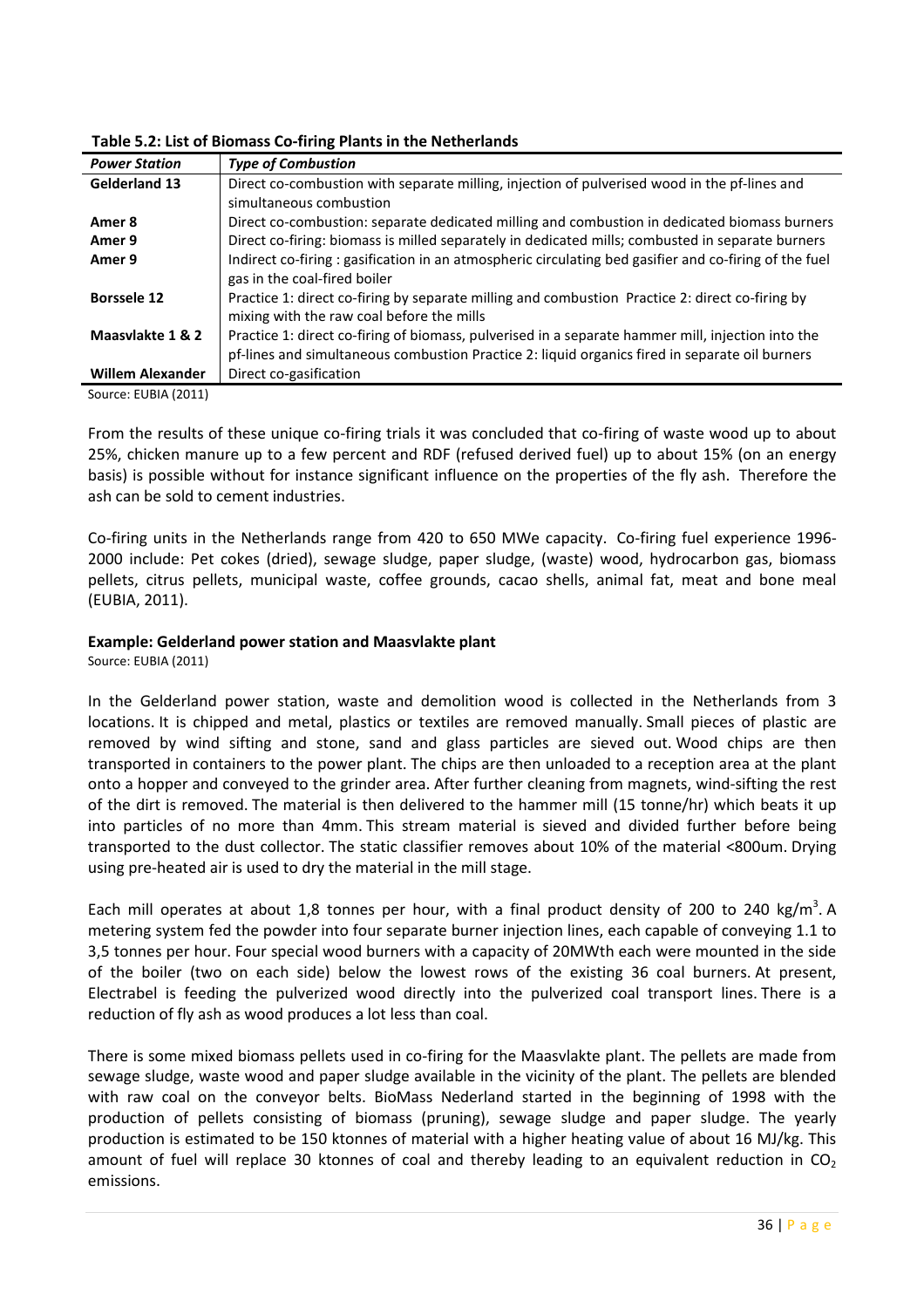| <b>Power Station</b>    | <b>Type of Combustion</b>                                                                             |
|-------------------------|-------------------------------------------------------------------------------------------------------|
| <b>Gelderland 13</b>    | Direct co-combustion with separate milling, injection of pulverised wood in the pf-lines and          |
|                         | simultaneous combustion                                                                               |
| Amer 8                  | Direct co-combustion: separate dedicated milling and combustion in dedicated biomass burners          |
| Amer 9                  | Direct co-firing: biomass is milled separately in dedicated mills; combusted in separate burners      |
| Amer 9                  | Indirect co-firing: gasification in an atmospheric circulating bed gasifier and co-firing of the fuel |
|                         | gas in the coal-fired boiler                                                                          |
| <b>Borssele 12</b>      | Practice 1: direct co-firing by separate milling and combustion Practice 2: direct co-firing by       |
|                         | mixing with the raw coal before the mills                                                             |
| Maasylakte 1 & 2        | Practice 1: direct co-firing of biomass, pulverised in a separate hammer mill, injection into the     |
|                         | pf-lines and simultaneous combustion Practice 2: liquid organics fired in separate oil burners        |
| <b>Willem Alexander</b> | Direct co-gasification                                                                                |

Source: EUBIA (2011)

From the results of these unique co-firing trials it was concluded that co-firing of waste wood up to about 25%, chicken manure up to a few percent and RDF (refused derived fuel) up to about 15% (on an energy basis) is possible without for instance significant influence on the properties of the fly ash. Therefore the ash can be sold to cement industries.

Co-firing units in the Netherlands range from 420 to 650 MWe capacity. Co-firing fuel experience 1996- 2000 include: Pet cokes (dried), sewage sludge, paper sludge, (waste) wood, hydrocarbon gas, biomass pellets, citrus pellets, municipal waste, coffee grounds, cacao shells, animal fat, meat and bone meal (EUBIA, 2011).

#### Example: Gelderland power station and Maasvlakte plant

Source: EUBIA (2011)

In the Gelderland power station, waste and demolition wood is collected in the Netherlands from 3 locations. It is chipped and metal, plastics or textiles are removed manually. Small pieces of plastic are removed by wind sifting and stone, sand and glass particles are sieved out. Wood chips are then transported in containers to the power plant. The chips are then unloaded to a reception area at the plant onto a hopper and conveyed to the grinder area. After further cleaning from magnets, wind-sifting the rest of the dirt is removed. The material is then delivered to the hammer mill (15 tonne/hr) which beats it up into particles of no more than 4mm. This stream material is sieved and divided further before being transported to the dust collector. The static classifier removes about 10% of the material <800um. Drying using pre-heated air is used to dry the material in the mill stage.

Each mill operates at about 1,8 tonnes per hour, with a final product density of 200 to 240 kg/m<sup>3</sup>. A metering system fed the powder into four separate burner injection lines, each capable of conveying 1.1 to 3,5 tonnes per hour. Four special wood burners with a capacity of 20MWth each were mounted in the side of the boiler (two on each side) below the lowest rows of the existing 36 coal burners. At present, Electrabel is feeding the pulverized wood directly into the pulverized coal transport lines. There is a reduction of fly ash as wood produces a lot less than coal.

There is some mixed biomass pellets used in co-firing for the Maasvlakte plant. The pellets are made from sewage sludge, waste wood and paper sludge available in the vicinity of the plant. The pellets are blended with raw coal on the conveyor belts. BioMass Nederland started in the beginning of 1998 with the production of pellets consisting of biomass (pruning), sewage sludge and paper sludge. The yearly production is estimated to be 150 ktonnes of material with a higher heating value of about 16 MJ/kg. This amount of fuel will replace 30 ktonnes of coal and thereby leading to an equivalent reduction in  $CO<sub>2</sub>$ emissions.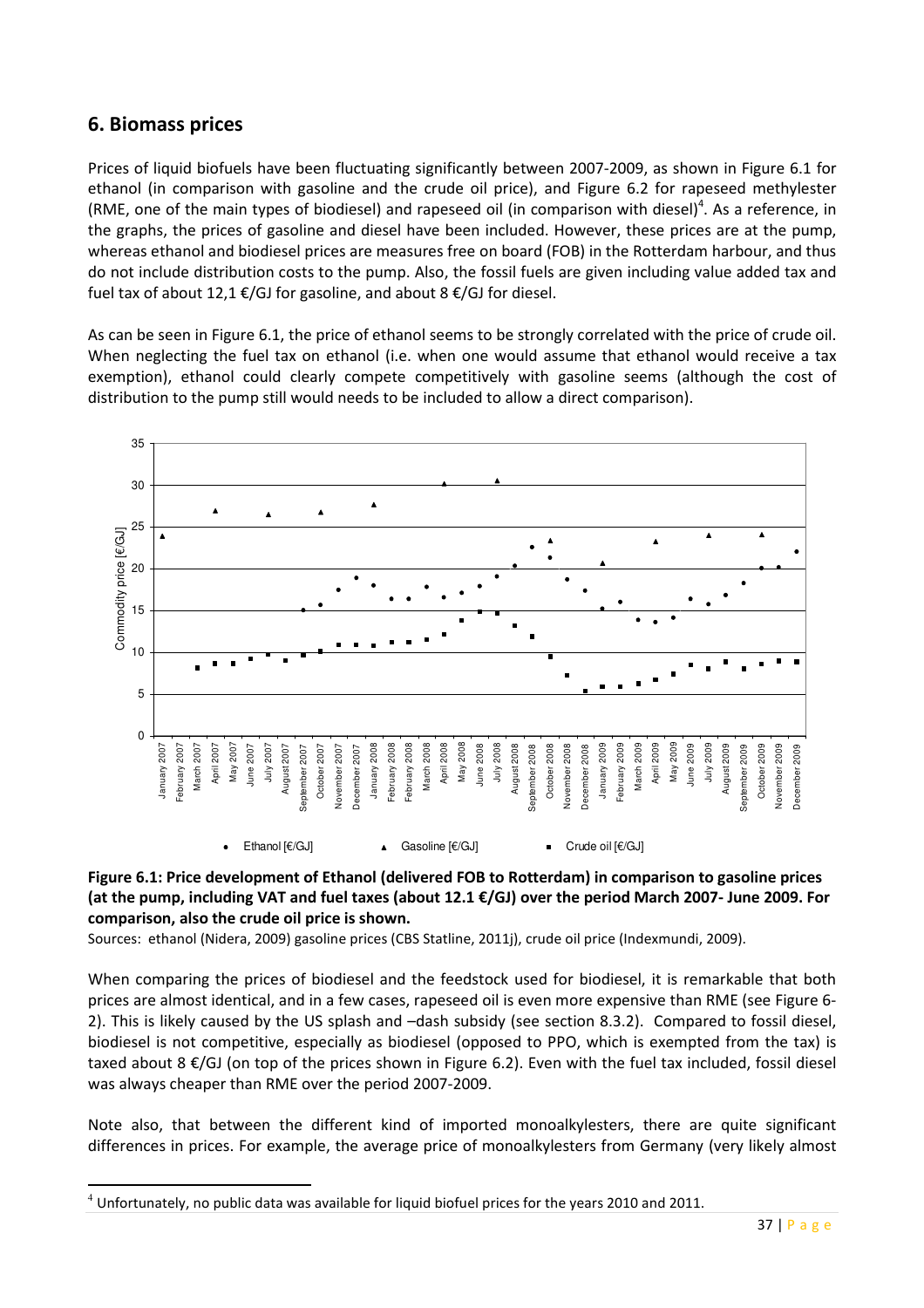# 6. Biomass prices

l

Prices of liquid biofuels have been fluctuating significantly between 2007-2009, as shown in Figure 6.1 for ethanol (in comparison with gasoline and the crude oil price), and Figure 6.2 for rapeseed methylester (RME, one of the main types of biodiesel) and rapeseed oil (in comparison with diesel)<sup>4</sup>. As a reference, in the graphs, the prices of gasoline and diesel have been included. However, these prices are at the pump, whereas ethanol and biodiesel prices are measures free on board (FOB) in the Rotterdam harbour, and thus do not include distribution costs to the pump. Also, the fossil fuels are given including value added tax and fuel tax of about 12,1 €/GJ for gasoline, and about 8 €/GJ for diesel.

As can be seen in Figure 6.1, the price of ethanol seems to be strongly correlated with the price of crude oil. When neglecting the fuel tax on ethanol (i.e. when one would assume that ethanol would receive a tax exemption), ethanol could clearly compete competitively with gasoline seems (although the cost of distribution to the pump still would needs to be included to allow a direct comparison).





Sources: ethanol (Nidera, 2009) gasoline prices (CBS Statline, 2011j), crude oil price (Indexmundi, 2009).

When comparing the prices of biodiesel and the feedstock used for biodiesel, it is remarkable that both prices are almost identical, and in a few cases, rapeseed oil is even more expensive than RME (see Figure 6- 2). This is likely caused by the US splash and –dash subsidy (see section 8.3.2). Compared to fossil diesel, biodiesel is not competitive, especially as biodiesel (opposed to PPO, which is exempted from the tax) is taxed about 8 €/GJ (on top of the prices shown in Figure 6.2). Even with the fuel tax included, fossil diesel was always cheaper than RME over the period 2007-2009.

Note also, that between the different kind of imported monoalkylesters, there are quite significant differences in prices. For example, the average price of monoalkylesters from Germany (very likely almost

 $4$  Unfortunately, no public data was available for liquid biofuel prices for the years 2010 and 2011.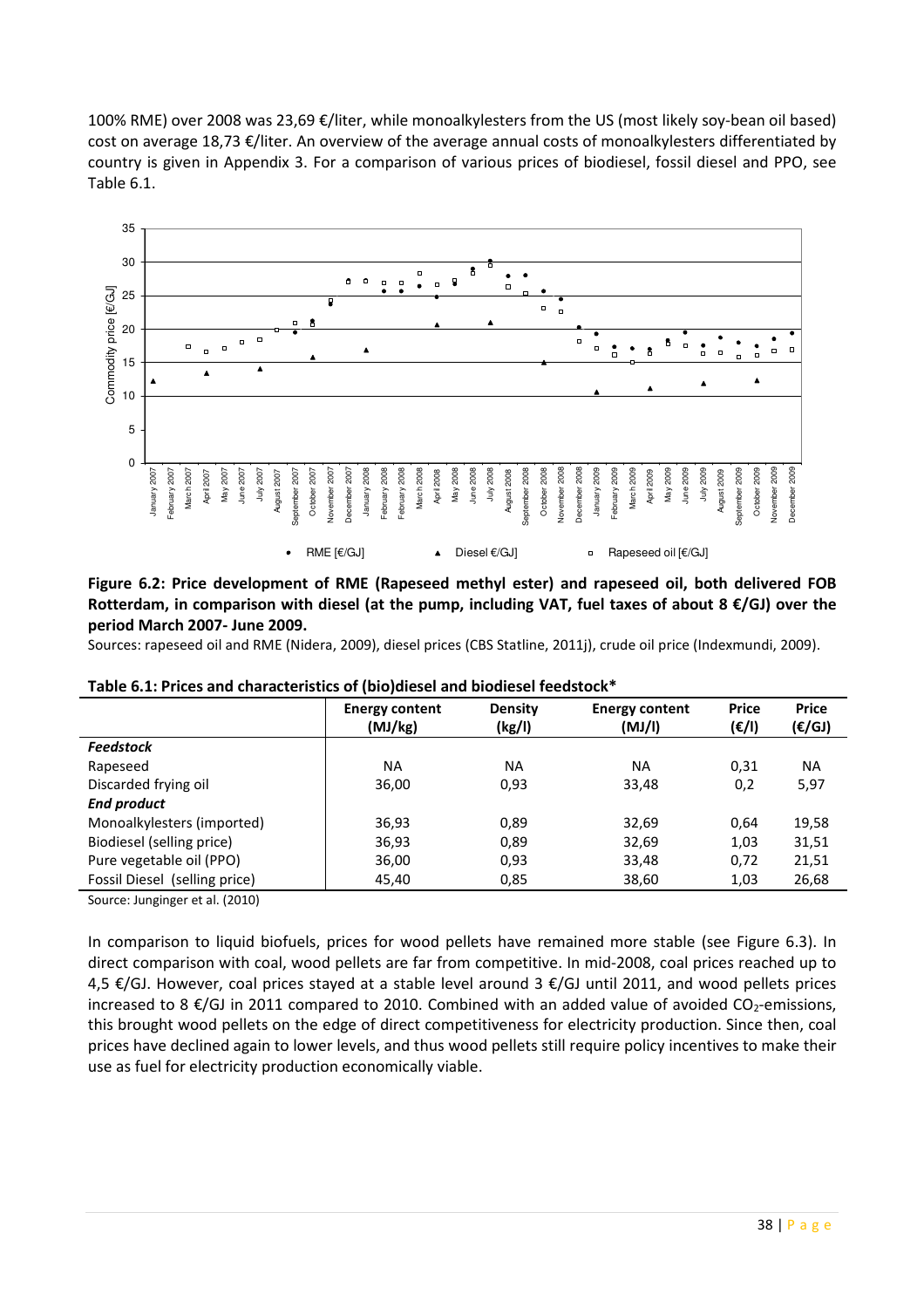100% RME) over 2008 was 23,69 €/liter, while monoalkylesters from the US (most likely soy-bean oil based) cost on average 18,73 €/liter. An overview of the average annual costs of monoalkylesters differentiated by country is given in Appendix 3. For a comparison of various prices of biodiesel, fossil diesel and PPO, see Table 6.1.



#### Figure 6.2: Price development of RME (Rapeseed methyl ester) and rapeseed oil, both delivered FOB Rotterdam, in comparison with diesel (at the pump, including VAT, fuel taxes of about 8  $\epsilon$ /GJ) over the period March 2007- June 2009.

Sources: rapeseed oil and RME (Nidera, 2009), diesel prices (CBS Statline, 2011j), crude oil price (Indexmundi, 2009).

|                               | <b>Energy content</b><br>(MJ/kg) | <b>Density</b><br>(kg/l) | <b>Energy content</b><br>(MJ/I) | <b>Price</b><br>$(\varepsilon/\mathsf{I})$ | <b>Price</b><br>$(\varepsilon/GJ)$ |  |
|-------------------------------|----------------------------------|--------------------------|---------------------------------|--------------------------------------------|------------------------------------|--|
| <b>Feedstock</b>              |                                  |                          |                                 |                                            |                                    |  |
| Rapeseed                      | <b>NA</b>                        | ΝA                       | <b>NA</b>                       | 0,31                                       | <b>NA</b>                          |  |
| Discarded frying oil          | 36,00                            | 0,93                     | 33,48                           | 0,2                                        | 5,97                               |  |
| <b>End product</b>            |                                  |                          |                                 |                                            |                                    |  |
| Monoalkylesters (imported)    | 36,93                            | 0,89                     | 32,69                           | 0,64                                       | 19,58                              |  |
| Biodiesel (selling price)     | 36,93                            | 0,89                     | 32,69                           | 1,03                                       | 31,51                              |  |
| Pure vegetable oil (PPO)      | 36,00                            | 0,93                     | 33,48                           | 0,72                                       | 21,51                              |  |
| Fossil Diesel (selling price) | 45,40                            | 0,85                     | 38,60                           | 1,03                                       | 26,68                              |  |

Table 6.1: Prices and characteristics of (bio)diesel and biodiesel feedstock\*

Source: Junginger et al. (2010)

In comparison to liquid biofuels, prices for wood pellets have remained more stable (see Figure 6.3). In direct comparison with coal, wood pellets are far from competitive. In mid-2008, coal prices reached up to 4,5 €/GJ. However, coal prices stayed at a stable level around 3 €/GJ until 2011, and wood pellets prices increased to 8  $\epsilon$ /GJ in 2011 compared to 2010. Combined with an added value of avoided CO<sub>2</sub>-emissions, this brought wood pellets on the edge of direct competitiveness for electricity production. Since then, coal prices have declined again to lower levels, and thus wood pellets still require policy incentives to make their use as fuel for electricity production economically viable.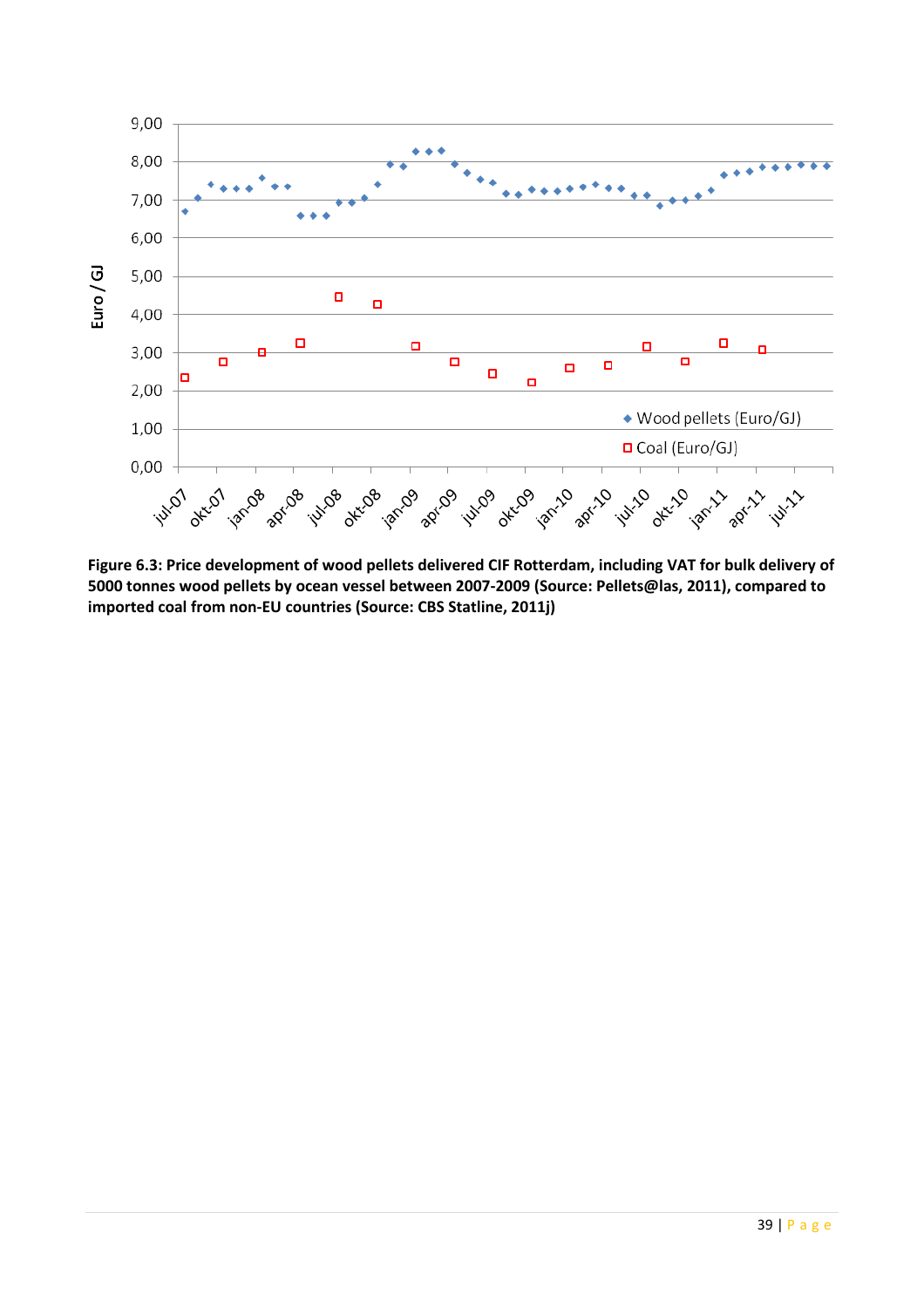

Figure 6.3: Price development of wood pellets delivered CIF Rotterdam, including VAT for bulk delivery of 5000 tonnes wood pellets by ocean vessel between 2007-2009 (Source: Pellets@las, 2011), compared to imported coal from non-EU countries (Source: CBS Statline, 2011j)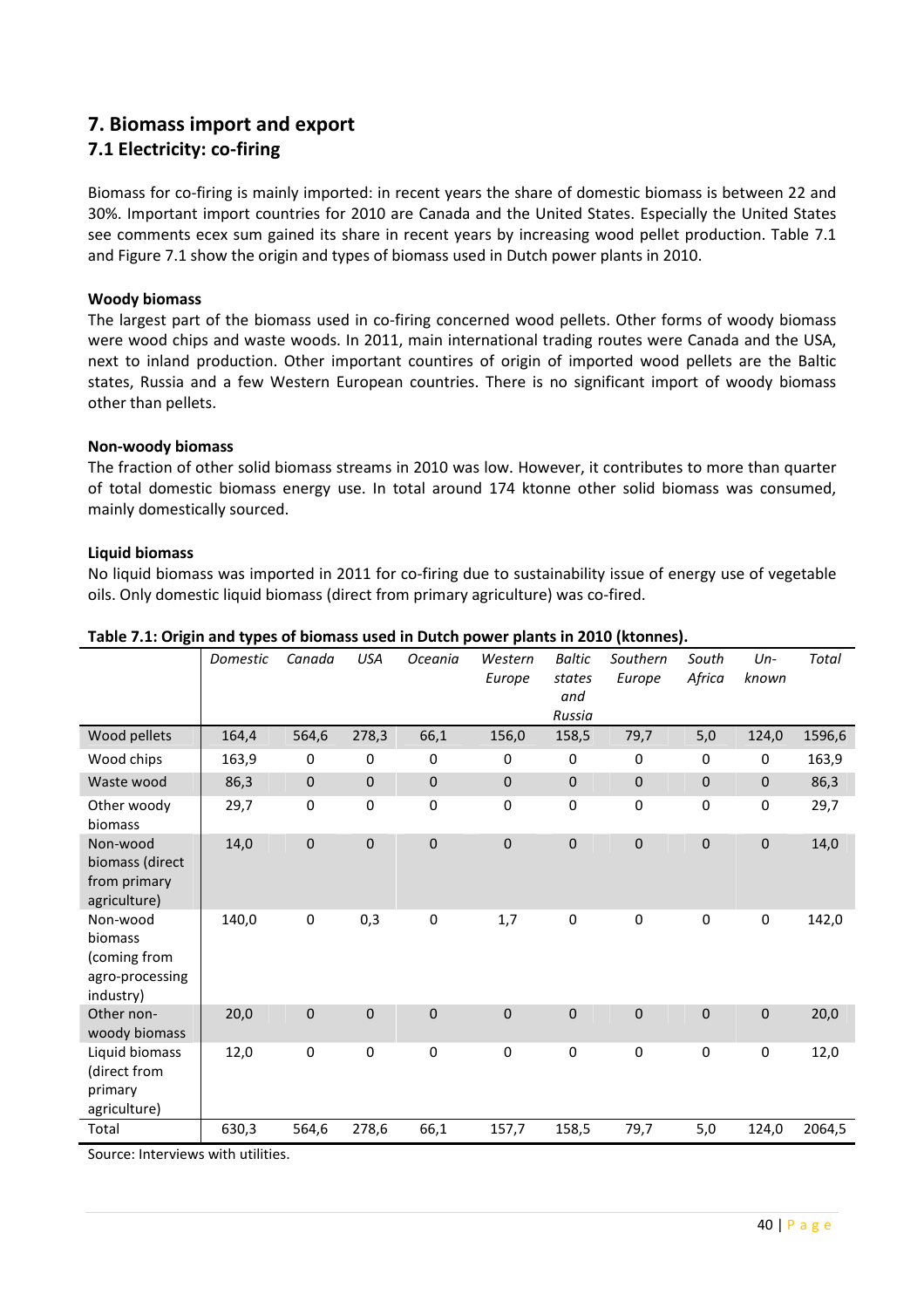# 7. Biomass import and export

# 7.1 Electricity: co-firing

Biomass for co-firing is mainly imported: in recent years the share of domestic biomass is between 22 and 30%. Important import countries for 2010 are Canada and the United States. Especially the United States see comments ecex sum gained its share in recent years by increasing wood pellet production. Table 7.1 and Figure 7.1 show the origin and types of biomass used in Dutch power plants in 2010.

#### Woody biomass

The largest part of the biomass used in co-firing concerned wood pellets. Other forms of woody biomass were wood chips and waste woods. In 2011, main international trading routes were Canada and the USA, next to inland production. Other important countires of origin of imported wood pellets are the Baltic states, Russia and a few Western European countries. There is no significant import of woody biomass other than pellets.

#### Non-woody biomass

The fraction of other solid biomass streams in 2010 was low. However, it contributes to more than quarter of total domestic biomass energy use. In total around 174 ktonne other solid biomass was consumed, mainly domestically sourced.

#### Liquid biomass

No liquid biomass was imported in 2011 for co-firing due to sustainability issue of energy use of vegetable oils. Only domestic liquid biomass (direct from primary agriculture) was co-fired.

|                                                                     | Domestic | Canada      | <b>USA</b>       | Oceania     | Western<br>Europe | <b>Baltic</b><br>states<br>and<br>Russia | Southern<br>Europe | South<br>Africa | $Un-$<br>known | <b>Total</b> |
|---------------------------------------------------------------------|----------|-------------|------------------|-------------|-------------------|------------------------------------------|--------------------|-----------------|----------------|--------------|
| Wood pellets                                                        | 164,4    | 564,6       | 278,3            | 66,1        | 156,0             | 158,5                                    | 79,7               | 5,0             | 124,0          | 1596,6       |
| Wood chips                                                          | 163,9    | 0           | 0                | 0           | 0                 | 0                                        | $\mathbf 0$        | 0               | 0              | 163,9        |
| Waste wood                                                          | 86,3     | 0           | $\pmb{0}$        | $\pmb{0}$   | $\mathbf 0$       | $\mathbf{0}$                             | $\mathbf{0}$       | $\pmb{0}$       | $\pmb{0}$      | 86,3         |
| Other woody<br>biomass                                              | 29,7     | 0           | 0                | $\mathbf 0$ | 0                 | 0                                        | $\mathbf 0$        | $\pmb{0}$       | $\pmb{0}$      | 29,7         |
| Non-wood<br>biomass (direct<br>from primary<br>agriculture)         | 14,0     | $\mathbf 0$ | $\mathbf 0$      | $\pmb{0}$   | $\mathbf 0$       | $\mathbf 0$                              | $\boldsymbol{0}$   | $\mathbf 0$     | $\pmb{0}$      | 14,0         |
| Non-wood<br>biomass<br>(coming from<br>agro-processing<br>industry) | 140,0    | $\pmb{0}$   | 0,3              | $\pmb{0}$   | 1,7               | $\boldsymbol{0}$                         | $\pmb{0}$          | $\pmb{0}$       | $\pmb{0}$      | 142,0        |
| Other non-<br>woody biomass                                         | 20,0     | 0           | $\overline{0}$   | $\mathbf 0$ | $\mathbf 0$       | $\mathbf 0$                              | $\mathbf 0$        | $\mathbf{0}$    | $\pmb{0}$      | 20,0         |
| Liquid biomass<br>(direct from<br>primary<br>agriculture)           | 12,0     | 0           | $\boldsymbol{0}$ | $\pmb{0}$   | $\pmb{0}$         | 0                                        | $\pmb{0}$          | 0               | $\pmb{0}$      | 12,0         |
| Total                                                               | 630,3    | 564,6       | 278,6            | 66,1        | 157,7             | 158,5                                    | 79,7               | $5,0$           | 124,0          | 2064,5       |

#### Table 7.1: Origin and types of biomass used in Dutch power plants in 2010 (ktonnes).

Source: Interviews with utilities.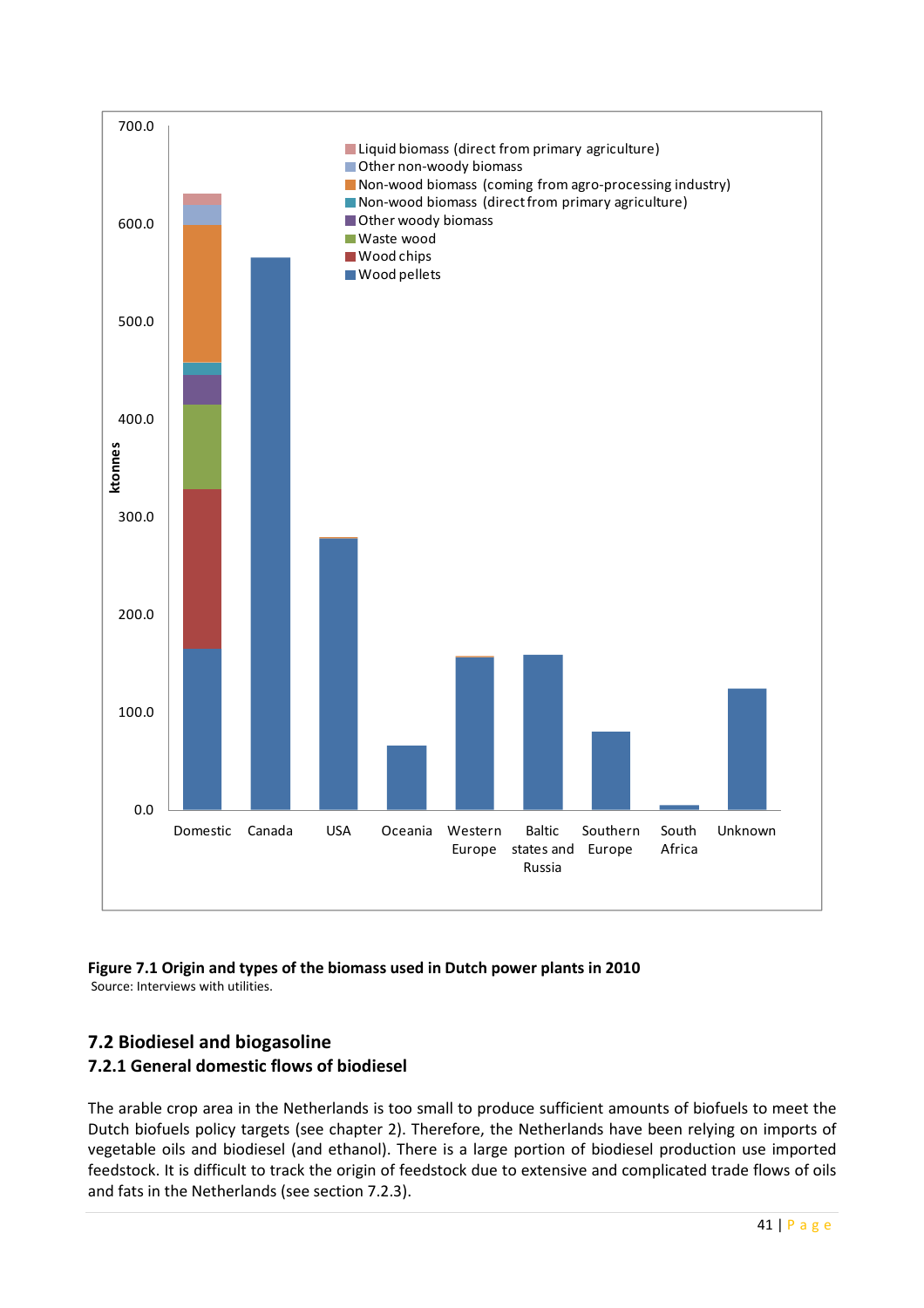

#### Figure 7.1 Origin and types of the biomass used in Dutch power plants in 2010 Source: Interviews with utilities.

# 7.2 Biodiesel and biogasoline

# 7.2.1 General domestic flows of biodiesel

The arable crop area in the Netherlands is too small to produce sufficient amounts of biofuels to meet the Dutch biofuels policy targets (see chapter 2). Therefore, the Netherlands have been relying on imports of vegetable oils and biodiesel (and ethanol). There is a large portion of biodiesel production use imported feedstock. It is difficult to track the origin of feedstock due to extensive and complicated trade flows of oils and fats in the Netherlands (see section 7.2.3).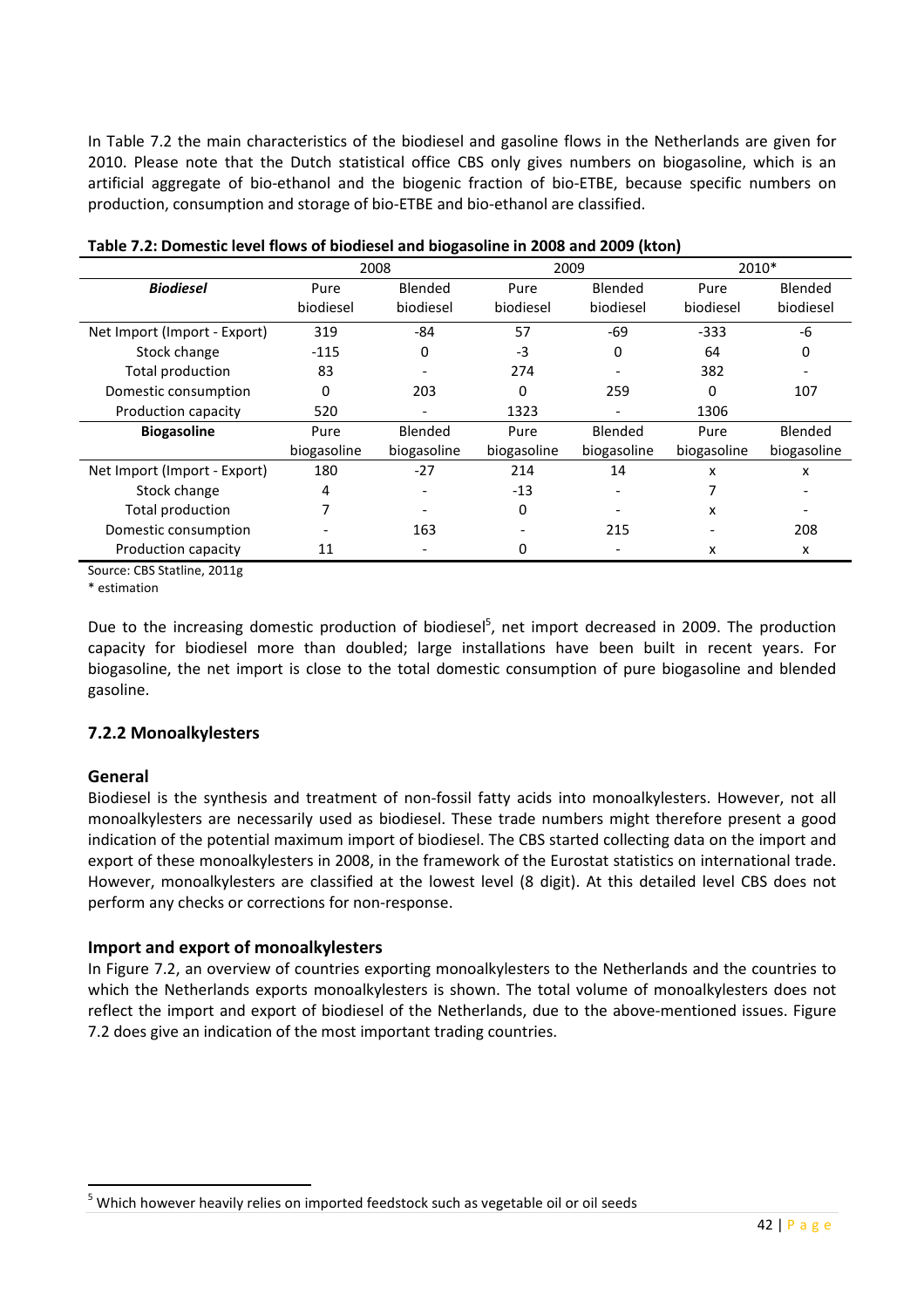In Table 7.2 the main characteristics of the biodiesel and gasoline flows in the Netherlands are given for 2010. Please note that the Dutch statistical office CBS only gives numbers on biogasoline, which is an artificial aggregate of bio-ethanol and the biogenic fraction of bio-ETBE, because specific numbers on production, consumption and storage of bio-ETBE and bio-ethanol are classified.

|                              |             | 2008                     | 2009         |                | 2010*       |             |  |
|------------------------------|-------------|--------------------------|--------------|----------------|-------------|-------------|--|
| <b>Biodiesel</b>             | Pure        | <b>Blended</b>           | Pure         | <b>Blended</b> | Pure        | Blended     |  |
|                              | biodiesel   | biodiesel                | biodiesel    | biodiesel      | biodiesel   | biodiesel   |  |
| Net Import (Import - Export) | 319         | -84                      | 57           | $-69$          | $-333$      | -6          |  |
| Stock change                 | $-115$      | 0                        | $-3$         | 0              | 64          | 0           |  |
| Total production             | 83          |                          | 274          |                | 382         |             |  |
| Domestic consumption         | $\Omega$    | 203                      | <sup>0</sup> | 259            | 0           | 107         |  |
| Production capacity          | 520         |                          | 1323         |                | 1306        |             |  |
| <b>Biogasoline</b>           | Pure        | Blended                  | Pure         | Blended        | Pure        | Blended     |  |
|                              | biogasoline | biogasoline              | biogasoline  | biogasoline    | biogasoline | biogasoline |  |
| Net Import (Import - Export) | 180         | $-27$                    | 214          | 14             | x           | x           |  |
| Stock change                 | 4           | $\overline{\phantom{0}}$ | $-13$        |                |             |             |  |
| Total production             |             |                          | 0            |                | x           |             |  |
| Domestic consumption         |             | 163                      |              | 215            |             | 208         |  |
| Production capacity          | 11          |                          | 0            |                | x           | x           |  |

Source: CBS Statline, 2011g

\* estimation

Due to the increasing domestic production of biodiesel<sup>5</sup>, net import decreased in 2009. The production capacity for biodiesel more than doubled; large installations have been built in recent years. For biogasoline, the net import is close to the total domestic consumption of pure biogasoline and blended gasoline.

#### 7.2.2 Monoalkylesters

#### General

l

Biodiesel is the synthesis and treatment of non-fossil fatty acids into monoalkylesters. However, not all monoalkylesters are necessarily used as biodiesel. These trade numbers might therefore present a good indication of the potential maximum import of biodiesel. The CBS started collecting data on the import and export of these monoalkylesters in 2008, in the framework of the Eurostat statistics on international trade. However, monoalkylesters are classified at the lowest level (8 digit). At this detailed level CBS does not perform any checks or corrections for non-response.

#### Import and export of monoalkylesters

In Figure 7.2, an overview of countries exporting monoalkylesters to the Netherlands and the countries to which the Netherlands exports monoalkylesters is shown. The total volume of monoalkylesters does not reflect the import and export of biodiesel of the Netherlands, due to the above-mentioned issues. Figure 7.2 does give an indication of the most important trading countries.

<sup>&</sup>lt;sup>5</sup> Which however heavily relies on imported feedstock such as vegetable oil or oil seeds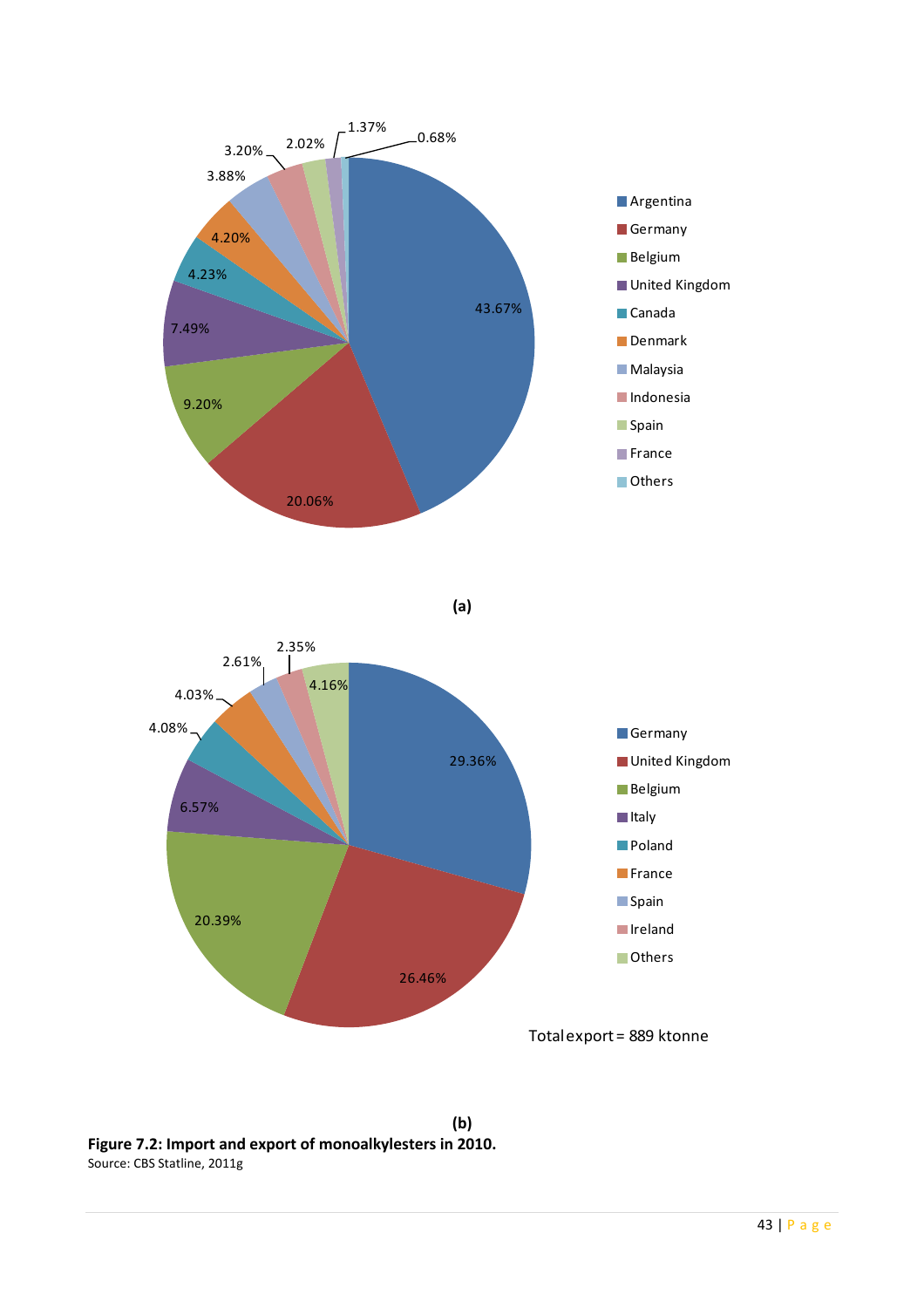

Figure 7.2: Import and export of monoalkylesters in 2010. Source: CBS Statline, 2011g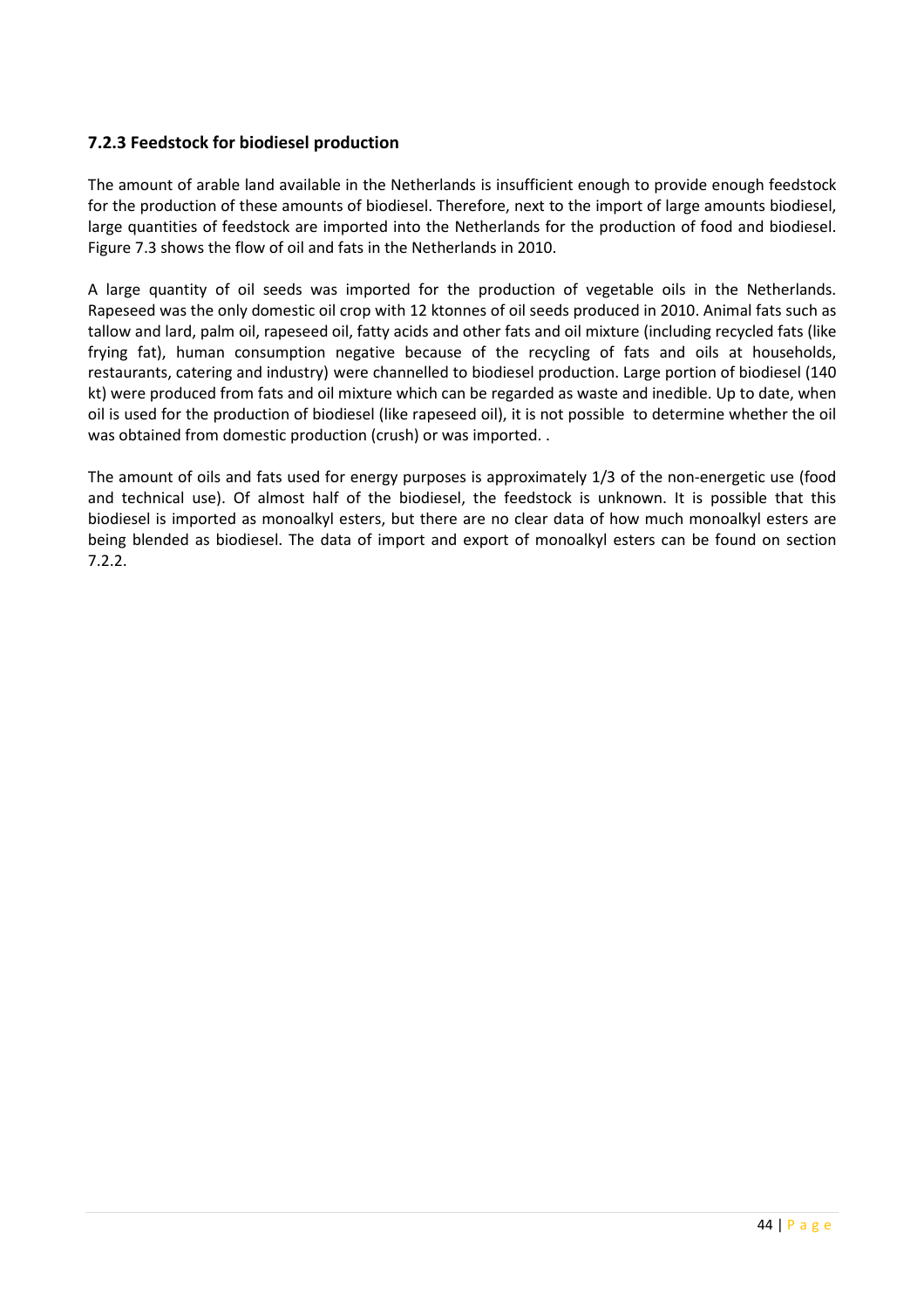#### 7.2.3 Feedstock for biodiesel production

The amount of arable land available in the Netherlands is insufficient enough to provide enough feedstock for the production of these amounts of biodiesel. Therefore, next to the import of large amounts biodiesel, large quantities of feedstock are imported into the Netherlands for the production of food and biodiesel. Figure 7.3 shows the flow of oil and fats in the Netherlands in 2010.

A large quantity of oil seeds was imported for the production of vegetable oils in the Netherlands. Rapeseed was the only domestic oil crop with 12 ktonnes of oil seeds produced in 2010. Animal fats such as tallow and lard, palm oil, rapeseed oil, fatty acids and other fats and oil mixture (including recycled fats (like frying fat), human consumption negative because of the recycling of fats and oils at households, restaurants, catering and industry) were channelled to biodiesel production. Large portion of biodiesel (140 kt) were produced from fats and oil mixture which can be regarded as waste and inedible. Up to date, when oil is used for the production of biodiesel (like rapeseed oil), it is not possible to determine whether the oil was obtained from domestic production (crush) or was imported. .

The amount of oils and fats used for energy purposes is approximately 1/3 of the non-energetic use (food and technical use). Of almost half of the biodiesel, the feedstock is unknown. It is possible that this biodiesel is imported as monoalkyl esters, but there are no clear data of how much monoalkyl esters are being blended as biodiesel. The data of import and export of monoalkyl esters can be found on section 7.2.2.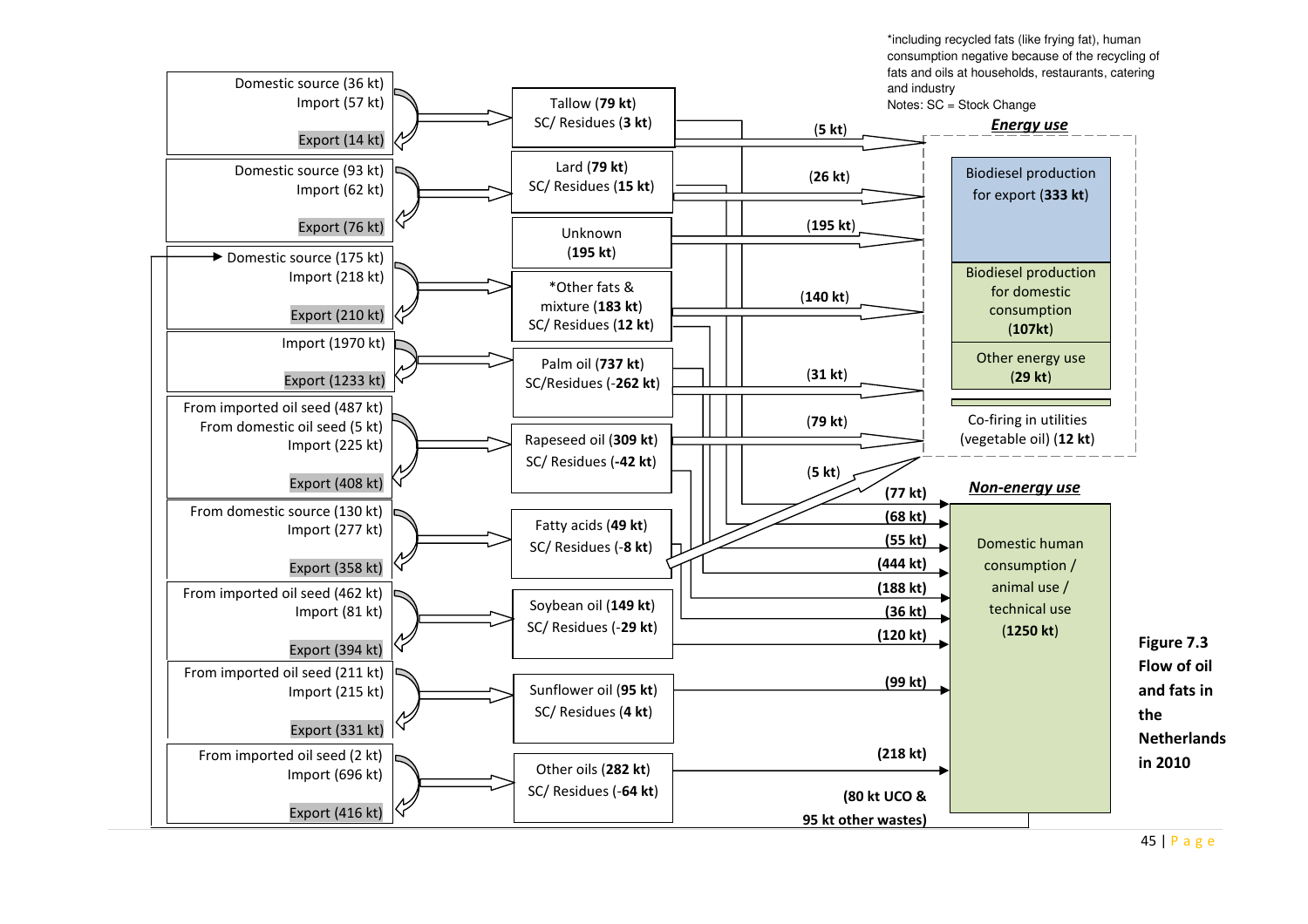\*including recycled fats (like frying fat), human consumption negative because of the recycling of fats and oils at households, restaurants, catering and industry



45 | P <sup>a</sup> <sup>g</sup> <sup>e</sup>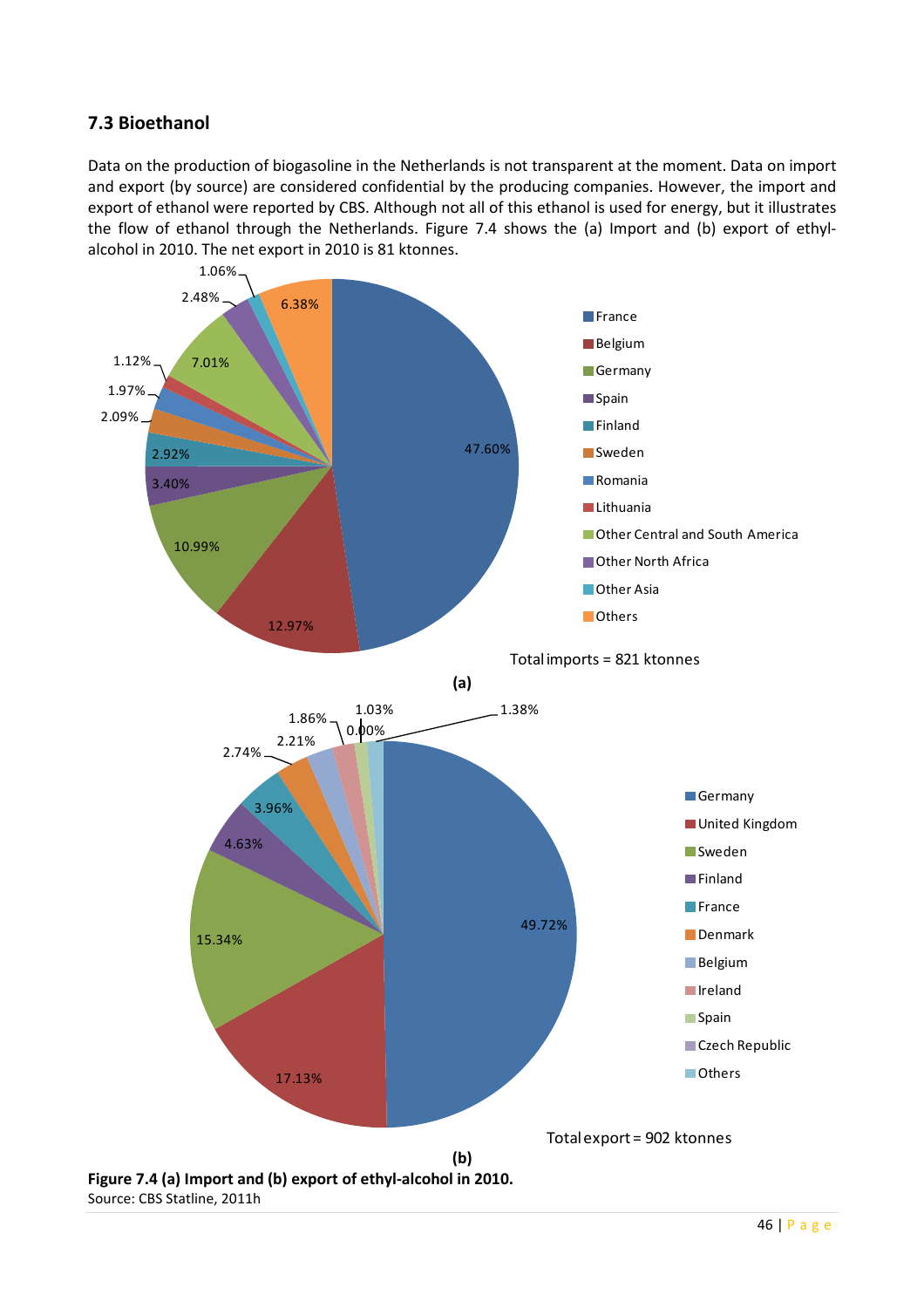# 7.3 Bioethanol

Data on the production of biogasoline in the Netherlands is not transparent at the moment. Data on import and export (by source) are considered confidential by the producing companies. However, the import and export of ethanol were reported by CBS. Although not all of this ethanol is used for energy, but it illustrates the flow of ethanol through the Netherlands. Figure 7.4 shows the (a) Import and (b) export of ethylalcohol in 2010. The net export in 2010 is 81 ktonnes.



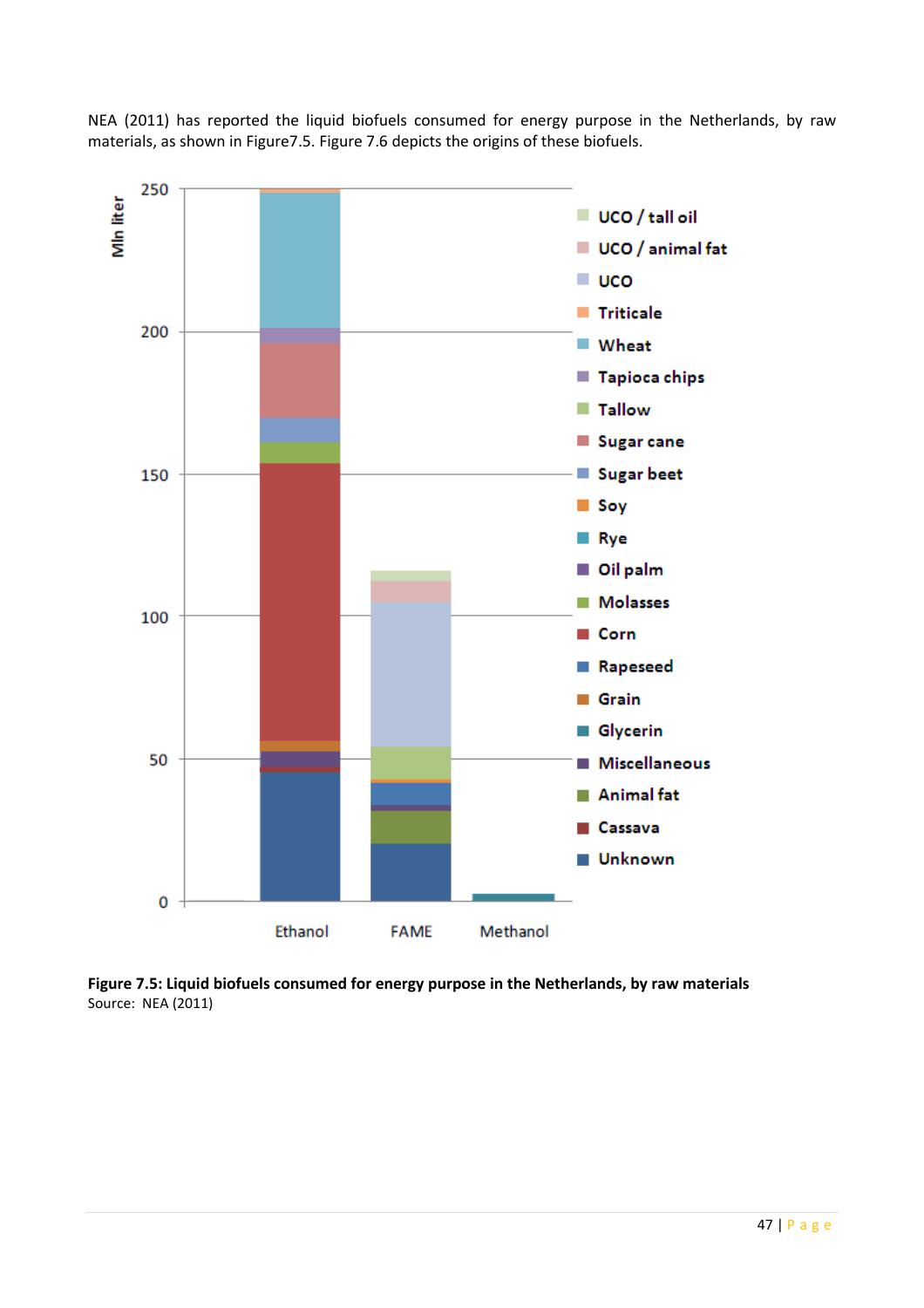NEA (2011) has reported the liquid biofuels consumed for energy purpose in the Netherlands, by raw materials, as shown in Figure7.5. Figure 7.6 depicts the origins of these biofuels.



Figure 7.5: Liquid biofuels consumed for energy purpose in the Netherlands, by raw materials Source: NEA (2011)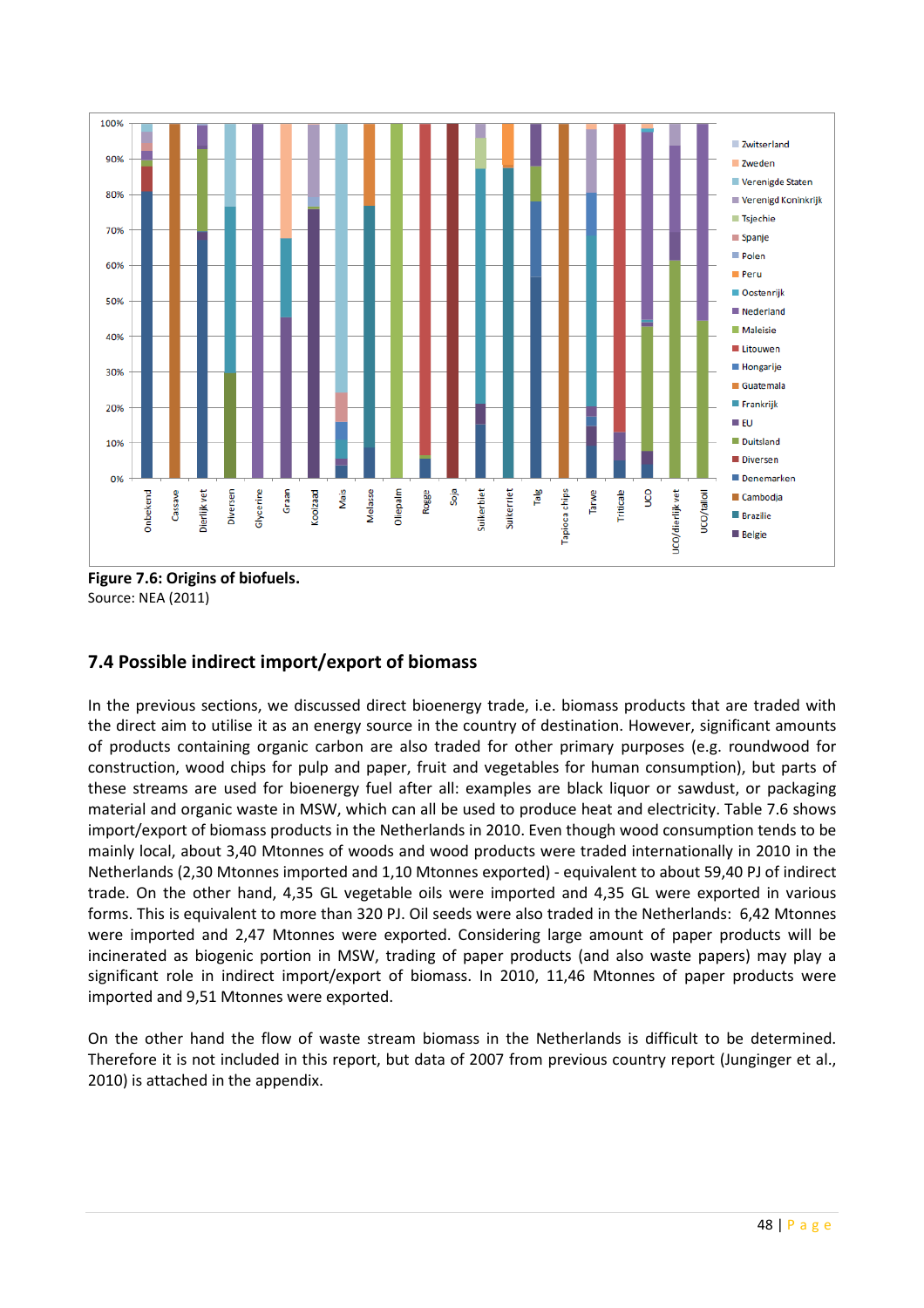

Figure 7.6: Origins of biofuels. Source: NEA (2011)

# 7.4 Possible indirect import/export of biomass

In the previous sections, we discussed direct bioenergy trade, i.e. biomass products that are traded with the direct aim to utilise it as an energy source in the country of destination. However, significant amounts of products containing organic carbon are also traded for other primary purposes (e.g. roundwood for construction, wood chips for pulp and paper, fruit and vegetables for human consumption), but parts of these streams are used for bioenergy fuel after all: examples are black liquor or sawdust, or packaging material and organic waste in MSW, which can all be used to produce heat and electricity. Table 7.6 shows import/export of biomass products in the Netherlands in 2010. Even though wood consumption tends to be mainly local, about 3,40 Mtonnes of woods and wood products were traded internationally in 2010 in the Netherlands (2,30 Mtonnes imported and 1,10 Mtonnes exported) - equivalent to about 59,40 PJ of indirect trade. On the other hand, 4,35 GL vegetable oils were imported and 4,35 GL were exported in various forms. This is equivalent to more than 320 PJ. Oil seeds were also traded in the Netherlands: 6,42 Mtonnes were imported and 2,47 Mtonnes were exported. Considering large amount of paper products will be incinerated as biogenic portion in MSW, trading of paper products (and also waste papers) may play a significant role in indirect import/export of biomass. In 2010, 11,46 Mtonnes of paper products were imported and 9,51 Mtonnes were exported.

On the other hand the flow of waste stream biomass in the Netherlands is difficult to be determined. Therefore it is not included in this report, but data of 2007 from previous country report (Junginger et al., 2010) is attached in the appendix.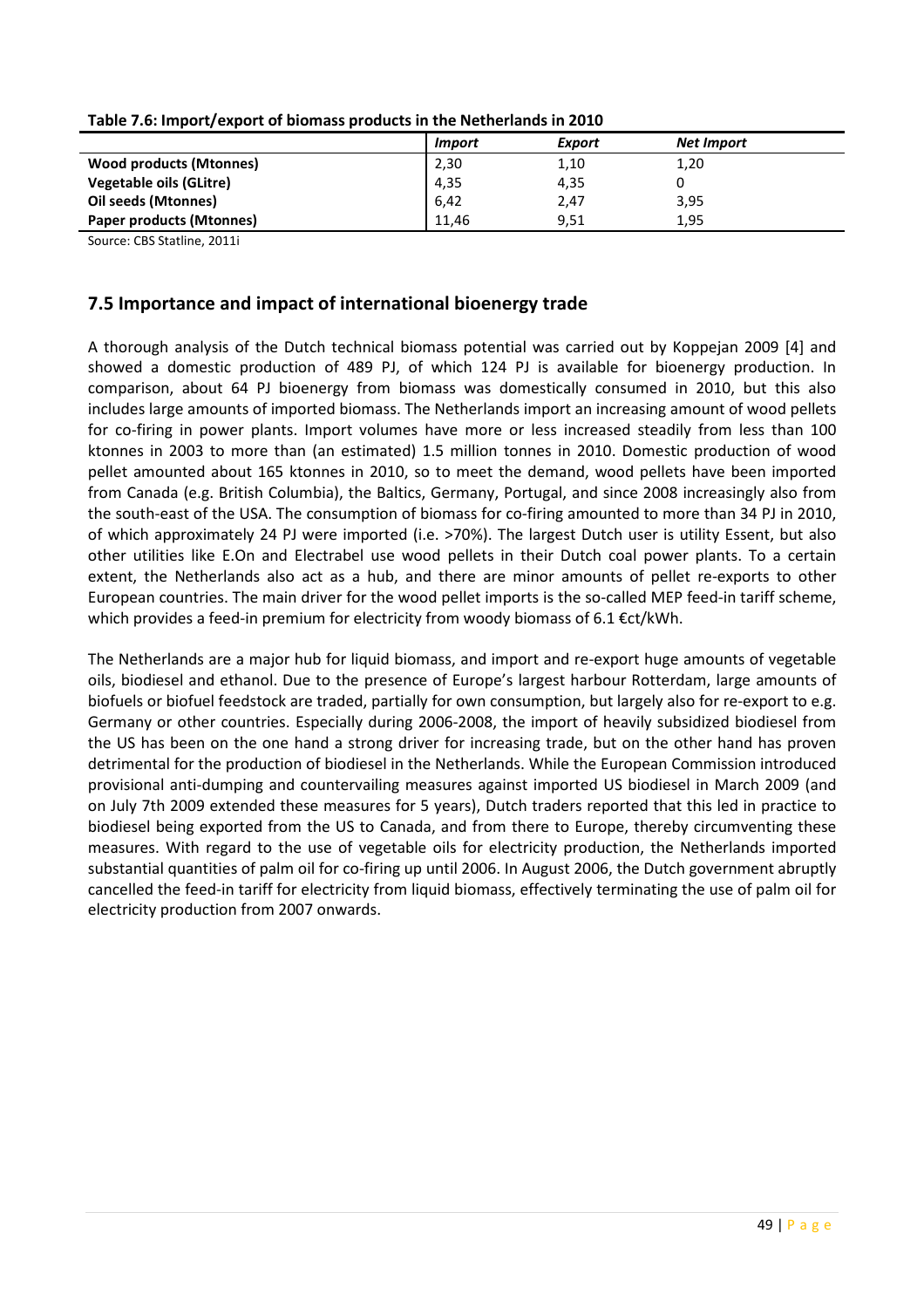|                                 | <i>Import</i> | Export | <b>Net Import</b> |
|---------------------------------|---------------|--------|-------------------|
| <b>Wood products (Mtonnes)</b>  | 2,30          | 1,10   | 1,20              |
| <b>Vegetable oils (GLitre)</b>  | 4,35          | 4,35   |                   |
| <b>Oil seeds (Mtonnes)</b>      | 6,42          | 2,47   | 3,95              |
| <b>Paper products (Mtonnes)</b> | 11.46         | 9,51   | 1,95              |

|  | Table 7.6: Import/export of biomass products in the Netherlands in 2010 |
|--|-------------------------------------------------------------------------|
|--|-------------------------------------------------------------------------|

Source: CBS Statline, 2011i

#### 7.5 Importance and impact of international bioenergy trade

A thorough analysis of the Dutch technical biomass potential was carried out by Koppejan 2009 [4] and showed a domestic production of 489 PJ, of which 124 PJ is available for bioenergy production. In comparison, about 64 PJ bioenergy from biomass was domestically consumed in 2010, but this also includes large amounts of imported biomass. The Netherlands import an increasing amount of wood pellets for co-firing in power plants. Import volumes have more or less increased steadily from less than 100 ktonnes in 2003 to more than (an estimated) 1.5 million tonnes in 2010. Domestic production of wood pellet amounted about 165 ktonnes in 2010, so to meet the demand, wood pellets have been imported from Canada (e.g. British Columbia), the Baltics, Germany, Portugal, and since 2008 increasingly also from the south-east of the USA. The consumption of biomass for co-firing amounted to more than 34 PJ in 2010, of which approximately 24 PJ were imported (i.e. >70%). The largest Dutch user is utility Essent, but also other utilities like E.On and Electrabel use wood pellets in their Dutch coal power plants. To a certain extent, the Netherlands also act as a hub, and there are minor amounts of pellet re-exports to other European countries. The main driver for the wood pellet imports is the so-called MEP feed-in tariff scheme, which provides a feed-in premium for electricity from woody biomass of 6.1  $\epsilon$ ct/kWh.

The Netherlands are a major hub for liquid biomass, and import and re-export huge amounts of vegetable oils, biodiesel and ethanol. Due to the presence of Europe's largest harbour Rotterdam, large amounts of biofuels or biofuel feedstock are traded, partially for own consumption, but largely also for re-export to e.g. Germany or other countries. Especially during 2006-2008, the import of heavily subsidized biodiesel from the US has been on the one hand a strong driver for increasing trade, but on the other hand has proven detrimental for the production of biodiesel in the Netherlands. While the European Commission introduced provisional anti-dumping and countervailing measures against imported US biodiesel in March 2009 (and on July 7th 2009 extended these measures for 5 years), Dutch traders reported that this led in practice to biodiesel being exported from the US to Canada, and from there to Europe, thereby circumventing these measures. With regard to the use of vegetable oils for electricity production, the Netherlands imported substantial quantities of palm oil for co-firing up until 2006. In August 2006, the Dutch government abruptly cancelled the feed-in tariff for electricity from liquid biomass, effectively terminating the use of palm oil for electricity production from 2007 onwards.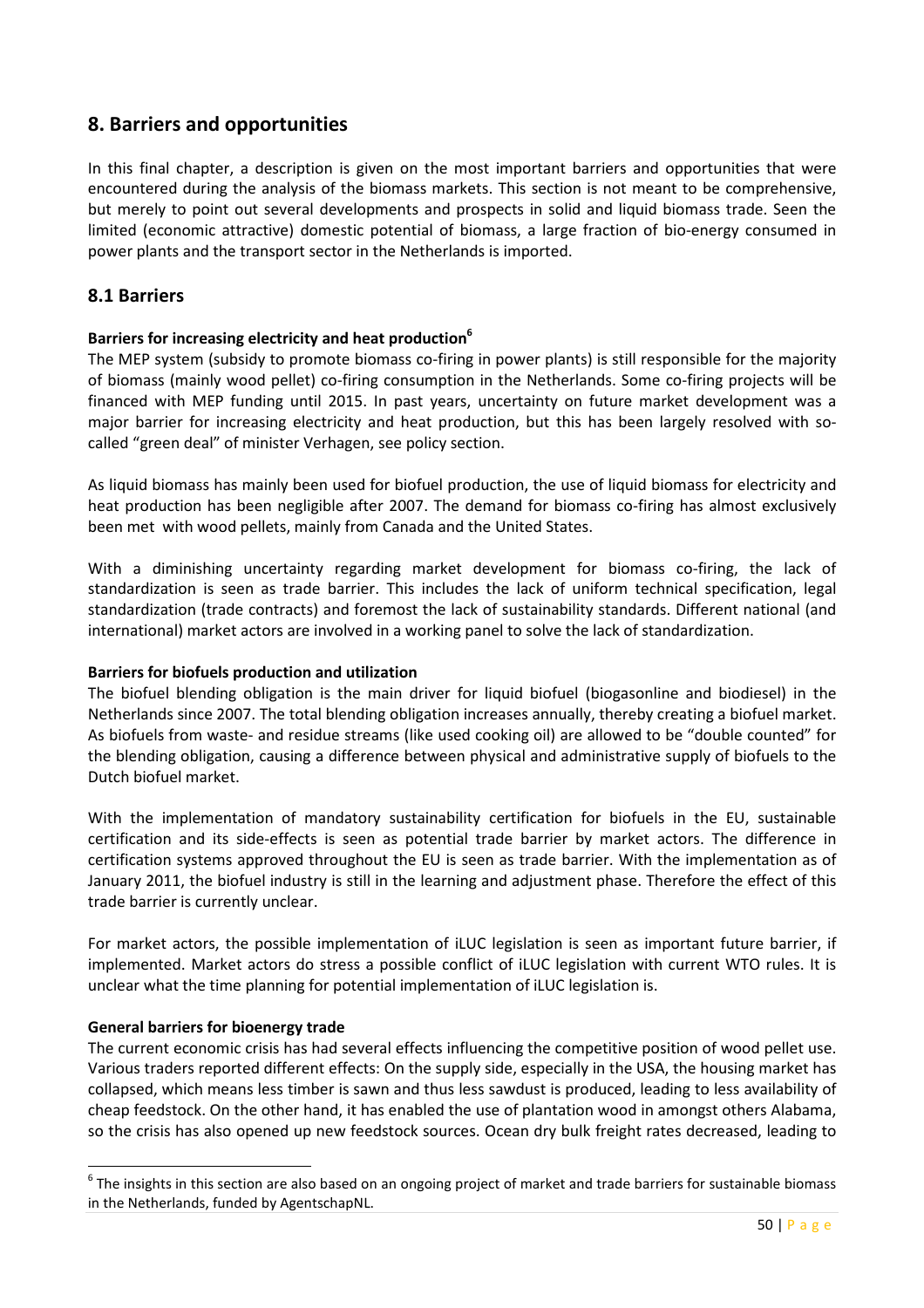# 8. Barriers and opportunities

In this final chapter, a description is given on the most important barriers and opportunities that were encountered during the analysis of the biomass markets. This section is not meant to be comprehensive, but merely to point out several developments and prospects in solid and liquid biomass trade. Seen the limited (economic attractive) domestic potential of biomass, a large fraction of bio-energy consumed in power plants and the transport sector in the Netherlands is imported.

#### 8.1 Barriers

#### Barriers for increasing electricity and heat production<sup>6</sup>

The MEP system (subsidy to promote biomass co-firing in power plants) is still responsible for the majority of biomass (mainly wood pellet) co-firing consumption in the Netherlands. Some co-firing projects will be financed with MEP funding until 2015. In past years, uncertainty on future market development was a major barrier for increasing electricity and heat production, but this has been largely resolved with socalled "green deal" of minister Verhagen, see policy section.

As liquid biomass has mainly been used for biofuel production, the use of liquid biomass for electricity and heat production has been negligible after 2007. The demand for biomass co-firing has almost exclusively been met with wood pellets, mainly from Canada and the United States.

With a diminishing uncertainty regarding market development for biomass co-firing, the lack of standardization is seen as trade barrier. This includes the lack of uniform technical specification, legal standardization (trade contracts) and foremost the lack of sustainability standards. Different national (and international) market actors are involved in a working panel to solve the lack of standardization.

#### Barriers for biofuels production and utilization

The biofuel blending obligation is the main driver for liquid biofuel (biogasonline and biodiesel) in the Netherlands since 2007. The total blending obligation increases annually, thereby creating a biofuel market. As biofuels from waste- and residue streams (like used cooking oil) are allowed to be "double counted" for the blending obligation, causing a difference between physical and administrative supply of biofuels to the Dutch biofuel market.

With the implementation of mandatory sustainability certification for biofuels in the EU, sustainable certification and its side-effects is seen as potential trade barrier by market actors. The difference in certification systems approved throughout the EU is seen as trade barrier. With the implementation as of January 2011, the biofuel industry is still in the learning and adjustment phase. Therefore the effect of this trade barrier is currently unclear.

For market actors, the possible implementation of iLUC legislation is seen as important future barrier, if implemented. Market actors do stress a possible conflict of iLUC legislation with current WTO rules. It is unclear what the time planning for potential implementation of iLUC legislation is.

#### General barriers for bioenergy trade

 $\overline{a}$ 

The current economic crisis has had several effects influencing the competitive position of wood pellet use. Various traders reported different effects: On the supply side, especially in the USA, the housing market has collapsed, which means less timber is sawn and thus less sawdust is produced, leading to less availability of cheap feedstock. On the other hand, it has enabled the use of plantation wood in amongst others Alabama, so the crisis has also opened up new feedstock sources. Ocean dry bulk freight rates decreased, leading to

<sup>&</sup>lt;sup>6</sup> The insights in this section are also based on an ongoing project of market and trade barriers for sustainable biomass in the Netherlands, funded by AgentschapNL.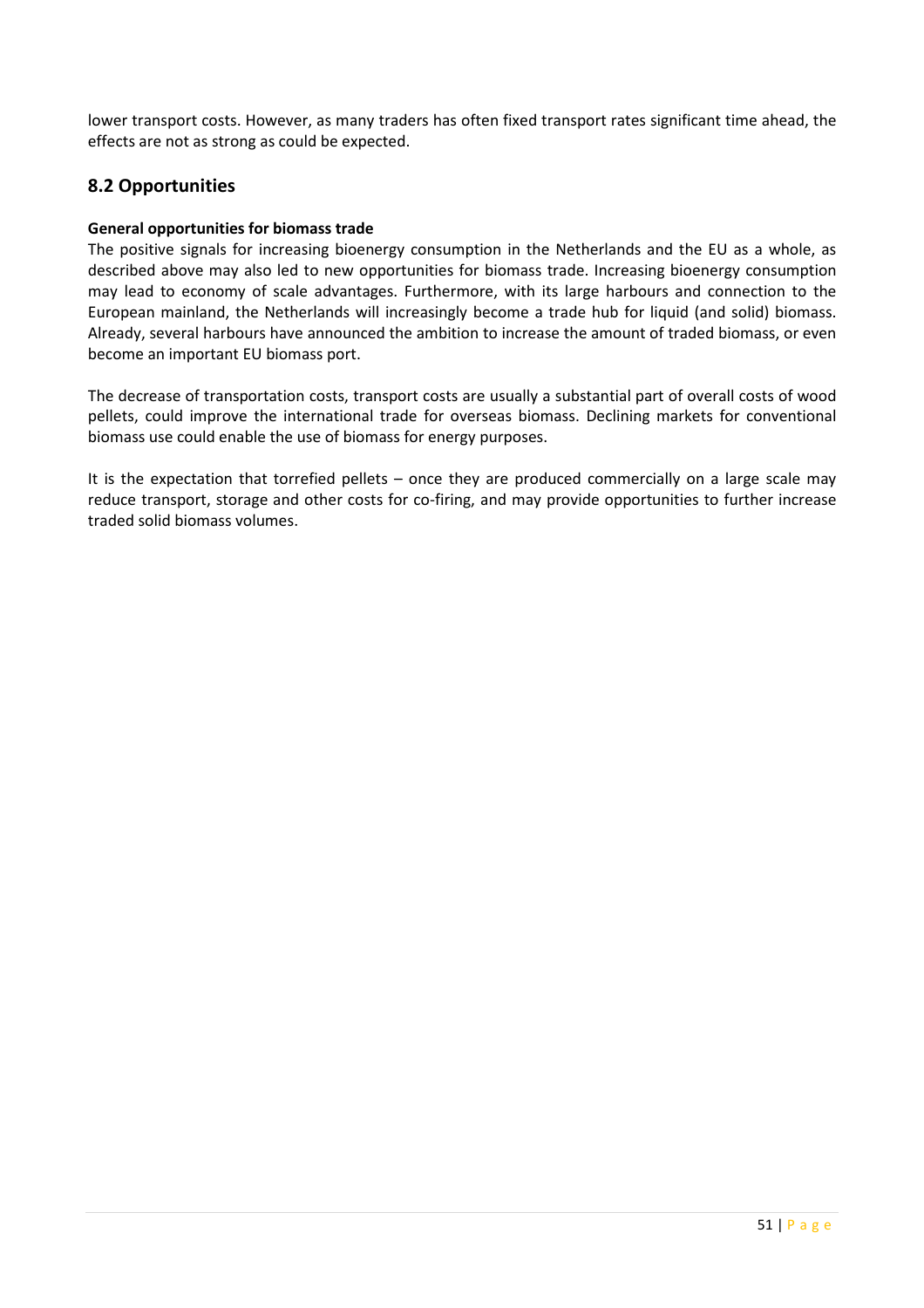lower transport costs. However, as many traders has often fixed transport rates significant time ahead, the effects are not as strong as could be expected.

# 8.2 Opportunities

#### General opportunities for biomass trade

The positive signals for increasing bioenergy consumption in the Netherlands and the EU as a whole, as described above may also led to new opportunities for biomass trade. Increasing bioenergy consumption may lead to economy of scale advantages. Furthermore, with its large harbours and connection to the European mainland, the Netherlands will increasingly become a trade hub for liquid (and solid) biomass. Already, several harbours have announced the ambition to increase the amount of traded biomass, or even become an important EU biomass port.

The decrease of transportation costs, transport costs are usually a substantial part of overall costs of wood pellets, could improve the international trade for overseas biomass. Declining markets for conventional biomass use could enable the use of biomass for energy purposes.

It is the expectation that torrefied pellets – once they are produced commercially on a large scale may reduce transport, storage and other costs for co-firing, and may provide opportunities to further increase traded solid biomass volumes.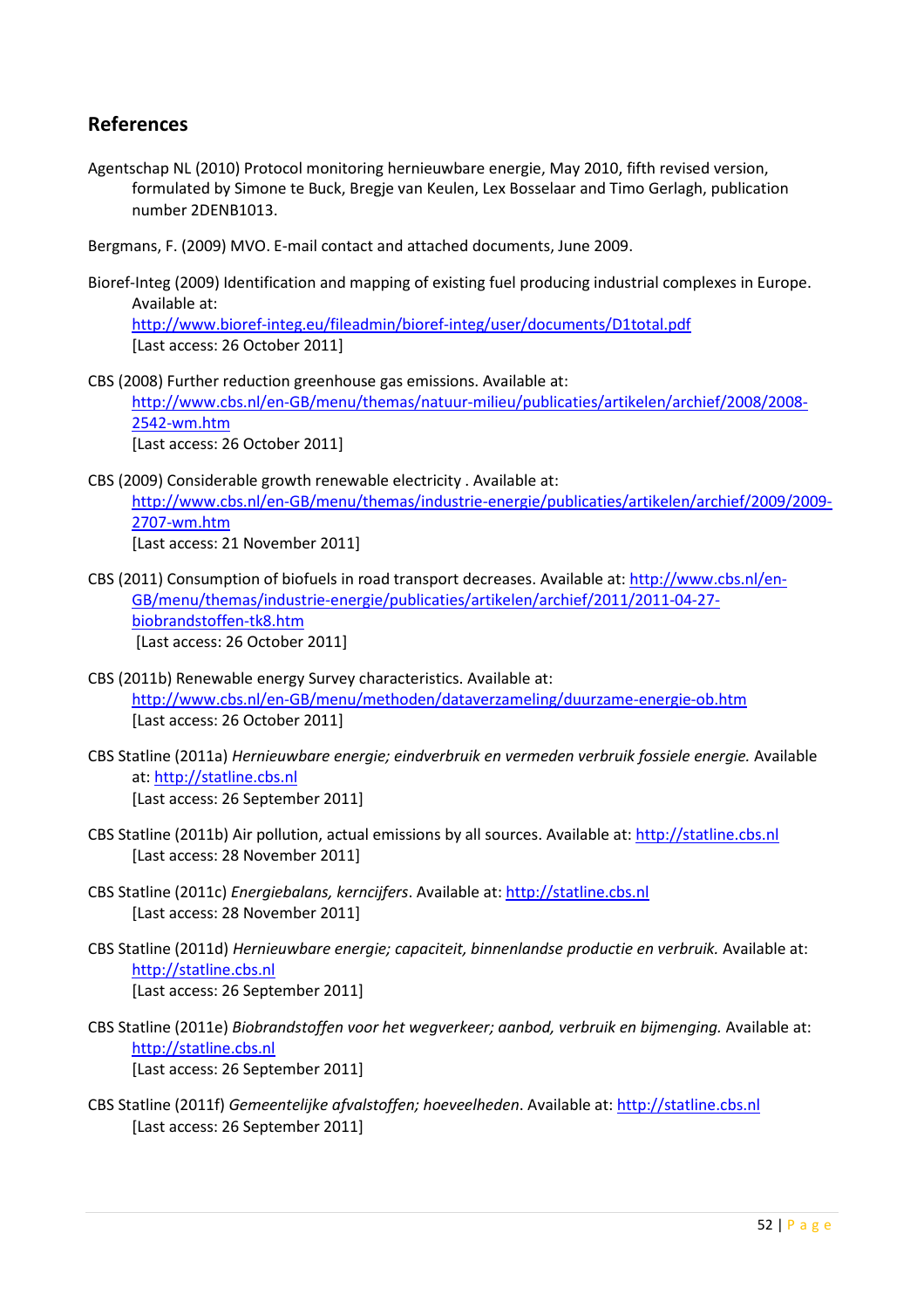# References

Agentschap NL (2010) Protocol monitoring hernieuwbare energie, May 2010, fifth revised version, formulated by Simone te Buck, Bregje van Keulen, Lex Bosselaar and Timo Gerlagh, publication number 2DENB1013.

Bergmans, F. (2009) MVO. E-mail contact and attached documents, June 2009.

Bioref-Integ (2009) Identification and mapping of existing fuel producing industrial complexes in Europe. Available at:

http://www.bioref-integ.eu/fileadmin/bioref-integ/user/documents/D1total.pdf [Last access: 26 October 2011]

CBS (2008) Further reduction greenhouse gas emissions. Available at:

http://www.cbs.nl/en-GB/menu/themas/natuur-milieu/publicaties/artikelen/archief/2008/2008- 2542-wm.htm

[Last access: 26 October 2011]

- CBS (2009) Considerable growth renewable electricity . Available at: http://www.cbs.nl/en-GB/menu/themas/industrie-energie/publicaties/artikelen/archief/2009/2009- 2707-wm.htm [Last access: 21 November 2011]
- CBS (2011) Consumption of biofuels in road transport decreases. Available at: http://www.cbs.nl/en-GB/menu/themas/industrie-energie/publicaties/artikelen/archief/2011/2011-04-27 biobrandstoffen-tk8.htm [Last access: 26 October 2011]
- CBS (2011b) Renewable energy Survey characteristics. Available at: http://www.cbs.nl/en-GB/menu/methoden/dataverzameling/duurzame-energie-ob.htm [Last access: 26 October 2011]
- CBS Statline (2011a) Hernieuwbare energie; eindverbruik en vermeden verbruik fossiele energie. Available at: http://statline.cbs.nl [Last access: 26 September 2011]
- CBS Statline (2011b) Air pollution, actual emissions by all sources. Available at: http://statline.cbs.nl [Last access: 28 November 2011]
- CBS Statline (2011c) Energiebalans, kerncijfers. Available at: http://statline.cbs.nl [Last access: 28 November 2011]
- CBS Statline (2011d) Hernieuwbare energie; capaciteit, binnenlandse productie en verbruik. Available at: http://statline.cbs.nl [Last access: 26 September 2011]
- CBS Statline (2011e) Biobrandstoffen voor het wegverkeer; aanbod, verbruik en bijmenging. Available at: http://statline.cbs.nl [Last access: 26 September 2011]
- CBS Statline (2011f) Gemeentelijke afvalstoffen; hoeveelheden. Available at: http://statline.cbs.nl [Last access: 26 September 2011]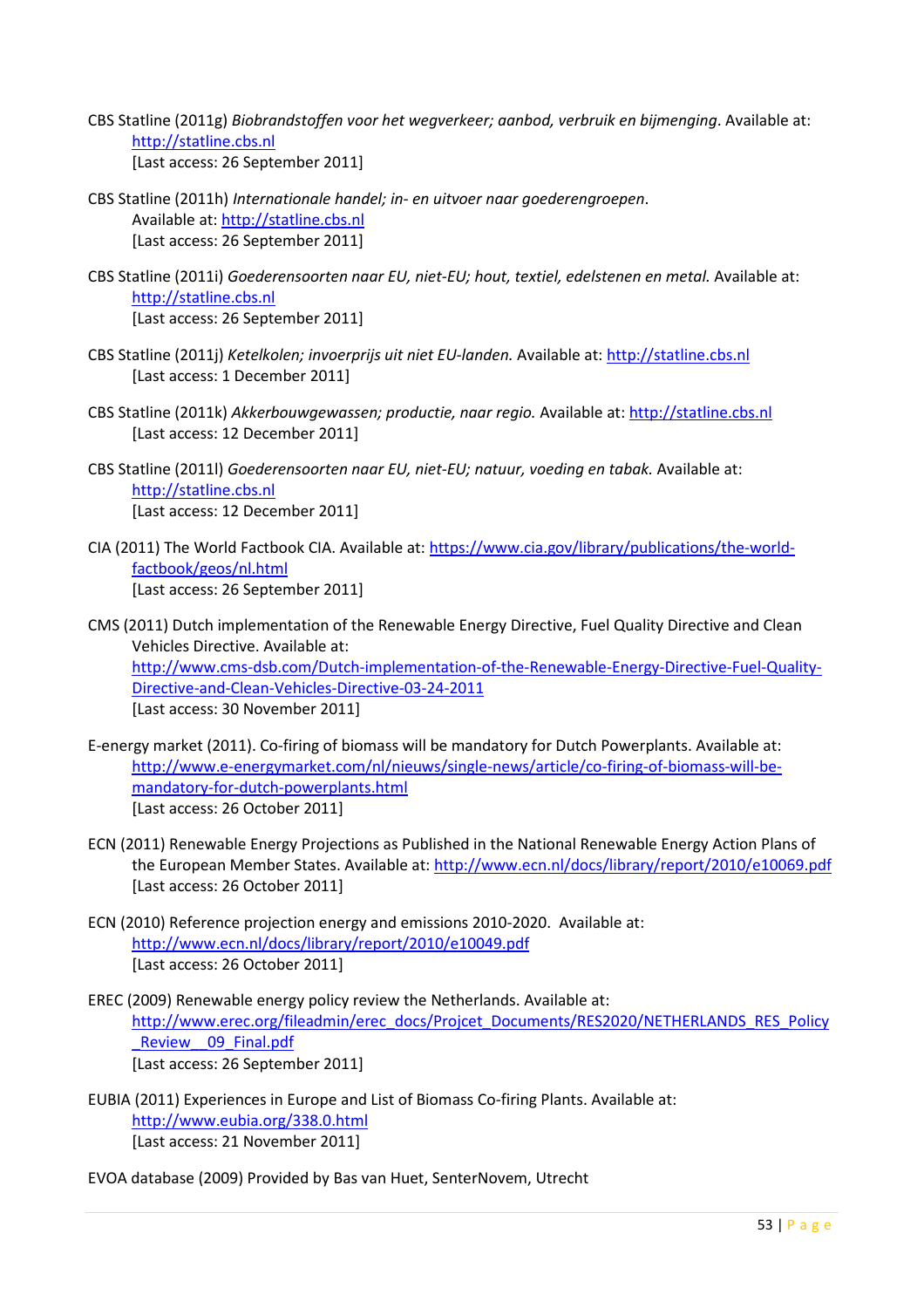- CBS Statline (2011g) Biobrandstoffen voor het wegverkeer; aanbod, verbruik en bijmenging. Available at: http://statline.cbs.nl [Last access: 26 September 2011]
- CBS Statline (2011h) Internationale handel; in- en uitvoer naar goederengroepen. Available at: http://statline.cbs.nl [Last access: 26 September 2011]
- CBS Statline (2011i) Goederensoorten naar EU, niet-EU; hout, textiel, edelstenen en metal. Available at: http://statline.cbs.nl [Last access: 26 September 2011]
- CBS Statline (2011j) Ketelkolen; invoerprijs uit niet EU-landen. Available at: http://statline.cbs.nl [Last access: 1 December 2011]
- CBS Statline (2011k) Akkerbouwgewassen; productie, naar regio. Available at: http://statline.cbs.nl [Last access: 12 December 2011]
- CBS Statline (2011l) Goederensoorten naar EU, niet-EU; natuur, voeding en tabak. Available at: http://statline.cbs.nl [Last access: 12 December 2011]
- CIA (2011) The World Factbook CIA. Available at: https://www.cia.gov/library/publications/the-worldfactbook/geos/nl.html [Last access: 26 September 2011]
- CMS (2011) Dutch implementation of the Renewable Energy Directive, Fuel Quality Directive and Clean Vehicles Directive. Available at: http://www.cms-dsb.com/Dutch-implementation-of-the-Renewable-Energy-Directive-Fuel-Quality-Directive-and-Clean-Vehicles-Directive-03-24-2011 [Last access: 30 November 2011]
- E-energy market (2011). Co-firing of biomass will be mandatory for Dutch Powerplants. Available at: http://www.e-energymarket.com/nl/nieuws/single-news/article/co-firing-of-biomass-will-bemandatory-for-dutch-powerplants.html [Last access: 26 October 2011]
- ECN (2011) Renewable Energy Projections as Published in the National Renewable Energy Action Plans of the European Member States. Available at: http://www.ecn.nl/docs/library/report/2010/e10069.pdf [Last access: 26 October 2011]
- ECN (2010) Reference projection energy and emissions 2010-2020. Available at: http://www.ecn.nl/docs/library/report/2010/e10049.pdf [Last access: 26 October 2011]
- EREC (2009) Renewable energy policy review the Netherlands. Available at: http://www.erec.org/fileadmin/erec\_docs/Projcet\_Documents/RES2020/NETHERLANDS\_RES\_Policy Review 09 Final.pdf [Last access: 26 September 2011]
- EUBIA (2011) Experiences in Europe and List of Biomass Co-firing Plants. Available at: http://www.eubia.org/338.0.html [Last access: 21 November 2011]
- EVOA database (2009) Provided by Bas van Huet, SenterNovem, Utrecht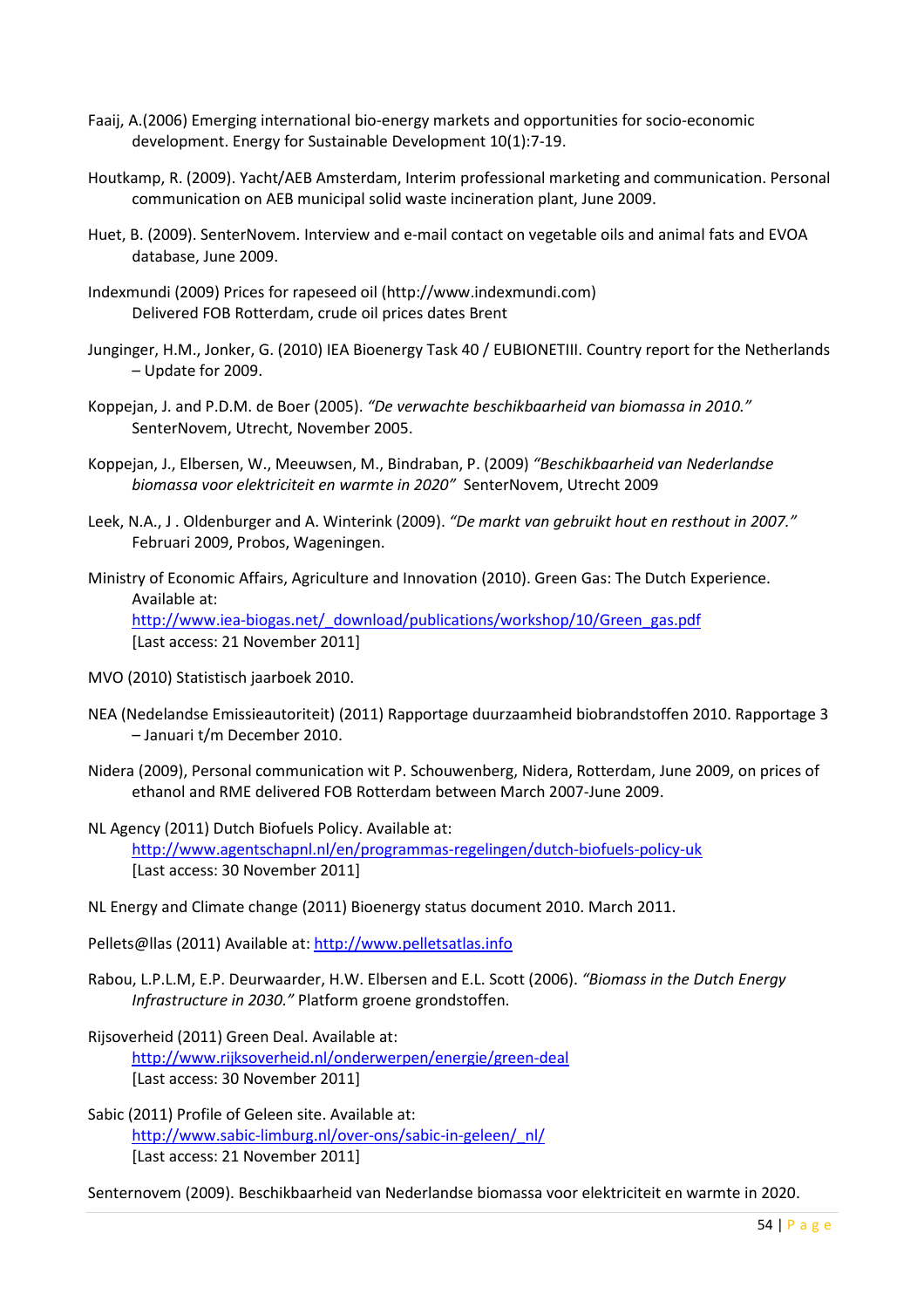- Faaij, A.(2006) Emerging international bio-energy markets and opportunities for socio-economic development. Energy for Sustainable Development 10(1):7-19.
- Houtkamp, R. (2009). Yacht/AEB Amsterdam, Interim professional marketing and communication. Personal communication on AEB municipal solid waste incineration plant, June 2009.
- Huet, B. (2009). SenterNovem. Interview and e-mail contact on vegetable oils and animal fats and EVOA database, June 2009.
- Indexmundi (2009) Prices for rapeseed oil (http://www.indexmundi.com) Delivered FOB Rotterdam, crude oil prices dates Brent
- Junginger, H.M., Jonker, G. (2010) IEA Bioenergy Task 40 / EUBIONETIII. Country report for the Netherlands – Update for 2009.
- Koppejan, J. and P.D.M. de Boer (2005). "De verwachte beschikbaarheid van biomassa in 2010." SenterNovem, Utrecht, November 2005.
- Koppejan, J., Elbersen, W., Meeuwsen, M., Bindraban, P. (2009) "Beschikbaarheid van Nederlandse biomassa voor elektriciteit en warmte in 2020" SenterNovem, Utrecht 2009
- Leek, N.A., J . Oldenburger and A. Winterink (2009). "De markt van gebruikt hout en resthout in 2007." Februari 2009, Probos, Wageningen.
- Ministry of Economic Affairs, Agriculture and Innovation (2010). Green Gas: The Dutch Experience. Available at: http://www.iea-biogas.net/\_download/publications/workshop/10/Green\_gas.pdf [Last access: 21 November 2011]
- MVO (2010) Statistisch jaarboek 2010.
- NEA (Nedelandse Emissieautoriteit) (2011) Rapportage duurzaamheid biobrandstoffen 2010. Rapportage 3 – Januari t/m December 2010.
- Nidera (2009), Personal communication wit P. Schouwenberg, Nidera, Rotterdam, June 2009, on prices of ethanol and RME delivered FOB Rotterdam between March 2007-June 2009.
- NL Agency (2011) Dutch Biofuels Policy. Available at: http://www.agentschapnl.nl/en/programmas-regelingen/dutch-biofuels-policy-uk [Last access: 30 November 2011]
- NL Energy and Climate change (2011) Bioenergy status document 2010. March 2011.

Pellets@llas (2011) Available at: http://www.pelletsatlas.info

- Rabou, L.P.L.M, E.P. Deurwaarder, H.W. Elbersen and E.L. Scott (2006). "Biomass in the Dutch Energy Infrastructure in 2030." Platform groene grondstoffen.
- Rijsoverheid (2011) Green Deal. Available at: http://www.rijksoverheid.nl/onderwerpen/energie/green-deal [Last access: 30 November 2011]
- Sabic (2011) Profile of Geleen site. Available at: http://www.sabic-limburg.nl/over-ons/sabic-in-geleen/\_nl/ [Last access: 21 November 2011]

Senternovem (2009). Beschikbaarheid van Nederlandse biomassa voor elektriciteit en warmte in 2020.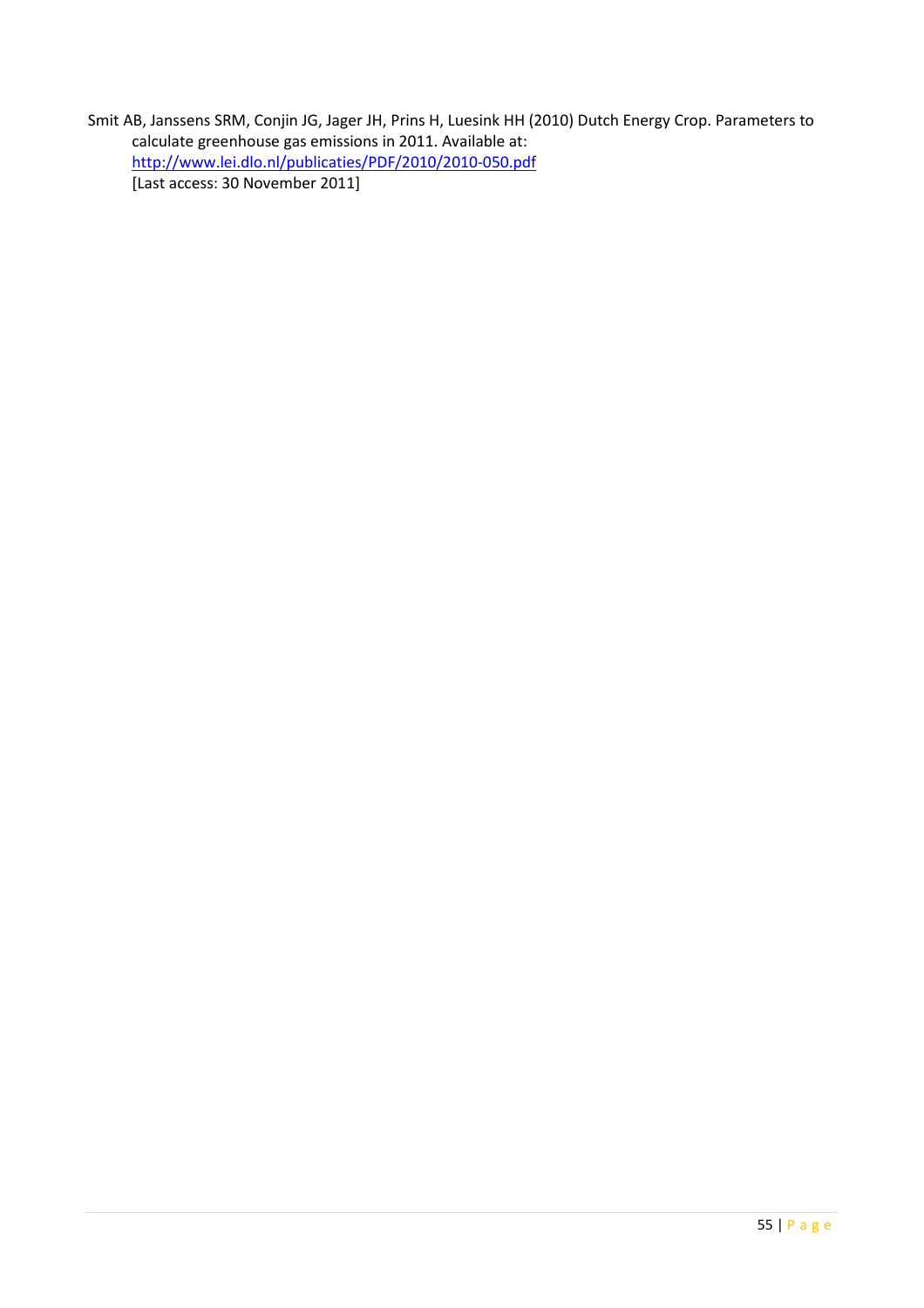Smit AB, Janssens SRM, Conjin JG, Jager JH, Prins H, Luesink HH (2010) Dutch Energy Crop. Parameters to calculate greenhouse gas emissions in 2011. Available at: http://www.lei.dlo.nl/publicaties/PDF/2010/2010-050.pdf [Last access: 30 November 2011]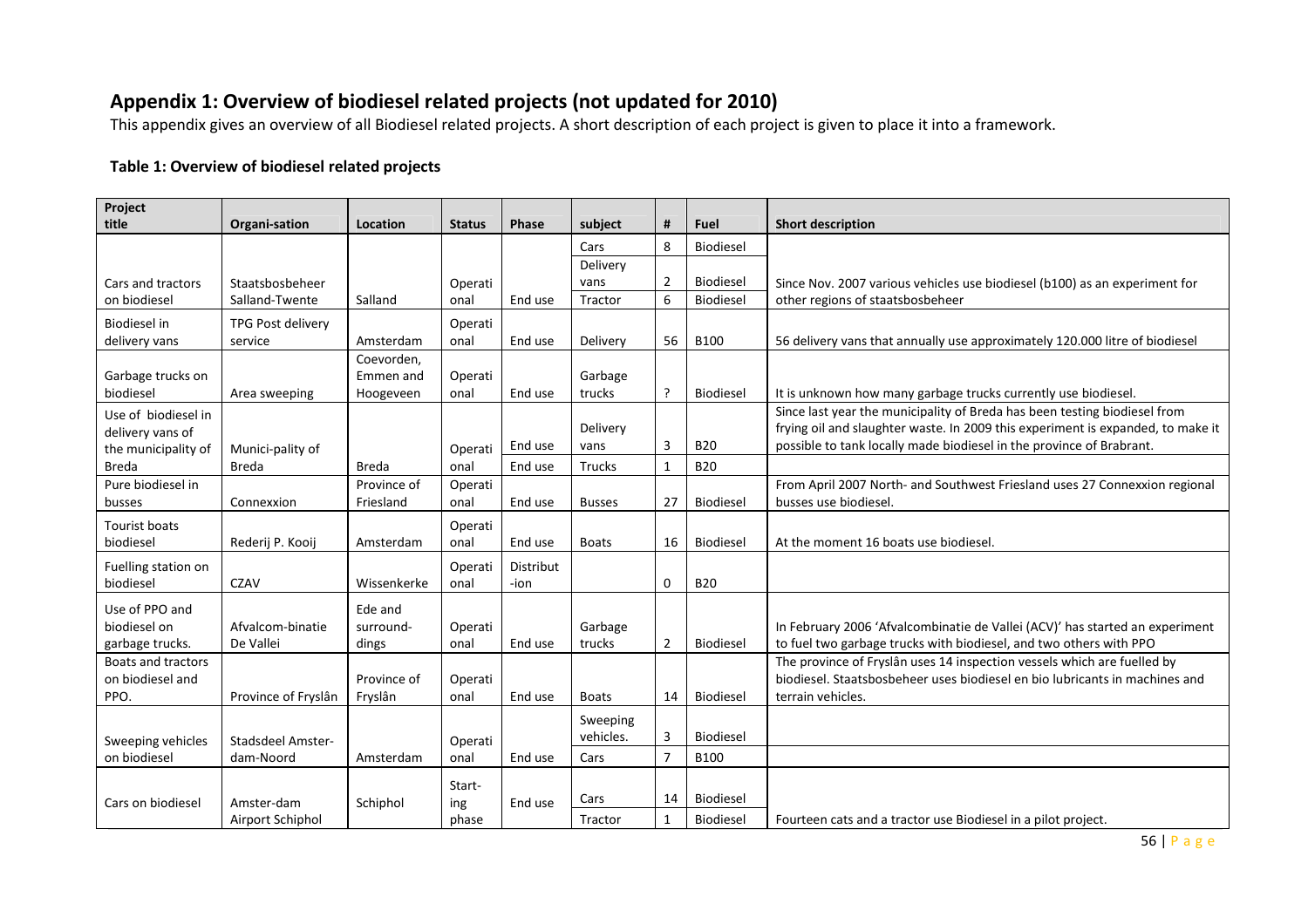# Appendix 1: Overview of biodiesel related projects (not updated for 2010)

This appendix gives an overview of all Biodiesel related projects. A short description of each project is given to place it into a framework.

#### Table 1: Overview of biodiesel related projects

| Project                           |                          |             |                 |                  |               |                |                  |                                                                                 |
|-----------------------------------|--------------------------|-------------|-----------------|------------------|---------------|----------------|------------------|---------------------------------------------------------------------------------|
| title                             | Organi-sation            | Location    | <b>Status</b>   | Phase            | subject       | #              | Fuel             | <b>Short description</b>                                                        |
|                                   |                          |             |                 |                  | Cars          | 8              | Biodiesel        |                                                                                 |
|                                   |                          |             |                 |                  | Delivery      |                |                  |                                                                                 |
| Cars and tractors                 | Staatsbosbeheer          |             | Operati         |                  | vans          | $\overline{2}$ | Biodiesel        | Since Nov. 2007 various vehicles use biodiesel (b100) as an experiment for      |
| on biodiesel                      | Salland-Twente           | Salland     | onal            | End use          | Tractor       | 6              | Biodiesel        | other regions of staatsbosbeheer                                                |
| Biodiesel in                      | TPG Post delivery        |             | Operati         |                  |               |                |                  |                                                                                 |
| delivery vans                     | service                  | Amsterdam   | onal            | End use          | Delivery      | 56             | <b>B100</b>      | 56 delivery vans that annually use approximately 120.000 litre of biodiesel     |
|                                   |                          | Coevorden,  |                 |                  |               |                |                  |                                                                                 |
| Garbage trucks on                 |                          | Emmen and   | Operati         |                  | Garbage       |                |                  |                                                                                 |
| biodiesel                         | Area sweeping            | Hoogeveen   | onal            | End use          | trucks        | $\cdot$        | Biodiesel        | It is unknown how many garbage trucks currently use biodiesel.                  |
| Use of biodiesel in               |                          |             |                 |                  |               |                |                  | Since last year the municipality of Breda has been testing biodiesel from       |
| delivery vans of                  |                          |             |                 |                  | Delivery      |                |                  | frying oil and slaughter waste. In 2009 this experiment is expanded, to make it |
| the municipality of               | Munici-pality of         |             | Operati         | End use          | vans          | 3              | <b>B20</b>       | possible to tank locally made biodiesel in the province of Brabrant.            |
| <b>Breda</b>                      | <b>Breda</b>             | Breda       | onal            | End use          | Trucks        | 1              | <b>B20</b>       |                                                                                 |
| Pure biodiesel in                 |                          | Province of | Operati         |                  |               |                |                  | From April 2007 North- and Southwest Friesland uses 27 Connexxion regional      |
| busses                            | Connexxion               | Friesland   | onal            | End use          | <b>Busses</b> | 27             | Biodiesel        | busses use biodiesel.                                                           |
| <b>Tourist boats</b>              |                          |             | Operati         |                  |               |                |                  |                                                                                 |
| biodiesel                         | Rederij P. Kooij         | Amsterdam   | onal            | End use          | <b>Boats</b>  | 16             | Biodiesel        | At the moment 16 boats use biodiesel                                            |
| Fuelling station on               |                          |             | Operati         | <b>Distribut</b> |               |                |                  |                                                                                 |
| biodiesel                         | <b>CZAV</b>              | Wissenkerke | onal            | -ion             |               | $\mathbf 0$    | <b>B20</b>       |                                                                                 |
| Use of PPO and                    |                          | Ede and     |                 |                  |               |                |                  |                                                                                 |
| biodiesel on                      | Afvalcom-binatie         | surround-   | Operati         |                  | Garbage       |                |                  | In February 2006 'Afvalcombinatie de Vallei (ACV)' has started an experiment    |
| garbage trucks.                   | De Vallei                | dings       | onal            | End use          | trucks        | $\overline{2}$ | Biodiesel        | to fuel two garbage trucks with biodiesel, and two others with PPO              |
| <b>Boats and tractors</b>         |                          |             |                 |                  |               |                |                  | The province of Fryslân uses 14 inspection vessels which are fuelled by         |
| on biodiesel and                  |                          | Province of | Operati         |                  |               |                |                  | biodiesel. Staatsbosbeheer uses biodiesel en bio lubricants in machines and     |
| PPO.                              | Province of Fryslân      | Fryslân     | onal            | End use          | <b>Boats</b>  | 14             | Biodiesel        | terrain vehicles.                                                               |
|                                   |                          |             |                 |                  | Sweeping      |                |                  |                                                                                 |
|                                   | <b>Stadsdeel Amster-</b> |             |                 |                  | vehicles.     | 3              | <b>Biodiesel</b> |                                                                                 |
| Sweeping vehicles<br>on biodiesel | dam-Noord                | Amsterdam   | Operati<br>onal | End use          | Cars          | $\overline{7}$ | <b>B100</b>      |                                                                                 |
|                                   |                          |             |                 |                  |               |                |                  |                                                                                 |
|                                   |                          |             | Start-          |                  |               |                |                  |                                                                                 |
| Cars on biodiesel                 | Amster-dam               | Schiphol    | ing             | End use          | Cars          | 14             | <b>Biodiesel</b> |                                                                                 |
|                                   | Airport Schiphol         |             | phase           |                  | Tractor       | $\mathbf{1}$   | Biodiesel        | Fourteen cats and a tractor use Biodiesel in a pilot project.                   |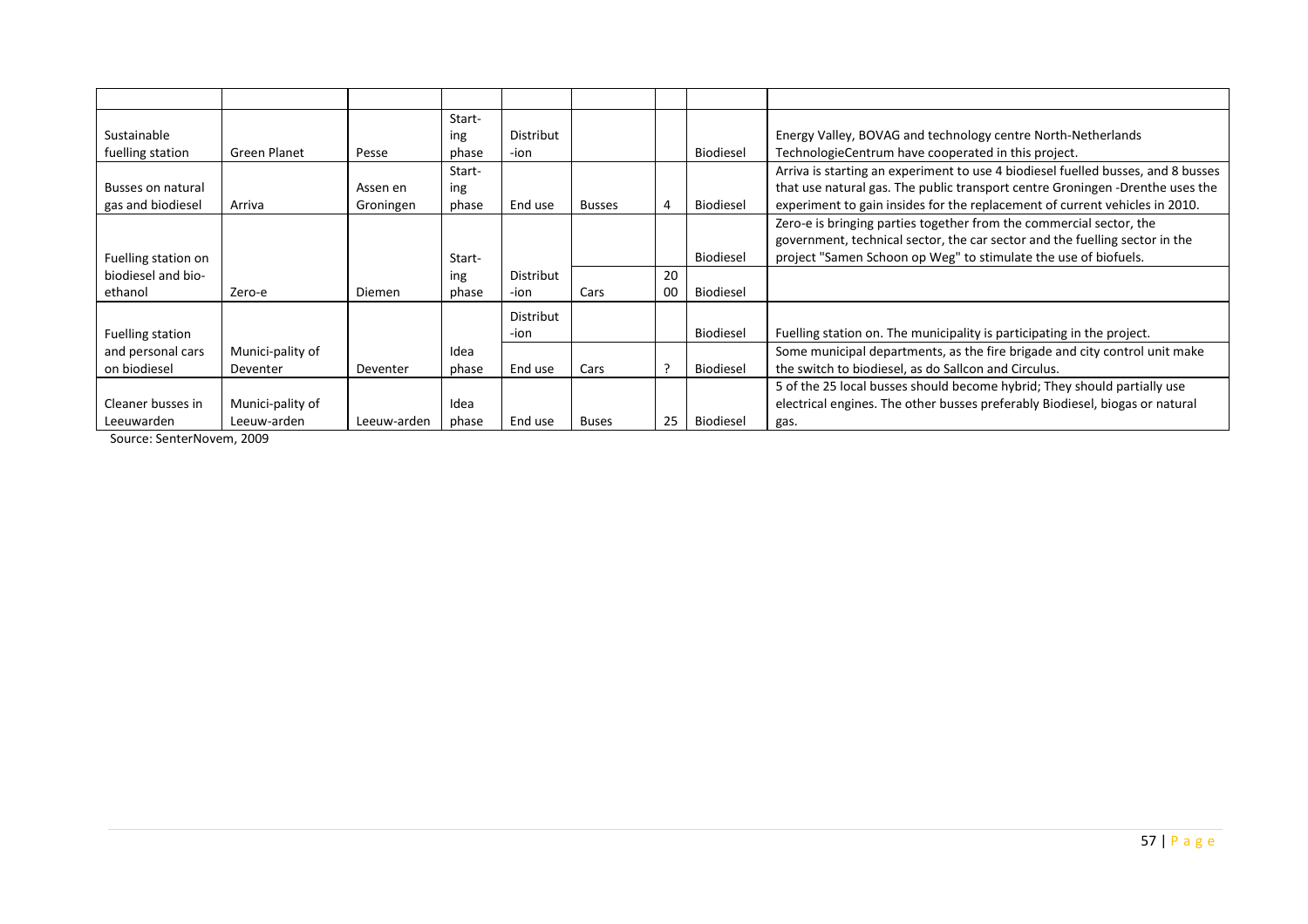|                     |                  |             | Start- |                  |               |    |                  |                                                                                  |
|---------------------|------------------|-------------|--------|------------------|---------------|----|------------------|----------------------------------------------------------------------------------|
| Sustainable         |                  |             | ing    | Distribut        |               |    |                  | Energy Valley, BOVAG and technology centre North-Netherlands                     |
| fuelling station    | Green Planet     | Pesse       | phase  | -ion             |               |    | <b>Biodiesel</b> | TechnologieCentrum have cooperated in this project.                              |
|                     |                  |             | Start- |                  |               |    |                  | Arriva is starting an experiment to use 4 biodiesel fuelled busses, and 8 busses |
| Busses on natural   |                  | Assen en    | ing    |                  |               |    |                  | that use natural gas. The public transport centre Groningen -Drenthe uses the    |
| gas and biodiesel   | Arriva           | Groningen   | phase  | End use          | <b>Busses</b> |    | Biodiesel        | experiment to gain insides for the replacement of current vehicles in 2010.      |
|                     |                  |             |        |                  |               |    |                  | Zero-e is bringing parties together from the commercial sector, the              |
|                     |                  |             |        |                  |               |    |                  | government, technical sector, the car sector and the fuelling sector in the      |
| Fuelling station on |                  |             | Start- |                  |               |    | <b>Biodiesel</b> | project "Samen Schoon op Weg" to stimulate the use of biofuels.                  |
| biodiesel and bio-  |                  |             | ing    | <b>Distribut</b> |               | 20 |                  |                                                                                  |
| ethanol             | Zero-e           | Diemen      | phase  | -ion             | Cars          | 00 | <b>Biodiesel</b> |                                                                                  |
|                     |                  |             |        | Distribut        |               |    |                  |                                                                                  |
| Fuelling station    |                  |             |        | -ion             |               |    | Biodiesel        | Fuelling station on. The municipality is participating in the project.           |
| and personal cars   | Munici-pality of |             | Idea   |                  |               |    |                  | Some municipal departments, as the fire brigade and city control unit make       |
| on biodiesel        | Deventer         | Deventer    | phase  | End use          | Cars          |    | <b>Biodiesel</b> | the switch to biodiesel, as do Sallcon and Circulus.                             |
|                     |                  |             |        |                  |               |    |                  | 5 of the 25 local busses should become hybrid; They should partially use         |
| Cleaner busses in   | Munici-pality of |             | Idea   |                  |               |    |                  | electrical engines. The other busses preferably Biodiesel, biogas or natural     |
| Leeuwarden          | Leeuw-arden      | Leeuw-arden | phase  | End use          | <b>Buses</b>  | 25 | Biodiesel        | gas.                                                                             |

Source: SenterNovem, 2009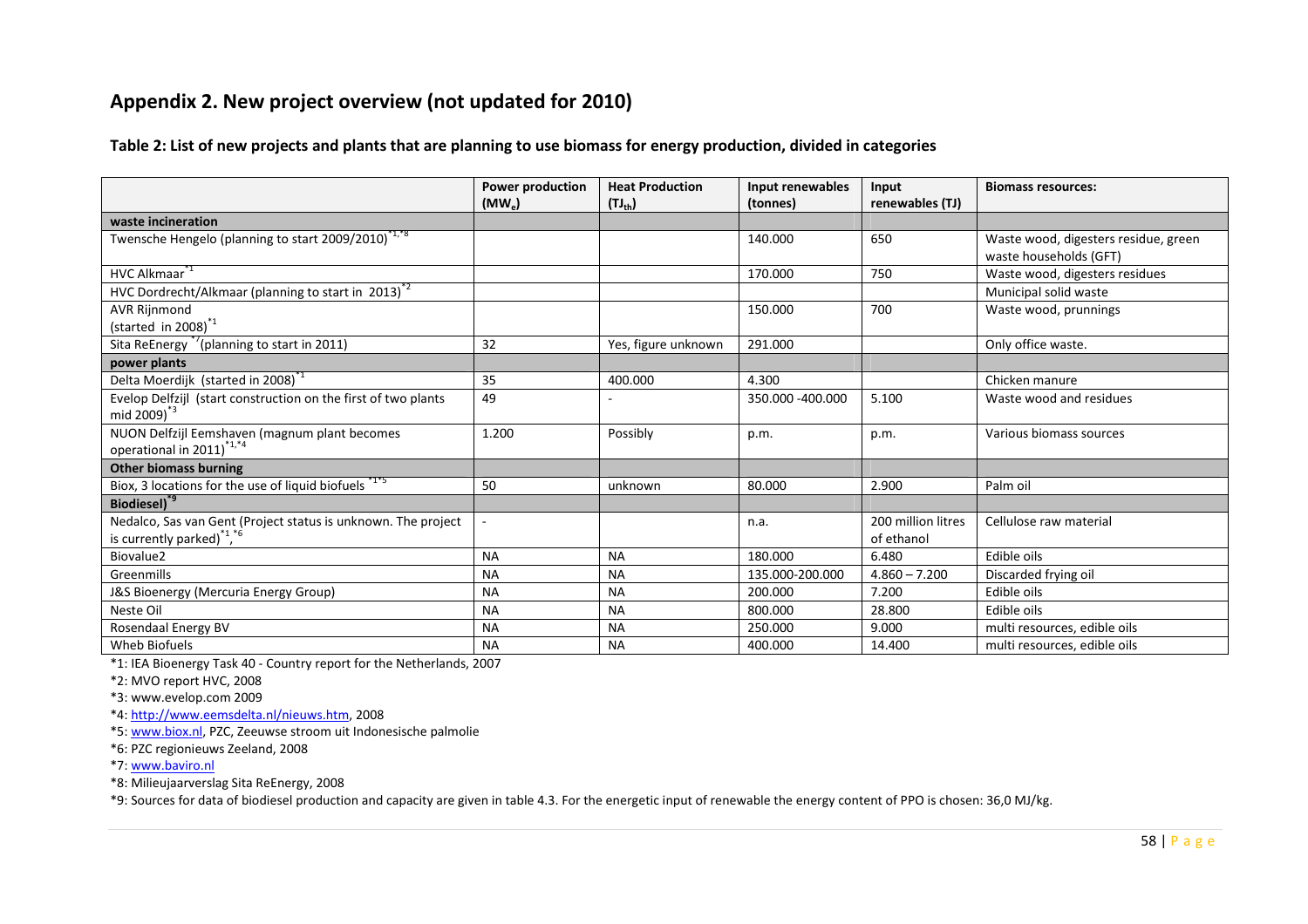# Appendix 2. New project overview (not updated for 2010)

Table 2: List of new projects and plants that are planning to use biomass for energy production, divided in categories

|                                                                 | <b>Power production</b> | <b>Heat Production</b> | Input renewables | Input              | <b>Biomass resources:</b>            |
|-----------------------------------------------------------------|-------------------------|------------------------|------------------|--------------------|--------------------------------------|
|                                                                 | $(MW_e)$                | $(TJ_{th})$            | (tonnes)         | renewables (TJ)    |                                      |
| waste incineration                                              |                         |                        |                  |                    |                                      |
| Twensche Hengelo (planning to start 2009/2010) <sup>*1,*8</sup> |                         |                        | 140.000          | 650                | Waste wood, digesters residue, green |
|                                                                 |                         |                        |                  |                    | waste households (GFT)               |
| HVC Alkmaar <sup>*1</sup>                                       |                         |                        | 170.000          | 750                | Waste wood, digesters residues       |
| HVC Dordrecht/Alkmaar (planning to start in 2013) <sup>2</sup>  |                         |                        |                  |                    | Municipal solid waste                |
| <b>AVR Rijnmond</b>                                             |                         |                        | 150.000          | 700                | Waste wood, prunnings                |
| (started in 2008) $^*$ <sup>1</sup>                             |                         |                        |                  |                    |                                      |
| Sita ReEnergy <sup>*7</sup> (planning to start in 2011)         | 32                      | Yes, figure unknown    | 291.000          |                    | Only office waste.                   |
| power plants                                                    |                         |                        |                  |                    |                                      |
| Delta Moerdijk (started in 2008) <sup>-1</sup>                  | 35                      | 400.000                | 4.300            |                    | Chicken manure                       |
| Evelop Delfzijl (start construction on the first of two plants  | 49                      |                        | 350.000 -400.000 | 5.100              | Waste wood and residues              |
| mid $2009)^{3}$                                                 |                         |                        |                  |                    |                                      |
| NUON Delfzijl Eemshaven (magnum plant becomes                   | 1.200                   | Possibly               | p.m.             | p.m.               | Various biomass sources              |
| operational in 2011) <sup>*1,*4</sup>                           |                         |                        |                  |                    |                                      |
| <b>Other biomass burning</b>                                    |                         |                        |                  |                    |                                      |
| Biox, 3 locations for the use of liquid biofuels *1*5           | 50                      | unknown                | 80.000           | 2.900              | Palm oil                             |
| Biodiesel) <sup>*9</sup>                                        |                         |                        |                  |                    |                                      |
| Nedalco, Sas van Gent (Project status is unknown. The project   |                         |                        | n.a.             | 200 million litres | Cellulose raw material               |
| is currently parked) $1,6$                                      |                         |                        |                  | of ethanol         |                                      |
| Biovalue2                                                       | <b>NA</b>               | <b>NA</b>              | 180.000          | 6.480              | Edible oils                          |
| Greenmills                                                      | <b>NA</b>               | <b>NA</b>              | 135.000-200.000  | $4.860 - 7.200$    | Discarded frying oil                 |
| J&S Bioenergy (Mercuria Energy Group)                           | <b>NA</b>               | <b>NA</b>              | 200.000          | 7.200              | Edible oils                          |
| Neste Oil                                                       | <b>NA</b>               | <b>NA</b>              | 800.000          | 28.800             | Edible oils                          |
| Rosendaal Energy BV                                             | <b>NA</b>               | <b>NA</b>              | 250.000          | 9.000              | multi resources, edible oils         |
| Wheb Biofuels                                                   | <b>NA</b>               | <b>NA</b>              | 400.000          | 14.400             | multi resources, edible oils         |

\*1: IEA Bioenergy Task 40 - Country report for the Netherlands, 2007

\*2: MVO report HVC, 2008

\*3: www.evelop.com 2009

\*4: http://www.eemsdelta.nl/nieuws.htm, 2008

\*5: www.biox.nl, PZC, Zeeuwse stroom uit Indonesische palmolie

\*6: PZC regionieuws Zeeland, 2008

\*7: www.baviro.nl

\*8: Milieujaarverslag Sita ReEnergy, 2008

\*9: Sources for data of biodiesel production and capacity are given in table 4.3. For the energetic input of renewable the energy content of PPO is chosen: 36,0 MJ/kg.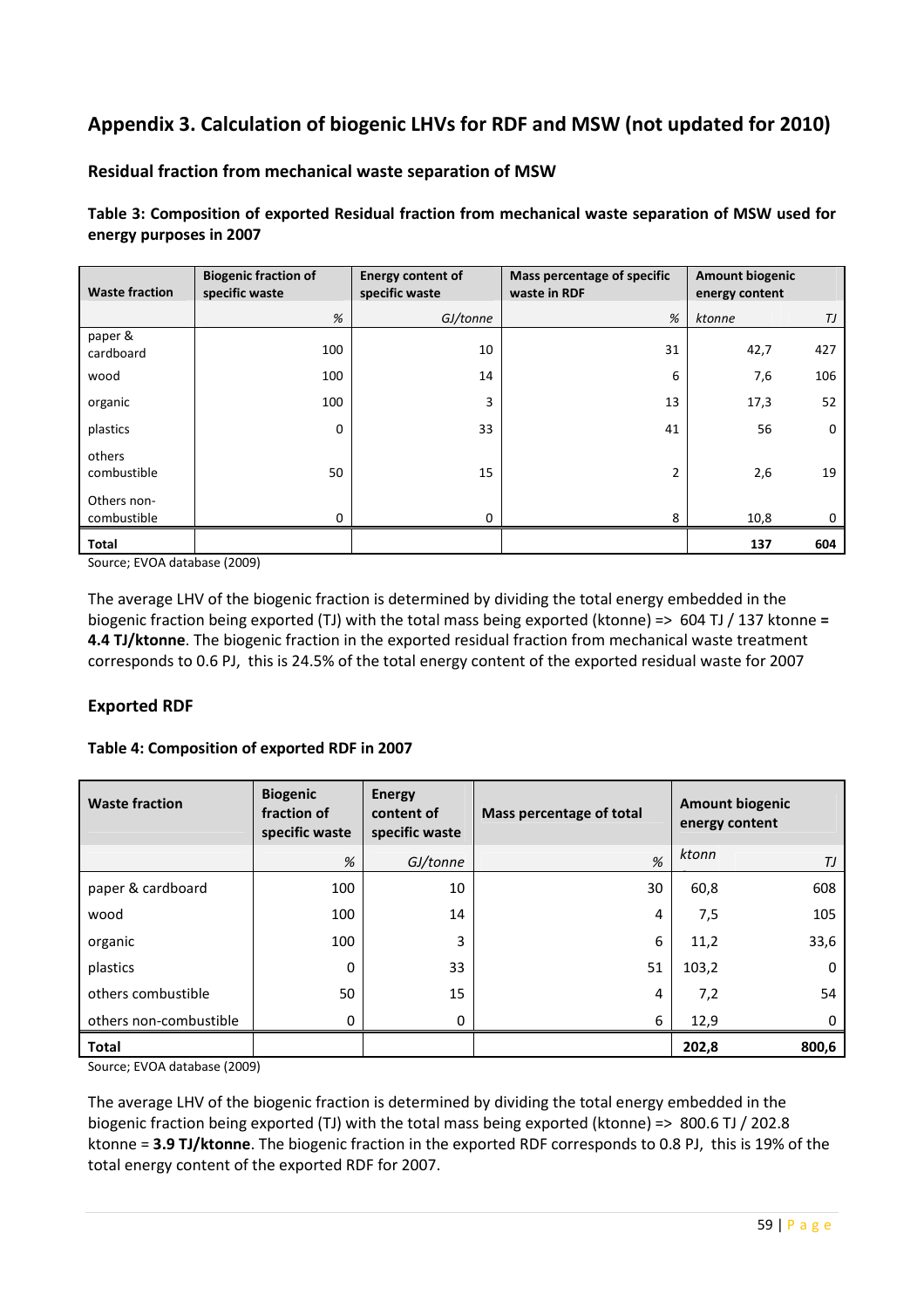# Appendix 3. Calculation of biogenic LHVs for RDF and MSW (not updated for 2010)

#### Residual fraction from mechanical waste separation of MSW

Table 3: Composition of exported Residual fraction from mechanical waste separation of MSW used for energy purposes in 2007

| <b>Waste fraction</b>      | <b>Biogenic fraction of</b><br>specific waste | <b>Energy content of</b><br>specific waste | Mass percentage of specific<br>waste in RDF | <b>Amount biogenic</b><br>energy content |             |
|----------------------------|-----------------------------------------------|--------------------------------------------|---------------------------------------------|------------------------------------------|-------------|
|                            | %                                             | GJ/tonne                                   | %                                           | ktonne                                   | TJ          |
| paper &<br>cardboard       | 100                                           | 10                                         | 31                                          | 42,7                                     | 427         |
| wood                       | 100                                           | 14                                         | 6                                           | 7,6                                      | 106         |
| organic                    | 100                                           | 3                                          | 13                                          | 17,3                                     | 52          |
| plastics                   | $\Omega$                                      | 33                                         | 41                                          | 56                                       | $\mathbf 0$ |
| others<br>combustible      | 50                                            | 15                                         | 2                                           | 2,6                                      | 19          |
| Others non-<br>combustible | $\Omega$                                      | 0                                          | 8                                           | 10,8                                     | 0           |
| Total                      |                                               |                                            |                                             | 137                                      | 604         |

Source; EVOA database (2009)

The average LHV of the biogenic fraction is determined by dividing the total energy embedded in the biogenic fraction being exported (TJ) with the total mass being exported (ktonne) => 604 TJ / 137 ktonne = 4.4 TJ/ktonne. The biogenic fraction in the exported residual fraction from mechanical waste treatment corresponds to 0.6 PJ, this is 24.5% of the total energy content of the exported residual waste for 2007

#### Exported RDF

#### Table 4: Composition of exported RDF in 2007

| <b>Waste fraction</b>  | <b>Biogenic</b><br>fraction of<br>specific waste | <b>Energy</b><br>content of<br>specific waste | Mass percentage of total | energy content | <b>Amount biogenic</b> |
|------------------------|--------------------------------------------------|-----------------------------------------------|--------------------------|----------------|------------------------|
|                        | %                                                | GJ/tonne                                      | %                        | ktonn          | ТJ                     |
| paper & cardboard      | 100                                              | 10                                            | 30                       | 60,8           | 608                    |
| wood                   | 100                                              | 14                                            | 4                        | 7,5            | 105                    |
| organic                | 100                                              | 3                                             | 6                        | 11,2           | 33,6                   |
| plastics               | 0                                                | 33                                            | 51                       | 103,2          | 0                      |
| others combustible     | 50                                               | 15                                            | 4                        | 7,2            | 54                     |
| others non-combustible | 0                                                | 0                                             | 6                        | 12,9           | 0                      |
| <b>Total</b>           |                                                  |                                               |                          | 202,8          | 800,6                  |

Source; EVOA database (2009)

The average LHV of the biogenic fraction is determined by dividing the total energy embedded in the biogenic fraction being exported (TJ) with the total mass being exported (ktonne) => 800.6 TJ / 202.8 ktonne = 3.9 TJ/ktonne. The biogenic fraction in the exported RDF corresponds to 0.8 PJ, this is 19% of the total energy content of the exported RDF for 2007.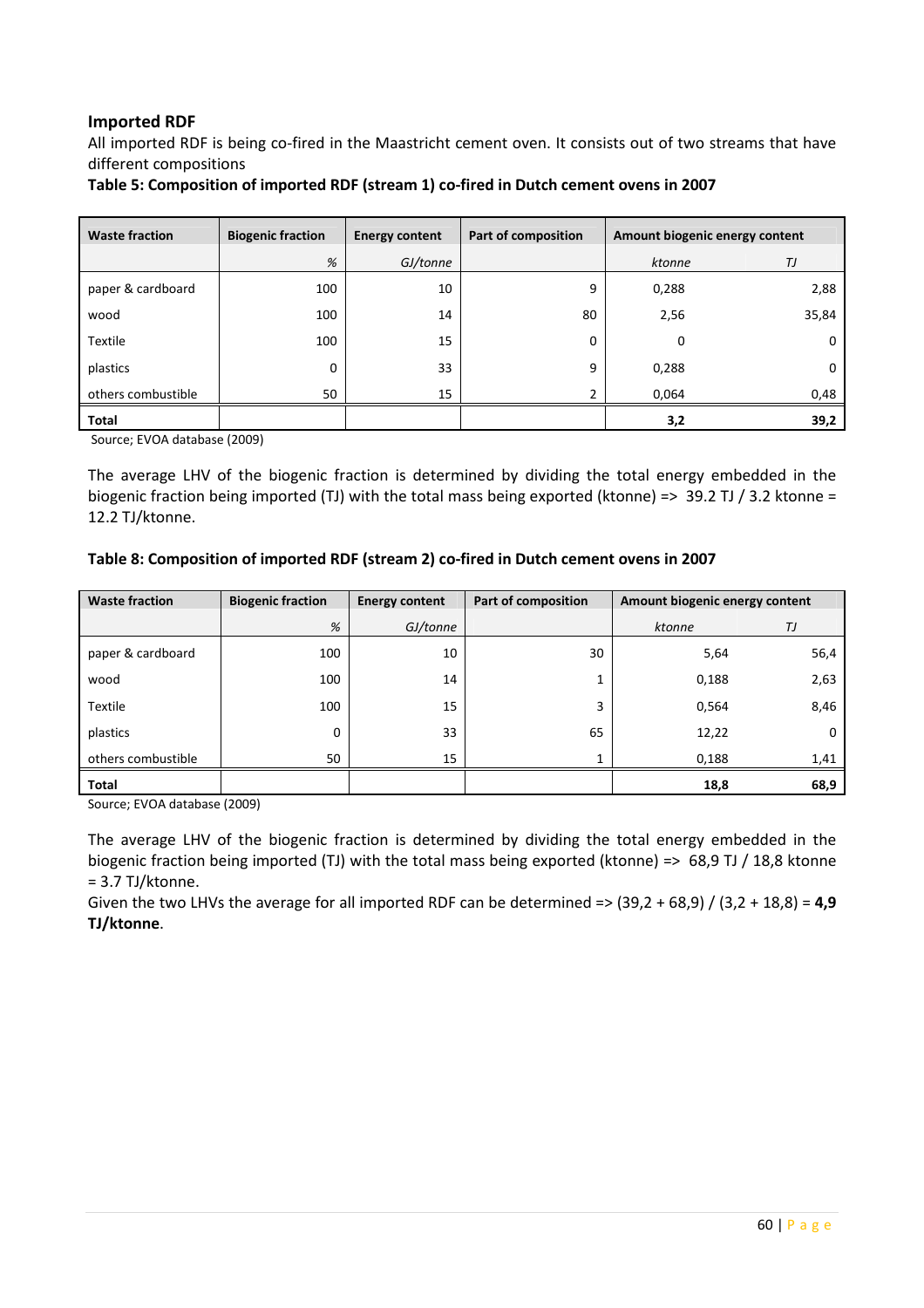#### Imported RDF

All imported RDF is being co-fired in the Maastricht cement oven. It consists out of two streams that have different compositions

Table 5: Composition of imported RDF (stream 1) co-fired in Dutch cement ovens in 2007

| <b>Waste fraction</b> | <b>Biogenic fraction</b> | <b>Energy content</b> | Part of composition | Amount biogenic energy content |       |
|-----------------------|--------------------------|-----------------------|---------------------|--------------------------------|-------|
|                       | %                        | GJ/tonne              |                     | ktonne                         | ТJ    |
| paper & cardboard     | 100                      | 10                    | 9                   | 0,288                          | 2,88  |
| wood                  | 100                      | 14                    | 80                  | 2,56                           | 35,84 |
| Textile               | 100                      | 15                    | 0                   | $\mathbf 0$                    | 0     |
| plastics              | 0                        | 33                    | 9                   | 0,288                          | 0     |
| others combustible    | 50                       | 15                    | $\overline{2}$      | 0,064                          | 0,48  |
| <b>Total</b>          |                          |                       |                     | 3,2                            | 39,2  |

Source; EVOA database (2009)

The average LHV of the biogenic fraction is determined by dividing the total energy embedded in the biogenic fraction being imported (TJ) with the total mass being exported (ktonne) => 39.2 TJ / 3.2 ktonne = 12.2 TJ/ktonne.

#### Table 8: Composition of imported RDF (stream 2) co-fired in Dutch cement ovens in 2007

| <b>Waste fraction</b> | <b>Biogenic fraction</b> | <b>Energy content</b> | Part of composition | Amount biogenic energy content |      |  |
|-----------------------|--------------------------|-----------------------|---------------------|--------------------------------|------|--|
|                       | %                        | GJ/tonne              |                     | ktonne                         | ТJ   |  |
| paper & cardboard     | 100                      | 10                    | 30                  | 5,64                           | 56,4 |  |
| wood                  | 100                      | 14                    | Ŧ.                  | 0,188                          | 2,63 |  |
| Textile               | 100                      | 15                    | 3                   | 0,564                          | 8,46 |  |
| plastics              | 0                        | 33                    | 65                  | 12,22                          | 0    |  |
| others combustible    | 50                       | 15                    |                     | 0,188                          | 1,41 |  |
| <b>Total</b>          |                          |                       |                     | 18,8                           | 68,9 |  |

Source; EVOA database (2009)

The average LHV of the biogenic fraction is determined by dividing the total energy embedded in the biogenic fraction being imported (TJ) with the total mass being exported (ktonne) => 68,9 TJ / 18,8 ktonne = 3.7 TJ/ktonne.

Given the two LHVs the average for all imported RDF can be determined =>  $(39,2 + 68,9) / (3,2 + 18,8) = 4,9$ TJ/ktonne.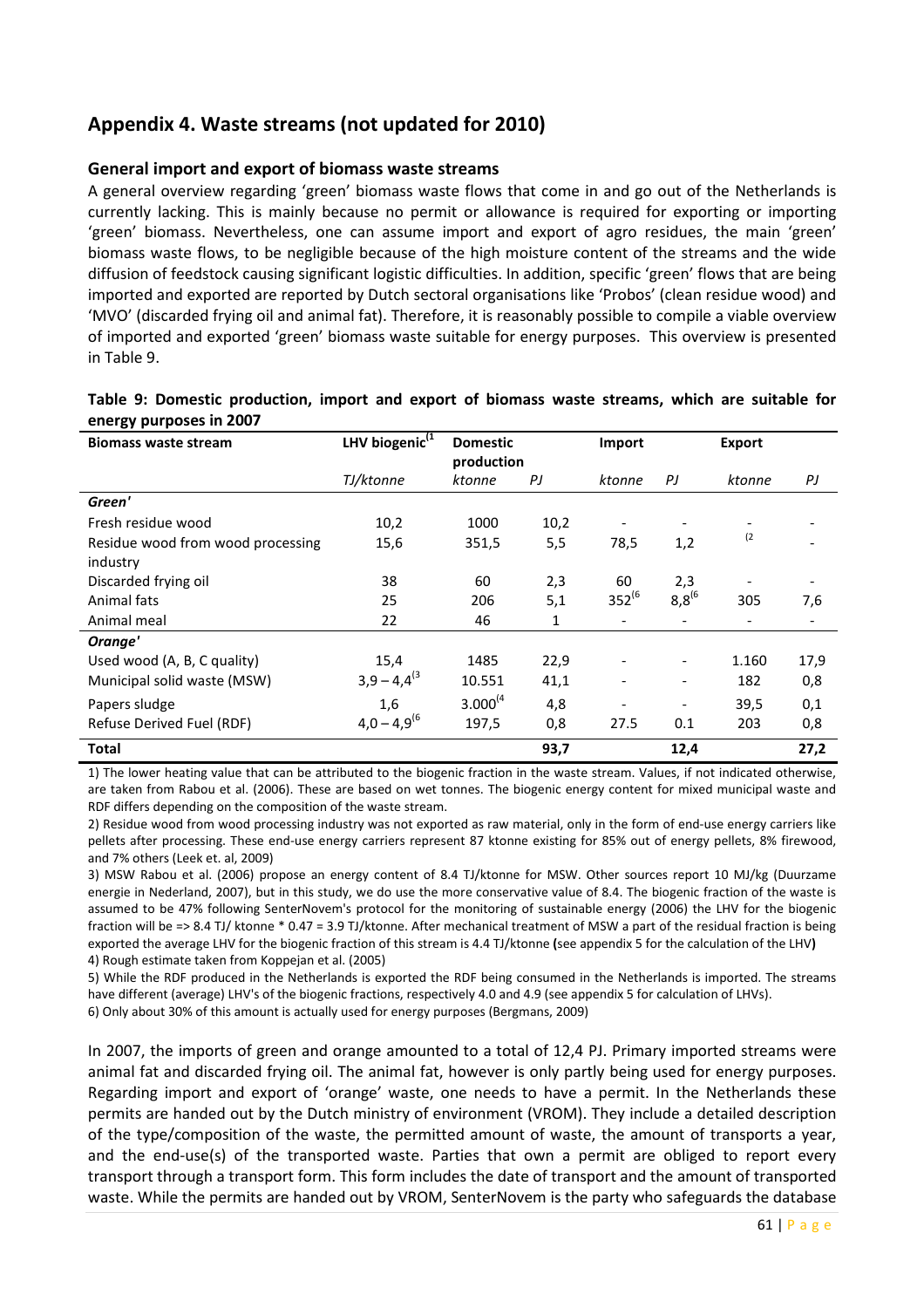# Appendix 4. Waste streams (not updated for 2010)

#### General import and export of biomass waste streams

A general overview regarding 'green' biomass waste flows that come in and go out of the Netherlands is currently lacking. This is mainly because no permit or allowance is required for exporting or importing 'green' biomass. Nevertheless, one can assume import and export of agro residues, the main 'green' biomass waste flows, to be negligible because of the high moisture content of the streams and the wide diffusion of feedstock causing significant logistic difficulties. In addition, specific 'green' flows that are being imported and exported are reported by Dutch sectoral organisations like 'Probos' (clean residue wood) and 'MVO' (discarded frying oil and animal fat). Therefore, it is reasonably possible to compile a viable overview of imported and exported 'green' biomass waste suitable for energy purposes. This overview is presented in Table 9.

| CHCLEY MILLOUS III LOUT           |                            |                               |      |             |                          |                          |      |
|-----------------------------------|----------------------------|-------------------------------|------|-------------|--------------------------|--------------------------|------|
| <b>Biomass waste stream</b>       | LHV biogenic <sup>(1</sup> | <b>Domestic</b><br>production |      | Import      |                          | <b>Export</b>            |      |
|                                   | TJ/ktonne                  | ktonne                        | PJ   | ktonne      | PJ                       | ktonne                   | PJ   |
| Green'                            |                            |                               |      |             |                          |                          |      |
| Fresh residue wood                | 10,2                       | 1000                          | 10,2 |             |                          |                          |      |
| Residue wood from wood processing | 15,6                       | 351,5                         | 5,5  | 78,5        | 1,2                      | (2)                      |      |
| industry                          |                            |                               |      |             |                          |                          |      |
| Discarded frying oil              | 38                         | 60                            | 2,3  | 60          | 2,3                      |                          |      |
| Animal fats                       | 25                         | 206                           | 5,1  | $352^{(6)}$ | $8,8^{(6)}$              | 305                      | 7,6  |
| Animal meal                       | 22                         | 46                            | 1    |             |                          | $\overline{\phantom{a}}$ |      |
| Orange'                           |                            |                               |      |             |                          |                          |      |
| Used wood (A, B, C quality)       | 15,4                       | 1485                          | 22,9 |             | $\overline{\phantom{a}}$ | 1.160                    | 17,9 |
| Municipal solid waste (MSW)       | $3,9 - 4,4^{(3)}$          | 10.551                        | 41,1 |             | $\overline{\phantom{a}}$ | 182                      | 0,8  |
| Papers sludge                     | 1,6                        | $3.000^{(4)}$                 | 4,8  |             |                          | 39,5                     | 0,1  |
| Refuse Derived Fuel (RDF)         | $4,0 - 4,9^{(6)}$          | 197,5                         | 0,8  | 27.5        | 0.1                      | 203                      | 0,8  |
| <b>Total</b>                      |                            |                               | 93,7 |             | 12,4                     |                          | 27,2 |

#### Table 9: Domestic production, import and export of biomass waste streams, which are suitable for energy purposes in 2007

1) The lower heating value that can be attributed to the biogenic fraction in the waste stream. Values, if not indicated otherwise, are taken from Rabou et al. (2006). These are based on wet tonnes. The biogenic energy content for mixed municipal waste and RDF differs depending on the composition of the waste stream.

2) Residue wood from wood processing industry was not exported as raw material, only in the form of end-use energy carriers like pellets after processing. These end-use energy carriers represent 87 ktonne existing for 85% out of energy pellets, 8% firewood, and 7% others (Leek et. al, 2009)

3) MSW Rabou et al. (2006) propose an energy content of 8.4 TJ/ktonne for MSW. Other sources report 10 MJ/kg (Duurzame energie in Nederland, 2007), but in this study, we do use the more conservative value of 8.4. The biogenic fraction of the waste is assumed to be 47% following SenterNovem's protocol for the monitoring of sustainable energy (2006) the LHV for the biogenic fraction will be => 8.4 TJ/ ktonne \* 0.47 = 3.9 TJ/ktonne. After mechanical treatment of MSW a part of the residual fraction is being exported the average LHV for the biogenic fraction of this stream is 4.4 TJ/ktonne (see appendix 5 for the calculation of the LHV) 4) Rough estimate taken from Koppejan et al. (2005)

5) While the RDF produced in the Netherlands is exported the RDF being consumed in the Netherlands is imported. The streams have different (average) LHV's of the biogenic fractions, respectively 4.0 and 4.9 (see appendix 5 for calculation of LHVs).

6) Only about 30% of this amount is actually used for energy purposes (Bergmans, 2009)

In 2007, the imports of green and orange amounted to a total of 12,4 PJ. Primary imported streams were animal fat and discarded frying oil. The animal fat, however is only partly being used for energy purposes. Regarding import and export of 'orange' waste, one needs to have a permit. In the Netherlands these permits are handed out by the Dutch ministry of environment (VROM). They include a detailed description of the type/composition of the waste, the permitted amount of waste, the amount of transports a year, and the end-use(s) of the transported waste. Parties that own a permit are obliged to report every transport through a transport form. This form includes the date of transport and the amount of transported waste. While the permits are handed out by VROM, SenterNovem is the party who safeguards the database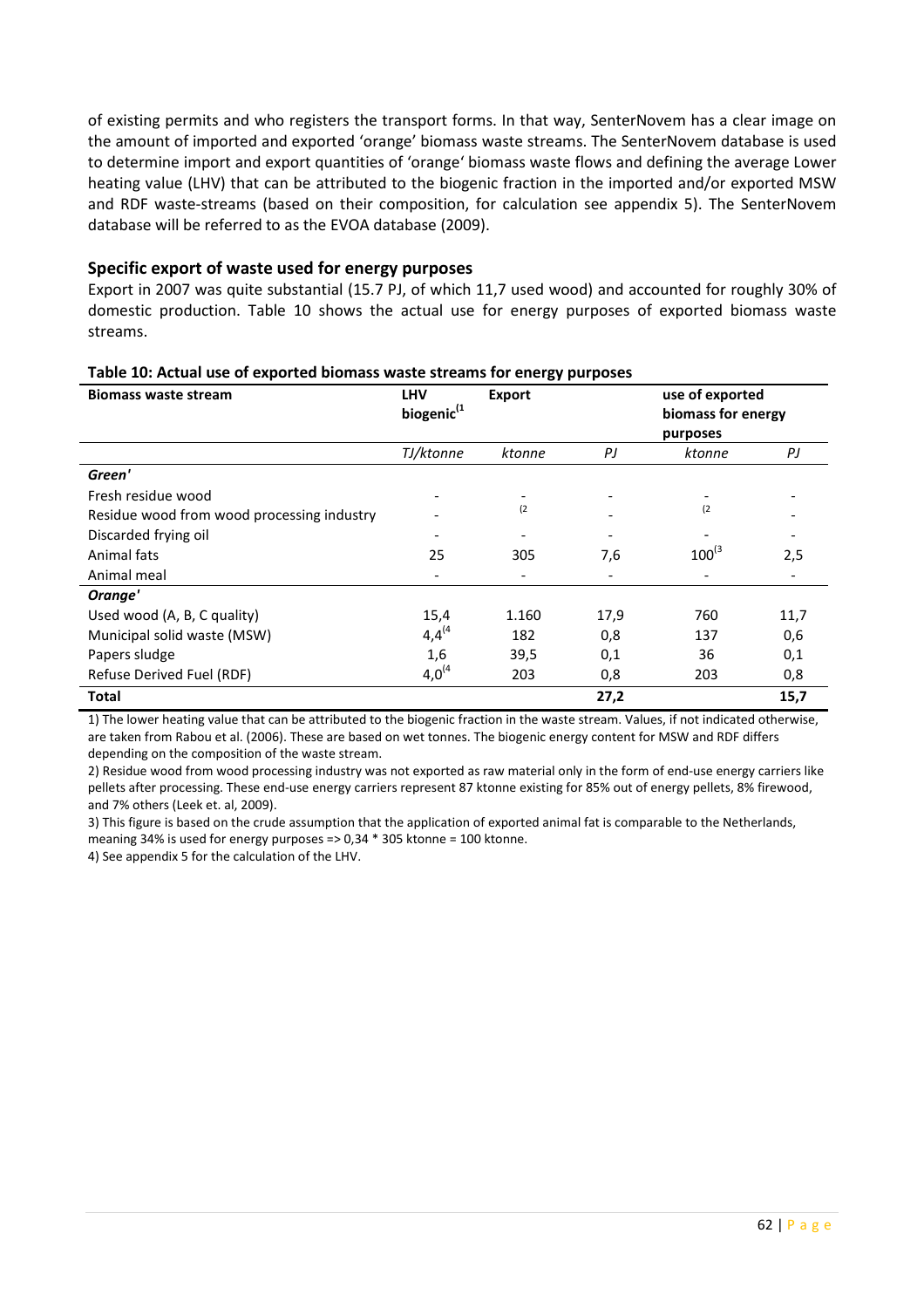of existing permits and who registers the transport forms. In that way, SenterNovem has a clear image on the amount of imported and exported 'orange' biomass waste streams. The SenterNovem database is used to determine import and export quantities of 'orange' biomass waste flows and defining the average Lower heating value (LHV) that can be attributed to the biogenic fraction in the imported and/or exported MSW and RDF waste-streams (based on their composition, for calculation see appendix 5). The SenterNovem database will be referred to as the EVOA database (2009).

#### Specific export of waste used for energy purposes

Export in 2007 was quite substantial (15.7 PJ, of which 11,7 used wood) and accounted for roughly 30% of domestic production. Table 10 shows the actual use for energy purposes of exported biomass waste streams.

| <b>Biomass waste stream</b>                | <b>LHV</b><br>biogenic <sup>(1</sup> | <b>Export</b> | use of exported<br>biomass for energy<br>purposes |                          |      |
|--------------------------------------------|--------------------------------------|---------------|---------------------------------------------------|--------------------------|------|
|                                            | TJ/ktonne                            | ktonne        | PJ                                                | ktonne                   | PJ   |
| Green'                                     |                                      |               |                                                   |                          |      |
| Fresh residue wood                         |                                      |               |                                                   |                          |      |
| Residue wood from wood processing industry |                                      | (2)           |                                                   | (2)                      |      |
| Discarded frying oil                       |                                      |               |                                                   |                          |      |
| Animal fats                                | 25                                   | 305           | 7,6                                               | $100^{(3)}$              | 2,5  |
| Animal meal                                | $\overline{\phantom{0}}$             |               |                                                   | $\overline{\phantom{a}}$ |      |
| Orange'                                    |                                      |               |                                                   |                          |      |
| Used wood (A, B, C quality)                | 15,4                                 | 1.160         | 17,9                                              | 760                      | 11,7 |
| Municipal solid waste (MSW)                | $4,4^{(4)}$                          | 182           | 0,8                                               | 137                      | 0,6  |
| Papers sludge                              | 1,6                                  | 39,5          | 0,1                                               | 36                       | 0,1  |
| Refuse Derived Fuel (RDF)                  | $4,0^{(4)}$                          | 203           | 0,8                                               | 203                      | 0,8  |
| Total                                      |                                      |               | 27,2                                              |                          | 15,7 |

#### Table 10: Actual use of exported biomass waste streams for energy purposes

1) The lower heating value that can be attributed to the biogenic fraction in the waste stream. Values, if not indicated otherwise, are taken from Rabou et al. (2006). These are based on wet tonnes. The biogenic energy content for MSW and RDF differs depending on the composition of the waste stream.

2) Residue wood from wood processing industry was not exported as raw material only in the form of end-use energy carriers like pellets after processing. These end-use energy carriers represent 87 ktonne existing for 85% out of energy pellets, 8% firewood, and 7% others (Leek et. al, 2009).

3) This figure is based on the crude assumption that the application of exported animal fat is comparable to the Netherlands, meaning 34% is used for energy purposes => 0,34 \* 305 ktonne = 100 ktonne.

4) See appendix 5 for the calculation of the LHV.